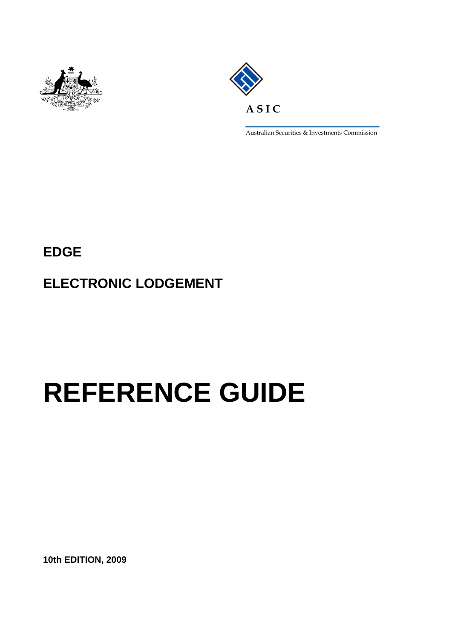



Australian Securities & Investments Commission

**EDGE** 

**ELECTRONIC LODGEMENT** 

# **REFERENCE GUIDE**

**10th EDITION, 2009**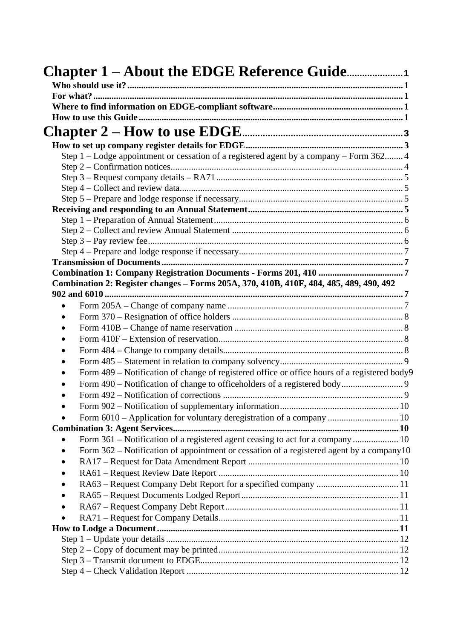| Step 1 – Lodge appointment or cessation of a registered agent by a company – Form 362 4      |  |
|----------------------------------------------------------------------------------------------|--|
|                                                                                              |  |
|                                                                                              |  |
|                                                                                              |  |
|                                                                                              |  |
|                                                                                              |  |
|                                                                                              |  |
|                                                                                              |  |
|                                                                                              |  |
|                                                                                              |  |
|                                                                                              |  |
|                                                                                              |  |
| Combination 2: Register changes - Forms 205A, 370, 410B, 410F, 484, 485, 489, 490, 492       |  |
| 902 and 6010<br>. 7                                                                          |  |
|                                                                                              |  |
|                                                                                              |  |
|                                                                                              |  |
|                                                                                              |  |
|                                                                                              |  |
|                                                                                              |  |
| Form 489 - Notification of change of registered office or office hours of a registered body9 |  |
|                                                                                              |  |
|                                                                                              |  |
|                                                                                              |  |
| Form 6010 – Application for voluntary deregistration of a company  10                        |  |
|                                                                                              |  |
|                                                                                              |  |
| Form $362$ – Notification of appointment or cessation of a registered agent by a company 10  |  |
|                                                                                              |  |
|                                                                                              |  |
|                                                                                              |  |
|                                                                                              |  |
|                                                                                              |  |
|                                                                                              |  |
|                                                                                              |  |
|                                                                                              |  |
|                                                                                              |  |
|                                                                                              |  |
|                                                                                              |  |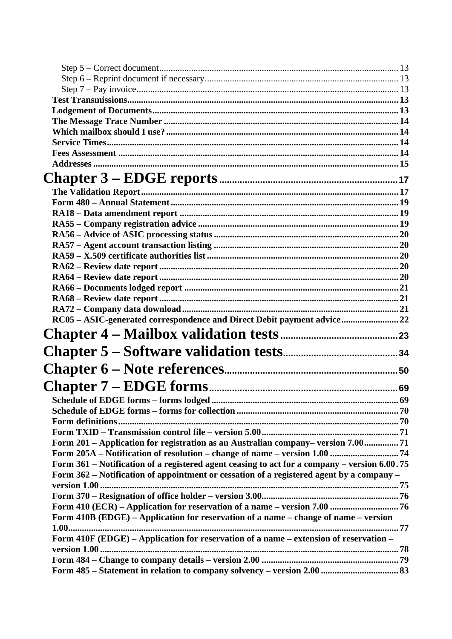| RC05 - ASIC-generated correspondence and Direct Debit payment advice 22                                                                                          |    |
|------------------------------------------------------------------------------------------------------------------------------------------------------------------|----|
|                                                                                                                                                                  |    |
|                                                                                                                                                                  |    |
|                                                                                                                                                                  |    |
|                                                                                                                                                                  |    |
|                                                                                                                                                                  |    |
|                                                                                                                                                                  | 69 |
|                                                                                                                                                                  |    |
|                                                                                                                                                                  |    |
|                                                                                                                                                                  |    |
| Form 201 - Application for registration as an Australian company-version 7.00 71                                                                                 |    |
| Form 205A - Notification of resolution - change of name - version 1.00  74                                                                                       |    |
| Form 361 - Notification of a registered agent ceasing to act for a company - version 6.00.75                                                                     |    |
| Form 362 – Notification of appointment or cessation of a registered agent by a company –                                                                         |    |
|                                                                                                                                                                  |    |
|                                                                                                                                                                  |    |
| Form 410 (ECR) - Application for reservation of a name - version 7.00  76<br>Form 410B (EDGE) – Application for reservation of a name – change of name – version |    |
|                                                                                                                                                                  |    |
| Form 410F (EDGE) - Application for reservation of a name - extension of reservation -                                                                            |    |
|                                                                                                                                                                  |    |
|                                                                                                                                                                  |    |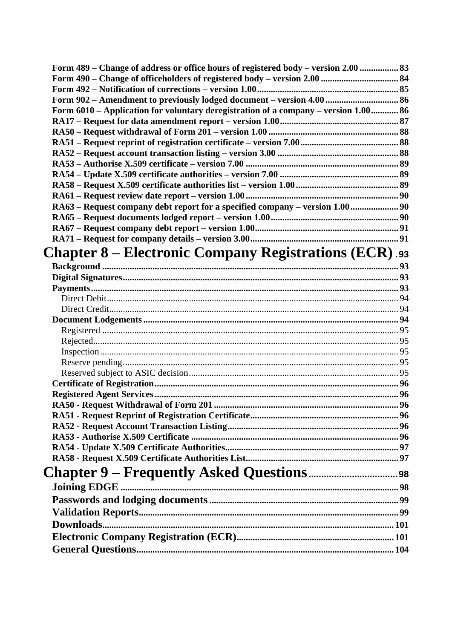| Form 489 – Change of address or office hours of registered body – version 2.00  83  |  |
|-------------------------------------------------------------------------------------|--|
|                                                                                     |  |
|                                                                                     |  |
|                                                                                     |  |
| Form 6010 - Application for voluntary deregistration of a company - version 1.00 86 |  |
|                                                                                     |  |
|                                                                                     |  |
|                                                                                     |  |
|                                                                                     |  |
|                                                                                     |  |
|                                                                                     |  |
|                                                                                     |  |
| RA63 - Request company debt report for a specified company - version 1.00  90       |  |
|                                                                                     |  |
|                                                                                     |  |
|                                                                                     |  |
|                                                                                     |  |
| <b>Chapter 8 – Electronic Company Registrations (ECR).93</b>                        |  |
|                                                                                     |  |
|                                                                                     |  |
|                                                                                     |  |
|                                                                                     |  |
|                                                                                     |  |
|                                                                                     |  |
|                                                                                     |  |
|                                                                                     |  |
|                                                                                     |  |
|                                                                                     |  |
|                                                                                     |  |
|                                                                                     |  |
|                                                                                     |  |
|                                                                                     |  |
|                                                                                     |  |
|                                                                                     |  |
|                                                                                     |  |
|                                                                                     |  |
|                                                                                     |  |
| Joining EDGE.                                                                       |  |
|                                                                                     |  |
|                                                                                     |  |
|                                                                                     |  |
|                                                                                     |  |
|                                                                                     |  |
|                                                                                     |  |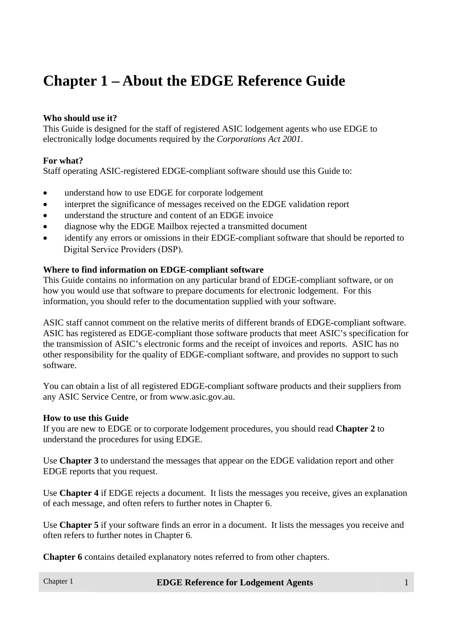# **Chapter 1 – About the EDGE Reference Guide**

# **Who should use it?**

This Guide is designed for the staff of registered ASIC lodgement agents who use EDGE to electronically lodge documents required by the *Corporations Act 2001*.

#### **For what?**

Staff operating ASIC-registered EDGE-compliant software should use this Guide to:

- understand how to use EDGE for corporate lodgement
- interpret the significance of messages received on the EDGE validation report
- understand the structure and content of an EDGE invoice
- diagnose why the EDGE Mailbox rejected a transmitted document
- identify any errors or omissions in their EDGE-compliant software that should be reported to Digital Service Providers (DSP).

#### **Where to find information on EDGE-compliant software**

This Guide contains no information on any particular brand of EDGE-compliant software, or on how you would use that software to prepare documents for electronic lodgement. For this information, you should refer to the documentation supplied with your software.

ASIC staff cannot comment on the relative merits of different brands of EDGE-compliant software. ASIC has registered as EDGE-compliant those software products that meet ASIC's specification for the transmission of ASIC's electronic forms and the receipt of invoices and reports. ASIC has no other responsibility for the quality of EDGE-compliant software, and provides no support to such software.

You can obtain a list of all registered EDGE-compliant software products and their suppliers from any ASIC Service Centre, or from www.asic.gov.au.

#### **How to use this Guide**

If you are new to EDGE or to corporate lodgement procedures, you should read **Chapter 2** to understand the procedures for using EDGE.

Use **Chapter 3** to understand the messages that appear on the EDGE validation report and other EDGE reports that you request.

Use **Chapter 4** if EDGE rejects a document. It lists the messages you receive, gives an explanation of each message, and often refers to further notes in Chapter 6.

Use **Chapter 5** if your software finds an error in a document. It lists the messages you receive and often refers to further notes in Chapter 6.

**Chapter 6** contains detailed explanatory notes referred to from other chapters.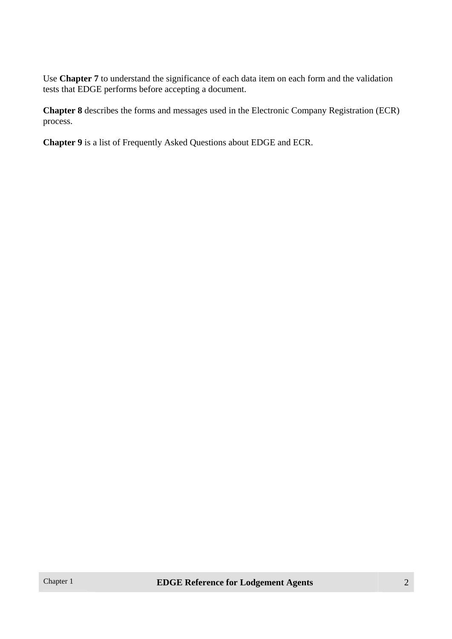Use **Chapter 7** to understand the significance of each data item on each form and the validation tests that EDGE performs before accepting a document.

**Chapter 8** describes the forms and messages used in the Electronic Company Registration (ECR) process.

**Chapter 9** is a list of Frequently Asked Questions about EDGE and ECR.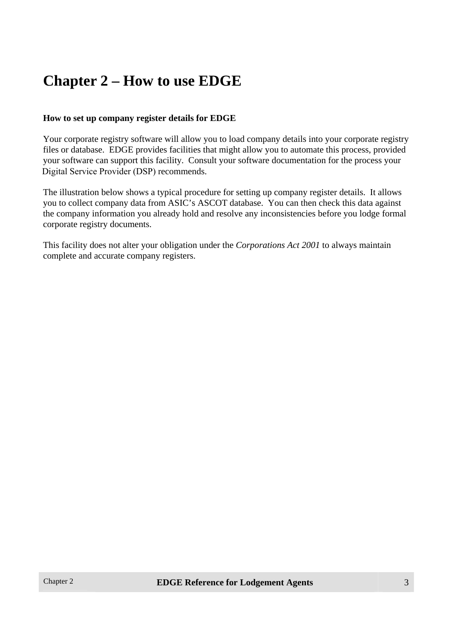# **Chapter 2 – How to use EDGE**

#### **How to set up company register details for EDGE**

Your corporate registry software will allow you to load company details into your corporate registry files or database. EDGE provides facilities that might allow you to automate this process, provided your software can support this facility. Consult your software documentation for the process your Digital Service Provider (DSP) recommends.

The illustration below shows a typical procedure for setting up company register details. It allows you to collect company data from ASIC's ASCOT database. You can then check this data against the company information you already hold and resolve any inconsistencies before you lodge formal corporate registry documents.

This facility does not alter your obligation under the *Corporations Act 2001* to always maintain complete and accurate company registers.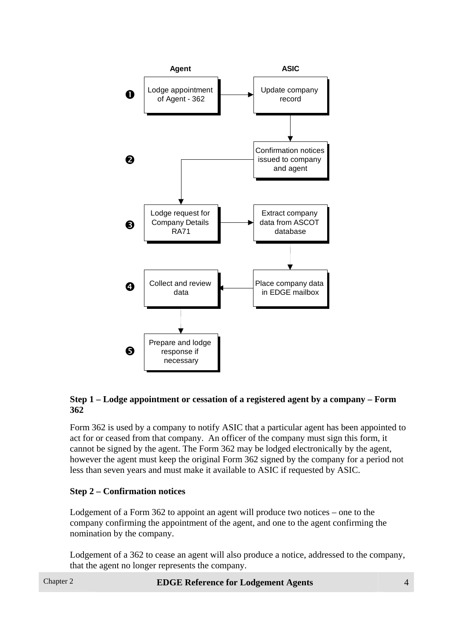

#### **Step 1 – Lodge appointment or cessation of a registered agent by a company – Form 362**

Form 362 is used by a company to notify ASIC that a particular agent has been appointed to act for or ceased from that company. An officer of the company must sign this form, it cannot be signed by the agent. The Form 362 may be lodged electronically by the agent, however the agent must keep the original Form 362 signed by the company for a period not less than seven years and must make it available to ASIC if requested by ASIC.

#### **Step 2 – Confirmation notices**

Lodgement of a Form 362 to appoint an agent will produce two notices – one to the company confirming the appointment of the agent, and one to the agent confirming the nomination by the company.

Lodgement of a 362 to cease an agent will also produce a notice, addressed to the company, that the agent no longer represents the company.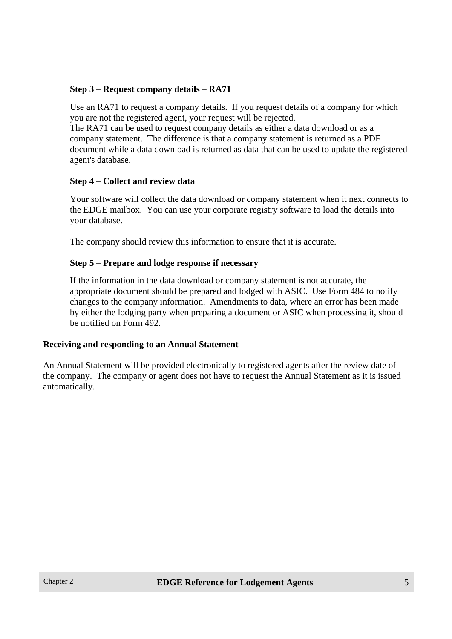#### **Step 3 – Request company details – RA71**

Use an RA71 to request a company details. If you request details of a company for which you are not the registered agent, your request will be rejected.

The RA71 can be used to request company details as either a data download or as a company statement. The difference is that a company statement is returned as a PDF document while a data download is returned as data that can be used to update the registered agent's database.

#### **Step 4 – Collect and review data**

Your software will collect the data download or company statement when it next connects to the EDGE mailbox. You can use your corporate registry software to load the details into your database.

The company should review this information to ensure that it is accurate.

#### **Step 5 – Prepare and lodge response if necessary**

If the information in the data download or company statement is not accurate, the appropriate document should be prepared and lodged with ASIC. Use Form 484 to notify changes to the company information. Amendments to data, where an error has been made by either the lodging party when preparing a document or ASIC when processing it, should be notified on Form 492.

#### **Receiving and responding to an Annual Statement**

An Annual Statement will be provided electronically to registered agents after the review date of the company. The company or agent does not have to request the Annual Statement as it is issued automatically.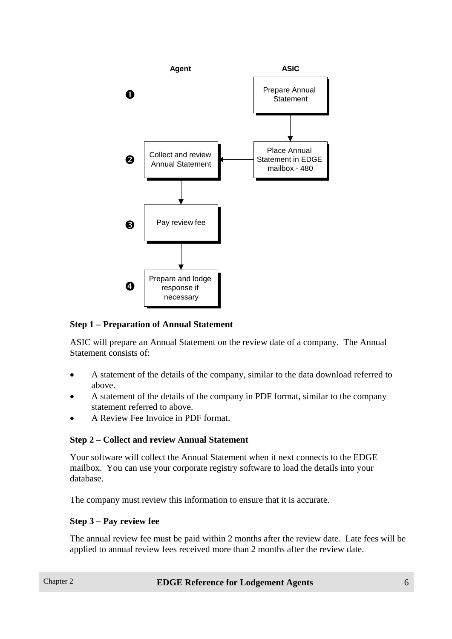

#### **Step 1 – Preparation of Annual Statement**

ASIC will prepare an Annual Statement on the review date of a company. The Annual Statement consists of:

- A statement of the details of the company, similar to the data download referred to above.
- A statement of the details of the company in PDF format, similar to the company statement referred to above.
- A Review Fee Invoice in PDF format.

#### **Step 2 – Collect and review Annual Statement**

Your software will collect the Annual Statement when it next connects to the EDGE mailbox. You can use your corporate registry software to load the details into your database.

The company must review this information to ensure that it is accurate.

#### **Step 3 – Pay review fee**

The annual review fee must be paid within 2 months after the review date. Late fees will be applied to annual review fees received more than 2 months after the review date.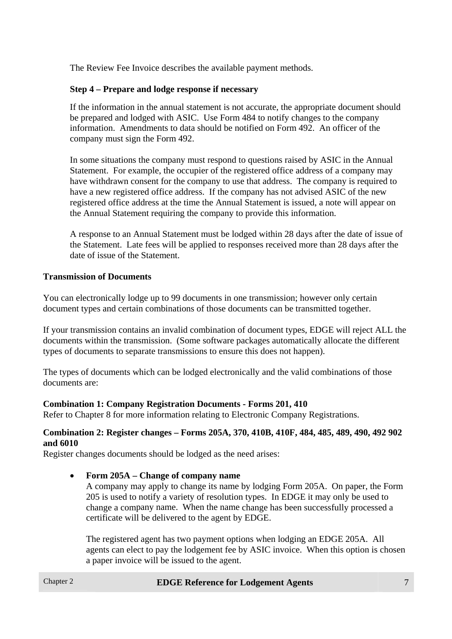The Review Fee Invoice describes the available payment methods.

# **Step 4 – Prepare and lodge response if necessary**

If the information in the annual statement is not accurate, the appropriate document should be prepared and lodged with ASIC. Use Form 484 to notify changes to the company information. Amendments to data should be notified on Form 492. An officer of the company must sign the Form 492.

In some situations the company must respond to questions raised by ASIC in the Annual Statement. For example, the occupier of the registered office address of a company may have withdrawn consent for the company to use that address. The company is required to have a new registered office address. If the company has not advised ASIC of the new registered office address at the time the Annual Statement is issued, a note will appear on the Annual Statement requiring the company to provide this information.

A response to an Annual Statement must be lodged within 28 days after the date of issue of the Statement. Late fees will be applied to responses received more than 28 days after the date of issue of the Statement.

# **Transmission of Documents**

You can electronically lodge up to 99 documents in one transmission; however only certain document types and certain combinations of those documents can be transmitted together.

If your transmission contains an invalid combination of document types, EDGE will reject ALL the documents within the transmission. (Some software packages automatically allocate the different types of documents to separate transmissions to ensure this does not happen).

The types of documents which can be lodged electronically and the valid combinations of those documents are:

#### **Combination 1: Company Registration Documents - Forms 201, 410**

Refer to Chapter 8 for more information relating to Electronic Company Registrations.

#### **Combination 2: Register changes – Forms 205A, 370, 410B, 410F, 484, 485, 489, 490, 492 902 and 6010**

Register changes documents should be lodged as the need arises:

#### • **Form 205A – Change of company name**

A company may apply to change its name by lodging Form 205A. On paper, the Form 205 is used to notify a variety of resolution types. In EDGE it may only be used to change a company name. When the name change has been successfully processed a certificate will be delivered to the agent by EDGE.

The registered agent has two payment options when lodging an EDGE 205A. All agents can elect to pay the lodgement fee by ASIC invoice. When this option is chosen a paper invoice will be issued to the agent.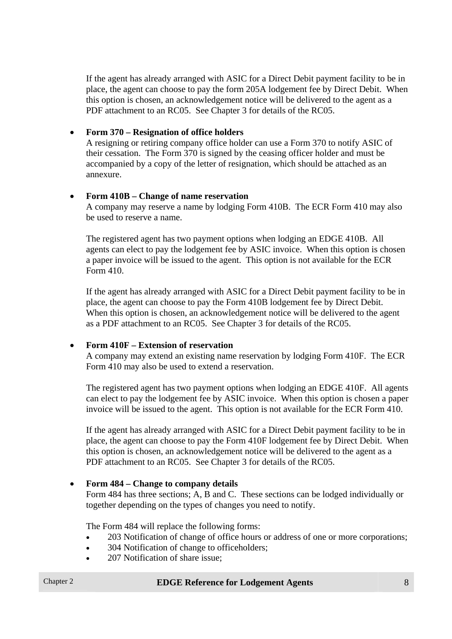If the agent has already arranged with ASIC for a Direct Debit payment facility to be in place, the agent can choose to pay the form 205A lodgement fee by Direct Debit. When this option is chosen, an acknowledgement notice will be delivered to the agent as a PDF attachment to an RC05. See Chapter 3 for details of the RC05.

#### • **Form 370 – Resignation of office holders**

A resigning or retiring company office holder can use a Form 370 to notify ASIC of their cessation. The Form 370 is signed by the ceasing officer holder and must be accompanied by a copy of the letter of resignation, which should be attached as an annexure.

#### • **Form 410B – Change of name reservation**

A company may reserve a name by lodging Form 410B. The ECR Form 410 may also be used to reserve a name.

The registered agent has two payment options when lodging an EDGE 410B. All agents can elect to pay the lodgement fee by ASIC invoice. When this option is chosen a paper invoice will be issued to the agent. This option is not available for the ECR Form 410.

If the agent has already arranged with ASIC for a Direct Debit payment facility to be in place, the agent can choose to pay the Form 410B lodgement fee by Direct Debit. When this option is chosen, an acknowledgement notice will be delivered to the agent as a PDF attachment to an RC05. See Chapter 3 for details of the RC05.

#### • **Form 410F – Extension of reservation**

A company may extend an existing name reservation by lodging Form 410F. The ECR Form 410 may also be used to extend a reservation.

The registered agent has two payment options when lodging an EDGE 410F. All agents can elect to pay the lodgement fee by ASIC invoice. When this option is chosen a paper invoice will be issued to the agent. This option is not available for the ECR Form 410.

If the agent has already arranged with ASIC for a Direct Debit payment facility to be in place, the agent can choose to pay the Form 410F lodgement fee by Direct Debit. When this option is chosen, an acknowledgement notice will be delivered to the agent as a PDF attachment to an RC05. See Chapter 3 for details of the RC05.

#### • **Form 484 – Change to company details**

Form 484 has three sections; A, B and C. These sections can be lodged individually or together depending on the types of changes you need to notify.

The Form 484 will replace the following forms:

- 203 Notification of change of office hours or address of one or more corporations;
- 304 Notification of change to officeholders:
- 207 Notification of share issue: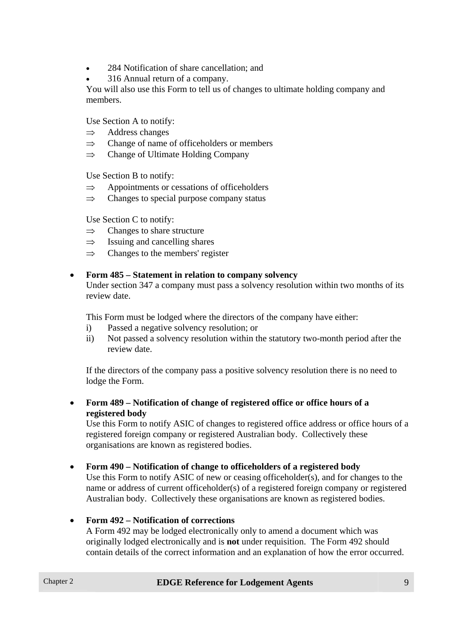- 284 Notification of share cancellation; and
- 316 Annual return of a company.

You will also use this Form to tell us of changes to ultimate holding company and members.

Use Section A to notify:

- $\Rightarrow$  Address changes
- $\Rightarrow$  Change of name of officeholders or members
- $\Rightarrow$  Change of Ultimate Holding Company

Use Section B to notify:

- $\Rightarrow$  Appointments or cessations of officeholders
- $\Rightarrow$  Changes to special purpose company status

Use Section C to notify:

- $\Rightarrow$  Changes to share structure
- $\Rightarrow$  Issuing and cancelling shares
- $\implies$  Changes to the members' register

# • **Form 485 – Statement in relation to company solvency**

Under section 347 a company must pass a solvency resolution within two months of its review date.

This Form must be lodged where the directors of the company have either:

- i) Passed a negative solvency resolution; or
- ii) Not passed a solvency resolution within the statutory two-month period after the review date.

If the directors of the company pass a positive solvency resolution there is no need to lodge the Form.

• **Form 489 – Notification of change of registered office or office hours of a registered body**

Use this Form to notify ASIC of changes to registered office address or office hours of a registered foreign company or registered Australian body. Collectively these organisations are known as registered bodies.

#### • **Form 490 – Notification of change to officeholders of a registered body**

Use this Form to notify ASIC of new or ceasing officeholder(s), and for changes to the name or address of current officeholder(s) of a registered foreign company or registered Australian body. Collectively these organisations are known as registered bodies.

#### • **Form 492 – Notification of corrections**

A Form 492 may be lodged electronically only to amend a document which was originally lodged electronically and is **not** under requisition. The Form 492 should contain details of the correct information and an explanation of how the error occurred.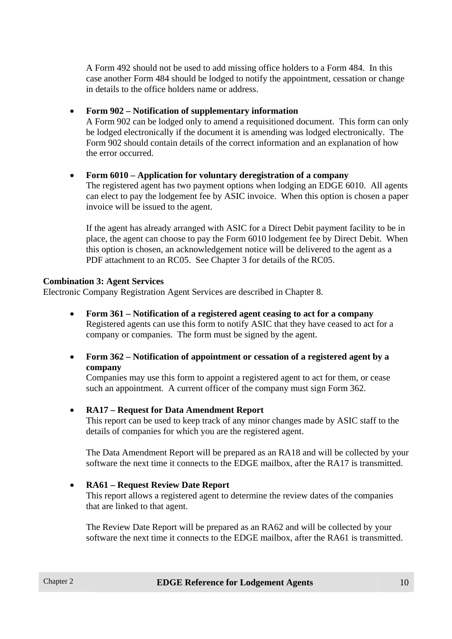A Form 492 should not be used to add missing office holders to a Form 484. In this case another Form 484 should be lodged to notify the appointment, cessation or change in details to the office holders name or address.

#### • **Form 902 – Notification of supplementary information**

A Form 902 can be lodged only to amend a requisitioned document. This form can only be lodged electronically if the document it is amending was lodged electronically. The Form 902 should contain details of the correct information and an explanation of how the error occurred.

#### • **Form 6010 – Application for voluntary deregistration of a company**

The registered agent has two payment options when lodging an EDGE 6010. All agents can elect to pay the lodgement fee by ASIC invoice. When this option is chosen a paper invoice will be issued to the agent.

If the agent has already arranged with ASIC for a Direct Debit payment facility to be in place, the agent can choose to pay the Form 6010 lodgement fee by Direct Debit. When this option is chosen, an acknowledgement notice will be delivered to the agent as a PDF attachment to an RC05. See Chapter 3 for details of the RC05.

#### **Combination 3: Agent Services**

Electronic Company Registration Agent Services are described in Chapter 8.

- **Form 361 Notification of a registered agent ceasing to act for a company** Registered agents can use this form to notify ASIC that they have ceased to act for a company or companies. The form must be signed by the agent.
- **Form 362 Notification of appointment or cessation of a registered agent by a company**

Companies may use this form to appoint a registered agent to act for them, or cease such an appointment. A current officer of the company must sign Form 362.

#### • **RA17 – Request for Data Amendment Report**

This report can be used to keep track of any minor changes made by ASIC staff to the details of companies for which you are the registered agent.

The Data Amendment Report will be prepared as an RA18 and will be collected by your software the next time it connects to the EDGE mailbox, after the RA17 is transmitted.

#### • **RA61 – Request Review Date Report**

This report allows a registered agent to determine the review dates of the companies that are linked to that agent.

The Review Date Report will be prepared as an RA62 and will be collected by your software the next time it connects to the EDGE mailbox, after the RA61 is transmitted.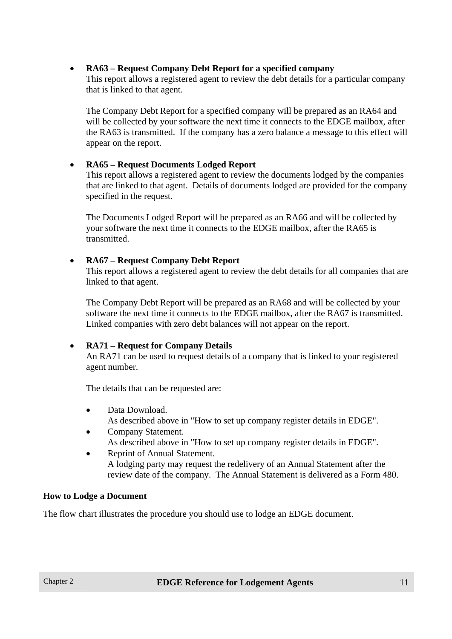# • **RA63 – Request Company Debt Report for a specified company**

This report allows a registered agent to review the debt details for a particular company that is linked to that agent.

The Company Debt Report for a specified company will be prepared as an RA64 and will be collected by your software the next time it connects to the EDGE mailbox, after the RA63 is transmitted. If the company has a zero balance a message to this effect will appear on the report.

# • **RA65 – Request Documents Lodged Report**

This report allows a registered agent to review the documents lodged by the companies that are linked to that agent. Details of documents lodged are provided for the company specified in the request.

The Documents Lodged Report will be prepared as an RA66 and will be collected by your software the next time it connects to the EDGE mailbox, after the RA65 is transmitted.

# • **RA67 – Request Company Debt Report**

This report allows a registered agent to review the debt details for all companies that are linked to that agent.

The Company Debt Report will be prepared as an RA68 and will be collected by your software the next time it connects to the EDGE mailbox, after the RA67 is transmitted. Linked companies with zero debt balances will not appear on the report.

#### • **RA71 – Request for Company Details**

An RA71 can be used to request details of a company that is linked to your registered agent number.

The details that can be requested are:

- Data Download. As described above in "How to set up company register details in EDGE".
- Company Statement. As described above in "How to set up company register details in EDGE".
- Reprint of Annual Statement. A lodging party may request the redelivery of an Annual Statement after the review date of the company. The Annual Statement is delivered as a Form 480.

#### **How to Lodge a Document**

The flow chart illustrates the procedure you should use to lodge an EDGE document.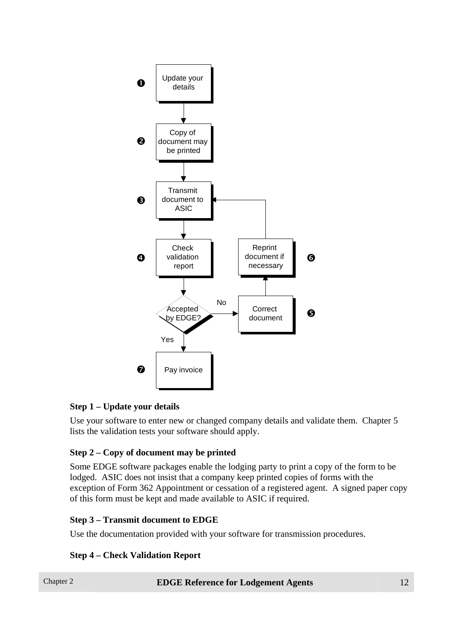

# **Step 1 – Update your details**

Use your software to enter new or changed company details and validate them. Chapter 5 lists the validation tests your software should apply.

# **Step 2 – Copy of document may be printed**

Some EDGE software packages enable the lodging party to print a copy of the form to be lodged. ASIC does not insist that a company keep printed copies of forms with the exception of Form 362 Appointment or cessation of a registered agent. A signed paper copy of this form must be kept and made available to ASIC if required.

#### **Step 3 – Transmit document to EDGE**

Use the documentation provided with your software for transmission procedures.

# **Step 4 – Check Validation Report**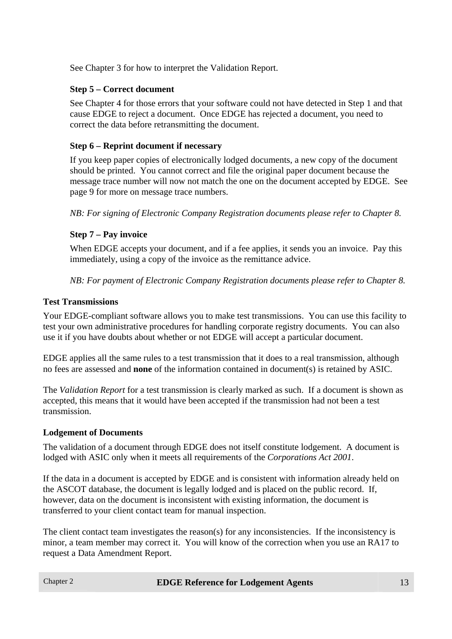See Chapter 3 for how to interpret the Validation Report.

# **Step 5 – Correct document**

See Chapter 4 for those errors that your software could not have detected in Step 1 and that cause EDGE to reject a document. Once EDGE has rejected a document, you need to correct the data before retransmitting the document.

# **Step 6 – Reprint document if necessary**

If you keep paper copies of electronically lodged documents, a new copy of the document should be printed. You cannot correct and file the original paper document because the message trace number will now not match the one on the document accepted by EDGE. See page 9 for more on message trace numbers.

*NB: For signing of Electronic Company Registration documents please refer to Chapter 8.* 

# **Step 7 – Pay invoice**

When EDGE accepts your document, and if a fee applies, it sends you an invoice. Pay this immediately, using a copy of the invoice as the remittance advice.

*NB: For payment of Electronic Company Registration documents please refer to Chapter 8.* 

# **Test Transmissions**

Your EDGE-compliant software allows you to make test transmissions. You can use this facility to test your own administrative procedures for handling corporate registry documents. You can also use it if you have doubts about whether or not EDGE will accept a particular document.

EDGE applies all the same rules to a test transmission that it does to a real transmission, although no fees are assessed and **none** of the information contained in document(s) is retained by ASIC.

The *Validation Report* for a test transmission is clearly marked as such. If a document is shown as accepted, this means that it would have been accepted if the transmission had not been a test transmission.

# **Lodgement of Documents**

The validation of a document through EDGE does not itself constitute lodgement. A document is lodged with ASIC only when it meets all requirements of the *Corporations Act 2001*.

If the data in a document is accepted by EDGE and is consistent with information already held on the ASCOT database, the document is legally lodged and is placed on the public record. If, however, data on the document is inconsistent with existing information, the document is transferred to your client contact team for manual inspection.

The client contact team investigates the reason(s) for any inconsistencies. If the inconsistency is minor, a team member may correct it. You will know of the correction when you use an RA17 to request a Data Amendment Report.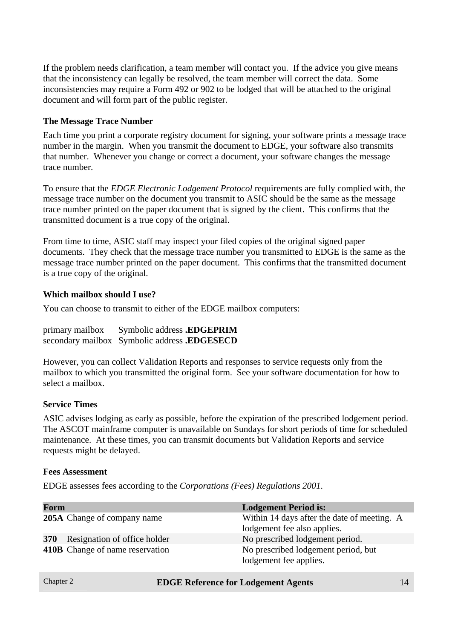If the problem needs clarification, a team member will contact you. If the advice you give means that the inconsistency can legally be resolved, the team member will correct the data. Some inconsistencies may require a Form 492 or 902 to be lodged that will be attached to the original document and will form part of the public register.

#### **The Message Trace Number**

Each time you print a corporate registry document for signing, your software prints a message trace number in the margin. When you transmit the document to EDGE, your software also transmits that number. Whenever you change or correct a document, your software changes the message trace number.

To ensure that the *EDGE Electronic Lodgement Protocol* requirements are fully complied with, the message trace number on the document you transmit to ASIC should be the same as the message trace number printed on the paper document that is signed by the client. This confirms that the transmitted document is a true copy of the original.

From time to time, ASIC staff may inspect your filed copies of the original signed paper documents. They check that the message trace number you transmitted to EDGE is the same as the message trace number printed on the paper document. This confirms that the transmitted document is a true copy of the original.

#### **Which mailbox should I use?**

You can choose to transmit to either of the EDGE mailbox computers:

primary mailbox Symbolic address **.EDGEPRIM** secondary mailbox Symbolic address **.EDGESECD** 

However, you can collect Validation Reports and responses to service requests only from the mailbox to which you transmitted the original form. See your software documentation for how to select a mailbox.

#### **Service Times**

ASIC advises lodging as early as possible, before the expiration of the prescribed lodgement period. The ASCOT mainframe computer is unavailable on Sundays for short periods of time for scheduled maintenance. At these times, you can transmit documents but Validation Reports and service requests might be delayed.

#### **Fees Assessment**

EDGE assesses fees according to the *Corporations (Fees) Regulations 2001*.

| Form |                                    | <b>Lodgement Period is:</b>                                                |
|------|------------------------------------|----------------------------------------------------------------------------|
|      | <b>205A</b> Change of company name | Within 14 days after the date of meeting. A<br>lodgement fee also applies. |
|      | 370 Resignation of office holder   | No prescribed lodgement period.                                            |
|      | 410B Change of name reservation    | No prescribed lodgement period, but<br>lodgement fee applies.              |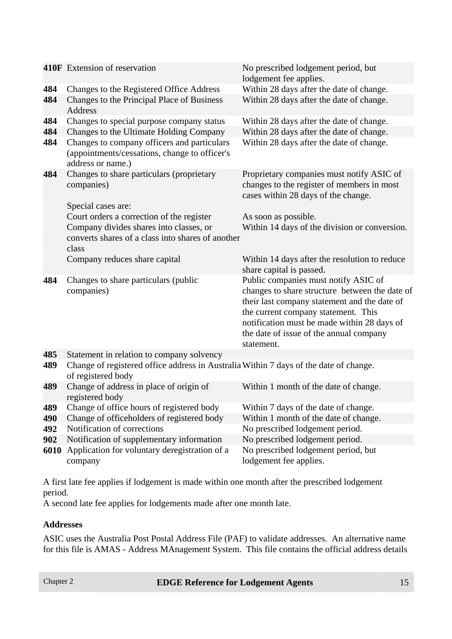|            | 410F Extension of reservation                                                                                                                                | No prescribed lodgement period, but<br>lodgement fee applies.                                                                                                                                                                                                                         |
|------------|--------------------------------------------------------------------------------------------------------------------------------------------------------------|---------------------------------------------------------------------------------------------------------------------------------------------------------------------------------------------------------------------------------------------------------------------------------------|
| 484        | Changes to the Registered Office Address                                                                                                                     | Within 28 days after the date of change.                                                                                                                                                                                                                                              |
| 484        | Changes to the Principal Place of Business<br><b>Address</b>                                                                                                 | Within 28 days after the date of change.                                                                                                                                                                                                                                              |
| 484        | Changes to special purpose company status                                                                                                                    | Within 28 days after the date of change.                                                                                                                                                                                                                                              |
| 484<br>484 | Changes to the Ultimate Holding Company<br>Changes to company officers and particulars<br>(appointments/cessations, change to officer's<br>address or name.) | Within 28 days after the date of change.<br>Within 28 days after the date of change.                                                                                                                                                                                                  |
| 484        | Changes to share particulars (proprietary<br>companies)<br>Special cases are:                                                                                | Proprietary companies must notify ASIC of<br>changes to the register of members in most<br>cases within 28 days of the change.                                                                                                                                                        |
|            | Court orders a correction of the register                                                                                                                    | As soon as possible.                                                                                                                                                                                                                                                                  |
|            | Company divides shares into classes, or<br>converts shares of a class into shares of another<br>class                                                        | Within 14 days of the division or conversion.                                                                                                                                                                                                                                         |
|            | Company reduces share capital                                                                                                                                | Within 14 days after the resolution to reduce<br>share capital is passed.                                                                                                                                                                                                             |
| 484        | Changes to share particulars (public<br>companies)                                                                                                           | Public companies must notify ASIC of<br>changes to share structure between the date of<br>their last company statement and the date of<br>the current company statement. This<br>notification must be made within 28 days of<br>the date of issue of the annual company<br>statement. |
| 485        | Statement in relation to company solvency                                                                                                                    |                                                                                                                                                                                                                                                                                       |
| 489        | Change of registered office address in Australia Within 7 days of the date of change.<br>of registered body                                                  |                                                                                                                                                                                                                                                                                       |
| 489        | Change of address in place of origin of<br>registered body                                                                                                   | Within 1 month of the date of change.                                                                                                                                                                                                                                                 |
| 489        | Change of office hours of registered body                                                                                                                    | Within 7 days of the date of change.                                                                                                                                                                                                                                                  |
| 490        | Change of officeholders of registered body                                                                                                                   | Within 1 month of the date of change.                                                                                                                                                                                                                                                 |
| 492        | Notification of corrections                                                                                                                                  | No prescribed lodgement period.                                                                                                                                                                                                                                                       |
| 902        | Notification of supplementary information                                                                                                                    | No prescribed lodgement period.                                                                                                                                                                                                                                                       |
| 6010       | Application for voluntary deregistration of a<br>company                                                                                                     | No prescribed lodgement period, but<br>lodgement fee applies.                                                                                                                                                                                                                         |

A first late fee applies if lodgement is made within one month after the prescribed lodgement period.

A second late fee applies for lodgements made after one month late.

#### **Addresses**

ASIC uses the Australia Post Postal Address File (PAF) to validate addresses. An alternative name for this file is AMAS - Address MAnagement System. This file contains the official address details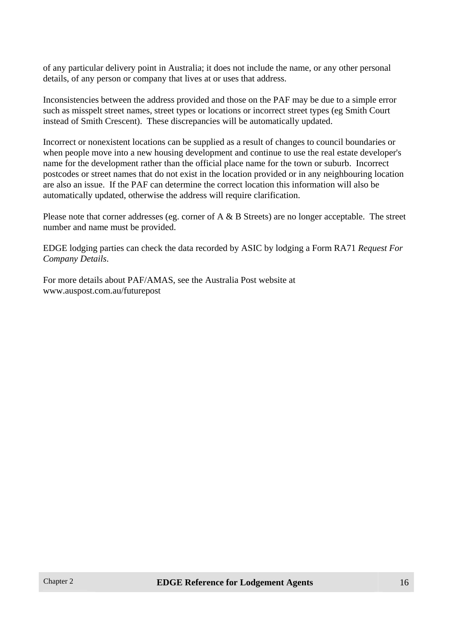of any particular delivery point in Australia; it does not include the name, or any other personal details, of any person or company that lives at or uses that address.

Inconsistencies between the address provided and those on the PAF may be due to a simple error such as misspelt street names, street types or locations or incorrect street types (eg Smith Court instead of Smith Crescent). These discrepancies will be automatically updated.

Incorrect or nonexistent locations can be supplied as a result of changes to council boundaries or when people move into a new housing development and continue to use the real estate developer's name for the development rather than the official place name for the town or suburb. Incorrect postcodes or street names that do not exist in the location provided or in any neighbouring location are also an issue. If the PAF can determine the correct location this information will also be automatically updated, otherwise the address will require clarification.

Please note that corner addresses (eg. corner of A & B Streets) are no longer acceptable. The street number and name must be provided.

EDGE lodging parties can check the data recorded by ASIC by lodging a Form RA71 *Request For Company Details*.

For more details about PAF/AMAS, see the Australia Post website at www.auspost.com.au/futurepost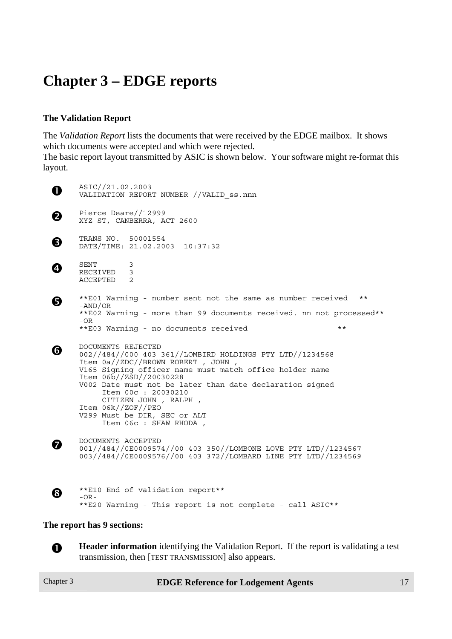# **Chapter 3 – EDGE reports**

# **The Validation Report**

The *Validation Report* lists the documents that were received by the EDGE mailbox. It shows which documents were accepted and which were rejected.

The basic report layout transmitted by ASIC is shown below. Your software might re-format this layout.

n ASIC//21.02.2003 VALIDATION REPORT NUMBER //VALID\_ss.nnn **O** Pierce Deare//12999<br>XYZ ST, CANBERRA, ACT 2600 **9** TRANS NO. 50001554<br>DATE/TIME: 21.02.2003 10:37:32 q SENT 3 RECEIVED 3 ACCEPTED 2  $\bullet$  \*\*E01 Warning - number sent not the same as number received \*\* \*\*E02 Warning - more than 99 documents received. nn not processed\*\*  $-OR$ \*\*E03 Warning - no documents received \*\* s DOCUMENTS REJECTED 002//484//000 403 361//LOMBIRD HOLDINGS PTY LTD//1234568 Item 0a//ZDC//BROWN ROBERT , JOHN , V165 Signing officer name must match office holder name Item 06b//ZSD//20030228 V002 Date must not be later than date declaration signed Item 00c : 20030210 CITIZEN JOHN , RALPH , Item 06k//ZOF//PEO V299 Must be DIR, SEC or ALT Item 06c : SHAW RHODA , **00** DOCUMENTS ACCEPTED<br>001//484//0E0009574//00 403 350//LOMBONE LOVE PTY LTD//1234567 003//484//0E0009576//00 403 372//LOMBARD LINE PTY LTD//1234569 **8** \*\* El0 End of validation report\*\*  $-$  OR  $-$ \*\*E20 Warning - This report is not complete - call ASIC\*\*

#### **The report has 9 sections:**

**n Header information** identifying the Validation Report. If the report is validating a test transmission, then [TEST TRANSMISSION] also appears.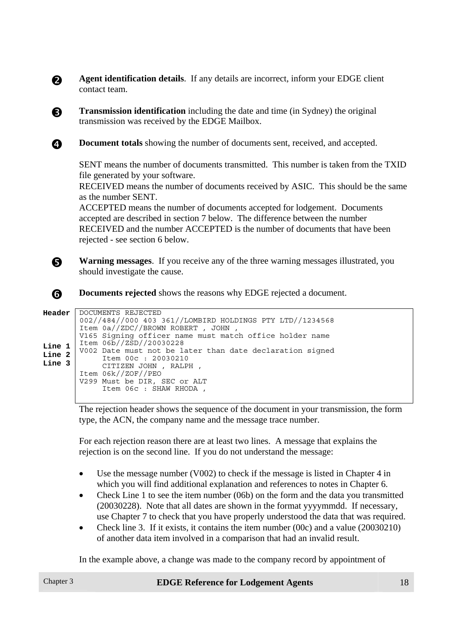**Agent identification details**. If any details are incorrect, inform your EDGE client contact team.

**C Transmission identification** including the date and time (in Sydney) the original transmission was received by the EDGE Mailbox.

**4 Document totals** showing the number of documents sent, received, and accepted.

SENT means the number of documents transmitted. This number is taken from the TXID file generated by your software.

RECEIVED means the number of documents received by ASIC. This should be the same as the number SENT.

ACCEPTED means the number of documents accepted for lodgement. Documents accepted are described in section 7 below. The difference between the number RECEIVED and the number ACCEPTED is the number of documents that have been rejected - see section 6 below.

**R** Warning messages. If you receive any of the three warning messages illustrated, you should investigate the cause.

**S** Documents rejected shows the reasons why EDGE rejected a document.

```
Header 
Line 1 
Line 2 
Line 3 
        DOCUMENTS REJECTED 
        002//484//000 403 361//LOMBIRD HOLDINGS PTY LTD//1234568 
        Item 0a//ZDC//BROWN ROBERT , JOHN , 
        V165 Signing officer name must match office holder name 
        Item 06b//ZSD//20030228 
        V002 Date must not be later than date declaration signed 
              Item 00c : 20030210 
              CITIZEN JOHN , RALPH , 
        Item 06k//ZOF//PEO 
        V299 Must be DIR, SEC or ALT 
              Item 06c : SHAW RHODA ,
```
The rejection header shows the sequence of the document in your transmission, the form type, the ACN, the company name and the message trace number.

For each rejection reason there are at least two lines. A message that explains the rejection is on the second line. If you do not understand the message:

- Use the message number (V002) to check if the message is listed in Chapter 4 in which you will find additional explanation and references to notes in Chapter 6.
- Check Line 1 to see the item number (06b) on the form and the data you transmitted (20030228). Note that all dates are shown in the format yyyymmdd. If necessary, use Chapter 7 to check that you have properly understood the data that was required.
- Check line 3. If it exists, it contains the item number (00c) and a value (20030210) of another data item involved in a comparison that had an invalid result.

In the example above, a change was made to the company record by appointment of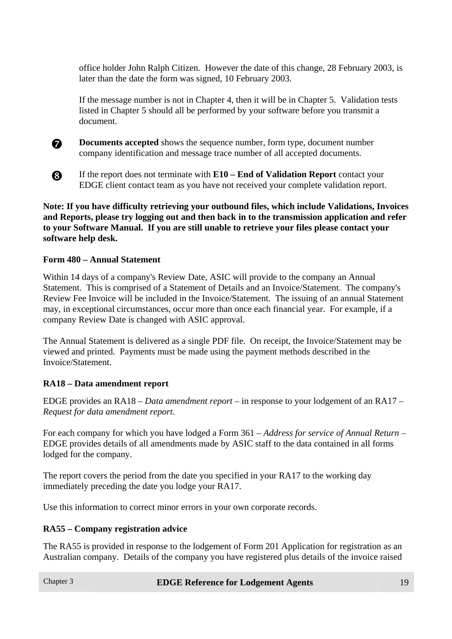office holder John Ralph Citizen. However the date of this change, 28 February 2003, is later than the date the form was signed, 10 February 2003.

If the message number is not in Chapter 4, then it will be in Chapter 5. Validation tests listed in Chapter 5 should all be performed by your software before you transmit a document.



**the Documents accepted** shows the sequence number, form type, document number company identification and message trace number of all accepted documents.

**8** If the report does not terminate with **E10** – **End of Validation Report** contact your EDGE client contact team as you have not received your complete validation report.

**Note: If you have difficulty retrieving your outbound files, which include Validations, Invoices and Reports, please try logging out and then back in to the transmission application and refer to your Software Manual. If you are still unable to retrieve your files please contact your software help desk.** 

#### **Form 480 – Annual Statement**

Within 14 days of a company's Review Date, ASIC will provide to the company an Annual Statement. This is comprised of a Statement of Details and an Invoice/Statement. The company's Review Fee Invoice will be included in the Invoice/Statement. The issuing of an annual Statement may, in exceptional circumstances, occur more than once each financial year. For example, if a company Review Date is changed with ASIC approval.

The Annual Statement is delivered as a single PDF file. On receipt, the Invoice/Statement may be viewed and printed. Payments must be made using the payment methods described in the Invoice/Statement.

#### **RA18 – Data amendment report**

EDGE provides an RA18 – *Data amendment report* – in response to your lodgement of an RA17 – *Request for data amendment report*.

For each company for which you have lodged a Form 361 – *Address for service of Annual Return* – EDGE provides details of all amendments made by ASIC staff to the data contained in all forms lodged for the company.

The report covers the period from the date you specified in your RA17 to the working day immediately preceding the date you lodge your RA17.

Use this information to correct minor errors in your own corporate records.

#### **RA55 – Company registration advice**

The RA55 is provided in response to the lodgement of Form 201 Application for registration as an Australian company. Details of the company you have registered plus details of the invoice raised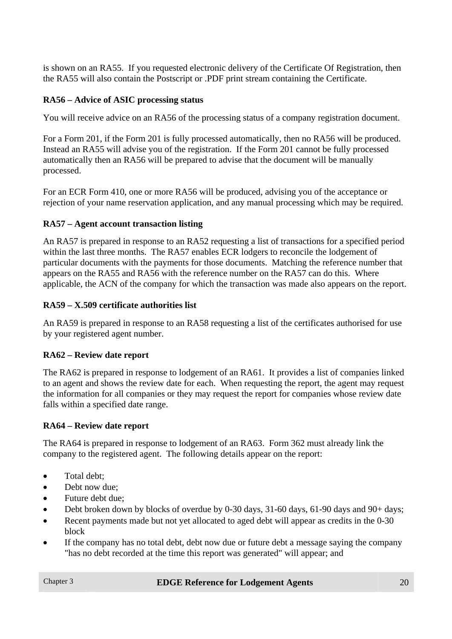is shown on an RA55. If you requested electronic delivery of the Certificate Of Registration, then the RA55 will also contain the Postscript or .PDF print stream containing the Certificate.

# **RA56 – Advice of ASIC processing status**

You will receive advice on an RA56 of the processing status of a company registration document.

For a Form 201, if the Form 201 is fully processed automatically, then no RA56 will be produced. Instead an RA55 will advise you of the registration. If the Form 201 cannot be fully processed automatically then an RA56 will be prepared to advise that the document will be manually processed.

For an ECR Form 410, one or more RA56 will be produced, advising you of the acceptance or rejection of your name reservation application, and any manual processing which may be required.

# **RA57 – Agent account transaction listing**

An RA57 is prepared in response to an RA52 requesting a list of transactions for a specified period within the last three months. The RA57 enables ECR lodgers to reconcile the lodgement of particular documents with the payments for those documents. Matching the reference number that appears on the RA55 and RA56 with the reference number on the RA57 can do this. Where applicable, the ACN of the company for which the transaction was made also appears on the report.

# **RA59 – X.509 certificate authorities list**

An RA59 is prepared in response to an RA58 requesting a list of the certificates authorised for use by your registered agent number.

#### **RA62 – Review date report**

The RA62 is prepared in response to lodgement of an RA61. It provides a list of companies linked to an agent and shows the review date for each. When requesting the report, the agent may request the information for all companies or they may request the report for companies whose review date falls within a specified date range.

# **RA64 – Review date report**

The RA64 is prepared in response to lodgement of an RA63. Form 362 must already link the company to the registered agent. The following details appear on the report:

- Total debt;
- Debt now due:
- Future debt due;
- Debt broken down by blocks of overdue by 0-30 days, 31-60 days, 61-90 days and 90+ days;
- Recent payments made but not yet allocated to aged debt will appear as credits in the 0-30 block
- If the company has no total debt, debt now due or future debt a message saying the company "has no debt recorded at the time this report was generated" will appear; and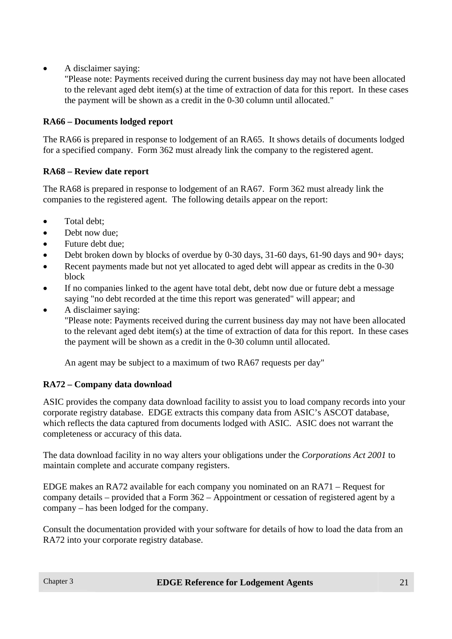• A disclaimer saying:

"Please note: Payments received during the current business day may not have been allocated to the relevant aged debt item(s) at the time of extraction of data for this report. In these cases the payment will be shown as a credit in the 0-30 column until allocated."

# **RA66 – Documents lodged report**

The RA66 is prepared in response to lodgement of an RA65. It shows details of documents lodged for a specified company. Form 362 must already link the company to the registered agent.

# **RA68 – Review date report**

The RA68 is prepared in response to lodgement of an RA67. Form 362 must already link the companies to the registered agent. The following details appear on the report:

- Total debt:
- Debt now due:
- Future debt due;
- Debt broken down by blocks of overdue by 0-30 days,  $31-60$  days,  $61-90$  days and  $90+$  days;
- Recent payments made but not yet allocated to aged debt will appear as credits in the 0-30 block
- If no companies linked to the agent have total debt, debt now due or future debt a message saying "no debt recorded at the time this report was generated" will appear; and
- A disclaimer saying:

"Please note: Payments received during the current business day may not have been allocated to the relevant aged debt item(s) at the time of extraction of data for this report. In these cases the payment will be shown as a credit in the 0-30 column until allocated.

An agent may be subject to a maximum of two RA67 requests per day"

# **RA72 – Company data download**

ASIC provides the company data download facility to assist you to load company records into your corporate registry database. EDGE extracts this company data from ASIC's ASCOT database, which reflects the data captured from documents lodged with ASIC. ASIC does not warrant the completeness or accuracy of this data.

The data download facility in no way alters your obligations under the *Corporations Act 2001* to maintain complete and accurate company registers.

EDGE makes an RA72 available for each company you nominated on an RA71 – Request for company details – provided that a Form 362 – Appointment or cessation of registered agent by a company – has been lodged for the company.

Consult the documentation provided with your software for details of how to load the data from an RA72 into your corporate registry database.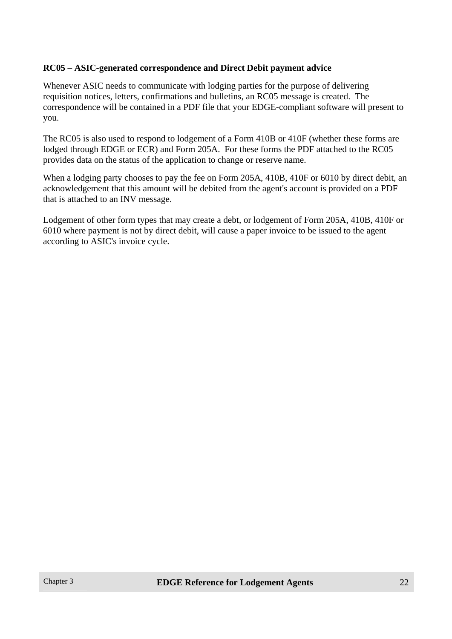#### **RC05 – ASIC-generated correspondence and Direct Debit payment advice**

Whenever ASIC needs to communicate with lodging parties for the purpose of delivering requisition notices, letters, confirmations and bulletins, an RC05 message is created. The correspondence will be contained in a PDF file that your EDGE-compliant software will present to you.

The RC05 is also used to respond to lodgement of a Form 410B or 410F (whether these forms are lodged through EDGE or ECR) and Form 205A. For these forms the PDF attached to the RC05 provides data on the status of the application to change or reserve name.

When a lodging party chooses to pay the fee on Form 205A, 410B, 410F or 6010 by direct debit, an acknowledgement that this amount will be debited from the agent's account is provided on a PDF that is attached to an INV message.

Lodgement of other form types that may create a debt, or lodgement of Form 205A, 410B, 410F or 6010 where payment is not by direct debit, will cause a paper invoice to be issued to the agent according to ASIC's invoice cycle.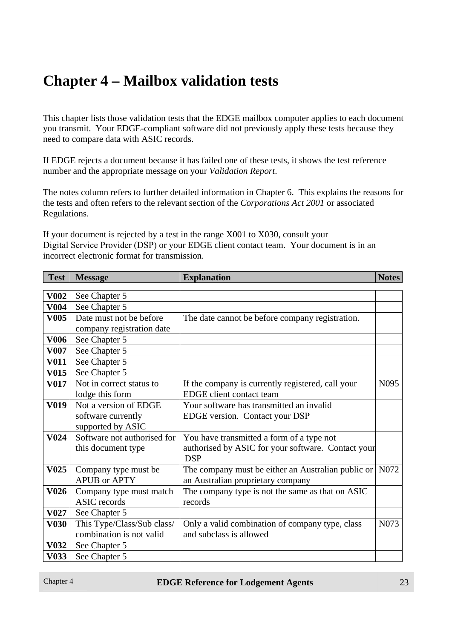# **Chapter 4 – Mailbox validation tests**

This chapter lists those validation tests that the EDGE mailbox computer applies to each document you transmit. Your EDGE-compliant software did not previously apply these tests because they need to compare data with ASIC records.

If EDGE rejects a document because it has failed one of these tests, it shows the test reference number and the appropriate message on your *Validation Report*.

The notes column refers to further detailed information in Chapter 6. This explains the reasons for the tests and often refers to the relevant section of the *Corporations Act 2001* or associated Regulations.

If your document is rejected by a test in the range X001 to X030, consult your Digital Service Provider (DSP) or your EDGE client contact team. Your document is in an incorrect electronic format for transmission.

| <b>Test</b>      | <b>Message</b>              | <b>Explanation</b>                                 | <b>Notes</b>     |
|------------------|-----------------------------|----------------------------------------------------|------------------|
|                  |                             |                                                    |                  |
| <b>V002</b>      | See Chapter 5               |                                                    |                  |
| <b>V004</b>      | See Chapter 5               |                                                    |                  |
| <b>V005</b>      | Date must not be before     | The date cannot be before company registration.    |                  |
|                  | company registration date   |                                                    |                  |
| <b>V006</b>      | See Chapter 5               |                                                    |                  |
| <b>V007</b>      | See Chapter 5               |                                                    |                  |
| <b>V011</b>      | See Chapter 5               |                                                    |                  |
| <b>V015</b>      | See Chapter 5               |                                                    |                  |
| <b>V017</b>      | Not in correct status to    | If the company is currently registered, call your  | N <sub>095</sub> |
|                  | lodge this form             | EDGE client contact team                           |                  |
| V019             | Not a version of EDGE       | Your software has transmitted an invalid           |                  |
|                  | software currently          | EDGE version. Contact your DSP                     |                  |
|                  | supported by ASIC           |                                                    |                  |
| <b>V024</b>      | Software not authorised for | You have transmitted a form of a type not          |                  |
|                  | this document type          | authorised by ASIC for your software. Contact your |                  |
|                  |                             | <b>DSP</b>                                         |                  |
| V <sub>025</sub> | Company type must be        | The company must be either an Australian public or | N072             |
|                  | <b>APUB or APTY</b>         | an Australian proprietary company                  |                  |
| <b>V026</b>      | Company type must match     | The company type is not the same as that on ASIC   |                  |
|                  | <b>ASIC</b> records         | records                                            |                  |
| <b>V027</b>      | See Chapter 5               |                                                    |                  |
| <b>V030</b>      | This Type/Class/Sub class/  | Only a valid combination of company type, class    | N073             |
|                  | combination is not valid    | and subclass is allowed                            |                  |
| <b>V032</b>      | See Chapter 5               |                                                    |                  |
| V033             | See Chapter 5               |                                                    |                  |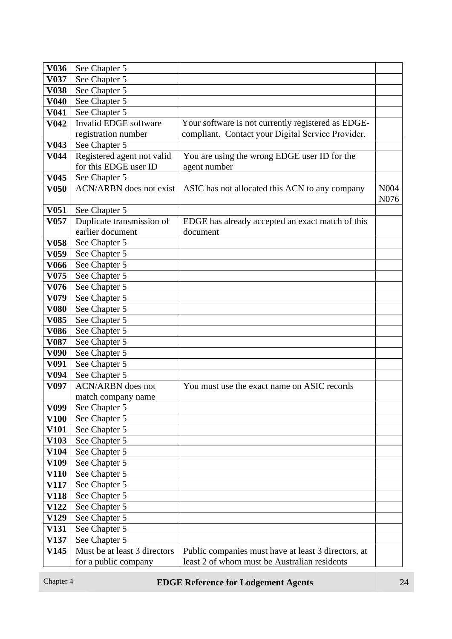| V <sub>0</sub> 36          | See Chapter 5                                       |                                                                                                         |              |
|----------------------------|-----------------------------------------------------|---------------------------------------------------------------------------------------------------------|--------------|
| V <sub>0</sub> 37          | See Chapter 5                                       |                                                                                                         |              |
| <b>V038</b><br><b>V040</b> | See Chapter 5                                       |                                                                                                         |              |
|                            | See Chapter 5                                       |                                                                                                         |              |
| <b>V041</b>                | See Chapter 5<br>Invalid EDGE software              |                                                                                                         |              |
| V <sub>042</sub>           |                                                     | Your software is not currently registered as EDGE-<br>compliant. Contact your Digital Service Provider. |              |
| $\overline{\text{V}043}$   | registration number                                 |                                                                                                         |              |
| V <sub>044</sub>           | See Chapter 5                                       |                                                                                                         |              |
|                            | Registered agent not valid<br>for this EDGE user ID | You are using the wrong EDGE user ID for the                                                            |              |
| <b>V045</b>                |                                                     | agent number                                                                                            |              |
|                            | See Chapter 5<br><b>ACN/ARBN</b> does not exist     |                                                                                                         |              |
| <b>V050</b>                |                                                     | ASIC has not allocated this ACN to any company                                                          | N004<br>N076 |
| V <sub>051</sub>           | See Chapter 5                                       |                                                                                                         |              |
|                            |                                                     |                                                                                                         |              |
| V <sub>057</sub>           | Duplicate transmission of<br>earlier document       | EDGE has already accepted an exact match of this<br>document                                            |              |
| <b>V058</b>                |                                                     |                                                                                                         |              |
| V <sub>059</sub>           | See Chapter 5<br>See Chapter 5                      |                                                                                                         |              |
| <b>V066</b>                | See Chapter 5                                       |                                                                                                         |              |
| V075                       | See Chapter 5                                       |                                                                                                         |              |
| V076                       | See Chapter 5                                       |                                                                                                         |              |
| V <sub>079</sub>           | See Chapter 5                                       |                                                                                                         |              |
| <b>V080</b>                | See Chapter 5                                       |                                                                                                         |              |
| <b>V085</b>                | See Chapter 5                                       |                                                                                                         |              |
| <b>V086</b>                | See Chapter 5                                       |                                                                                                         |              |
| V <sub>087</sub>           | See Chapter 5                                       |                                                                                                         |              |
| V <sub>090</sub>           | See Chapter 5                                       |                                                                                                         |              |
| V <sub>091</sub>           | See Chapter 5                                       |                                                                                                         |              |
| V094                       | See Chapter 5                                       |                                                                                                         |              |
| V <sub>097</sub>           | <b>ACN/ARBN</b> does not                            | You must use the exact name on ASIC records                                                             |              |
|                            | match company name                                  |                                                                                                         |              |
| V099                       | See Chapter 5                                       |                                                                                                         |              |
| <b>V100</b>                | See Chapter 5                                       |                                                                                                         |              |
| <b>V101</b>                | See Chapter 5                                       |                                                                                                         |              |
| V103                       | See Chapter 5                                       |                                                                                                         |              |
| V104                       | See Chapter 5                                       |                                                                                                         |              |
| V109                       | See Chapter 5                                       |                                                                                                         |              |
| V110                       | See Chapter 5                                       |                                                                                                         |              |
| V117                       | See Chapter 5                                       |                                                                                                         |              |
| V118                       | See Chapter 5                                       |                                                                                                         |              |
| V122                       | See Chapter 5                                       |                                                                                                         |              |
| V129                       | See Chapter 5                                       |                                                                                                         |              |
| V131                       | See Chapter 5                                       |                                                                                                         |              |
| V137                       | See Chapter 5                                       |                                                                                                         |              |
| V145                       | Must be at least 3 directors                        | Public companies must have at least 3 directors, at                                                     |              |
|                            | for a public company                                | least 2 of whom must be Australian residents                                                            |              |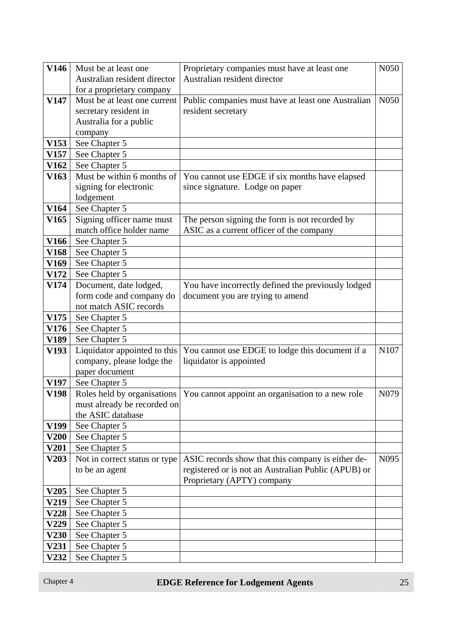| <b>V146</b>      | Must be at least one          | Proprietary companies must have at least one        | N050             |
|------------------|-------------------------------|-----------------------------------------------------|------------------|
|                  | Australian resident director  | Australian resident director                        |                  |
|                  | for a proprietary company     |                                                     |                  |
| V147             | Must be at least one current  | Public companies must have at least one Australian  | N <sub>050</sub> |
|                  | secretary resident in         | resident secretary                                  |                  |
|                  | Australia for a public        |                                                     |                  |
|                  | company                       |                                                     |                  |
| V153             | See Chapter 5                 |                                                     |                  |
| V <sub>157</sub> | See Chapter 5                 |                                                     |                  |
| <b>V162</b>      | See Chapter 5                 |                                                     |                  |
| V <sub>163</sub> | Must be within 6 months of    | You cannot use EDGE if six months have elapsed      |                  |
|                  | signing for electronic        | since signature. Lodge on paper                     |                  |
|                  | lodgement                     |                                                     |                  |
| V164             | See Chapter 5                 |                                                     |                  |
| V <sub>165</sub> | Signing officer name must     | The person signing the form is not recorded by      |                  |
|                  | match office holder name      | ASIC as a current officer of the company            |                  |
| V <sub>166</sub> | See Chapter 5                 |                                                     |                  |
| V168             | See Chapter 5                 |                                                     |                  |
| V <sub>169</sub> | See Chapter 5                 |                                                     |                  |
| <b>V172</b>      | See Chapter 5                 |                                                     |                  |
| V174             | Document, date lodged,        | You have incorrectly defined the previously lodged  |                  |
|                  | form code and company do      | document you are trying to amend                    |                  |
|                  | not match ASIC records        |                                                     |                  |
| V175             | See Chapter 5                 |                                                     |                  |
| V176             | See Chapter 5                 |                                                     |                  |
| V189             | See Chapter 5                 |                                                     |                  |
| V193             | Liquidator appointed to this  | You cannot use EDGE to lodge this document if a     | N107             |
|                  | company, please lodge the     | liquidator is appointed                             |                  |
|                  | paper document                |                                                     |                  |
| V197             | See Chapter 5                 |                                                     |                  |
| V198             | Roles held by organisations   | You cannot appoint an organisation to a new role    | N079             |
|                  | must already be recorded on   |                                                     |                  |
|                  | the ASIC database             |                                                     |                  |
| V199             | See Chapter 5                 |                                                     |                  |
| <b>V200</b>      | See Chapter 5                 |                                                     |                  |
| <b>V201</b>      | See Chapter 5                 |                                                     |                  |
| V203             | Not in correct status or type | ASIC records show that this company is either de-   | N <sub>095</sub> |
|                  | to be an agent                | registered or is not an Australian Public (APUB) or |                  |
|                  |                               | Proprietary (APTY) company                          |                  |
| <b>V205</b>      | See Chapter 5                 |                                                     |                  |
| V219             | See Chapter 5                 |                                                     |                  |
| V228             | See Chapter 5                 |                                                     |                  |
| V229             | See Chapter 5                 |                                                     |                  |
| <b>V230</b>      | See Chapter 5                 |                                                     |                  |
| V231             | See Chapter 5                 |                                                     |                  |
| V232             | See Chapter 5                 |                                                     |                  |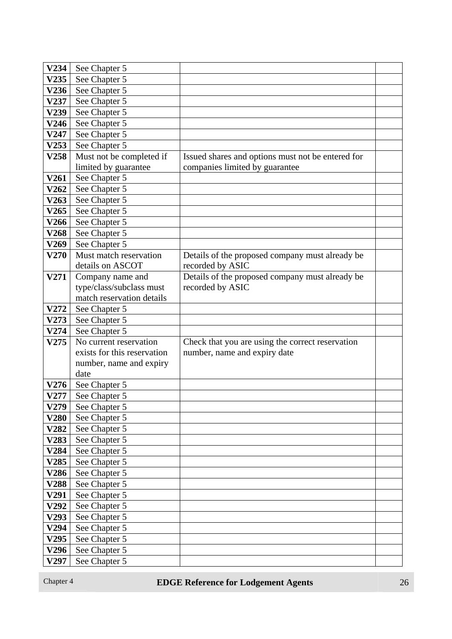| V234        | See Chapter 5               |                                                   |  |
|-------------|-----------------------------|---------------------------------------------------|--|
| V235        | See Chapter 5               |                                                   |  |
| V236        | See Chapter 5               |                                                   |  |
| V237        | See Chapter 5               |                                                   |  |
| V239        | See Chapter 5               |                                                   |  |
| V246        | See Chapter 5               |                                                   |  |
| V247        | See Chapter 5               |                                                   |  |
| V253        | See Chapter 5               |                                                   |  |
| V258        | Must not be completed if    | Issued shares and options must not be entered for |  |
|             | limited by guarantee        | companies limited by guarantee                    |  |
| V261        | See Chapter 5               |                                                   |  |
| V262        | See Chapter 5               |                                                   |  |
| V263        | See Chapter 5               |                                                   |  |
| V265        | See Chapter 5               |                                                   |  |
| V266        | See Chapter 5               |                                                   |  |
| <b>V268</b> | See Chapter 5               |                                                   |  |
| V269        | See Chapter 5               |                                                   |  |
| V270        | Must match reservation      | Details of the proposed company must already be   |  |
|             | details on ASCOT            | recorded by ASIC                                  |  |
| V271        | Company name and            | Details of the proposed company must already be   |  |
|             | type/class/subclass must    | recorded by ASIC                                  |  |
|             | match reservation details   |                                                   |  |
| V272        | See Chapter 5               |                                                   |  |
| V273        | See Chapter 5               |                                                   |  |
| V274        | See Chapter 5               |                                                   |  |
| V275        | No current reservation      | Check that you are using the correct reservation  |  |
|             | exists for this reservation | number, name and expiry date                      |  |
|             | number, name and expiry     |                                                   |  |
|             | date                        |                                                   |  |
| V276        | See Chapter 5               |                                                   |  |
| V277        | See Chapter 5               |                                                   |  |
| V279        | See Chapter 5               |                                                   |  |
| V280        | See Chapter 5               |                                                   |  |
| V282        | See Chapter 5               |                                                   |  |
| V283        | See Chapter 5               |                                                   |  |
| V284        | See Chapter 5               |                                                   |  |
| V285        | See Chapter 5               |                                                   |  |
| V286        | See Chapter 5               |                                                   |  |
| V288        | See Chapter 5               |                                                   |  |
| V291        | See Chapter 5               |                                                   |  |
| V292        | See Chapter 5               |                                                   |  |
| V293        | See Chapter 5               |                                                   |  |
| V294        | See Chapter 5               |                                                   |  |
|             |                             |                                                   |  |
| V295        | See Chapter 5               |                                                   |  |
| V296        | See Chapter 5               |                                                   |  |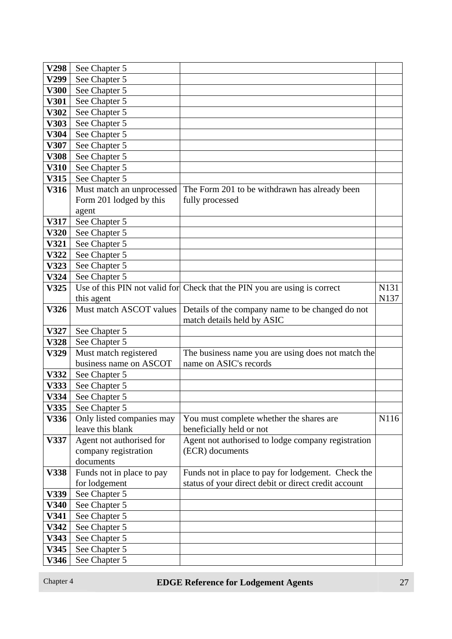| V298        | See Chapter 5             |                                                                           |      |
|-------------|---------------------------|---------------------------------------------------------------------------|------|
| V299        | See Chapter 5             |                                                                           |      |
| <b>V300</b> | See Chapter 5             |                                                                           |      |
| <b>V301</b> | See Chapter 5             |                                                                           |      |
| V302        | See Chapter 5             |                                                                           |      |
| V303        | See Chapter 5             |                                                                           |      |
| V304        | See Chapter 5             |                                                                           |      |
| V307        | See Chapter 5             |                                                                           |      |
| <b>V308</b> | See Chapter 5             |                                                                           |      |
| V310        | See Chapter 5             |                                                                           |      |
| <b>V315</b> | See Chapter 5             |                                                                           |      |
| V316        | Must match an unprocessed | The Form 201 to be withdrawn has already been                             |      |
|             | Form 201 lodged by this   | fully processed                                                           |      |
|             | agent                     |                                                                           |      |
| V317        | See Chapter 5             |                                                                           |      |
| V320        | See Chapter 5             |                                                                           |      |
| V321        | See Chapter 5             |                                                                           |      |
| V322        | See Chapter 5             |                                                                           |      |
| V323        | See Chapter 5             |                                                                           |      |
| V324        | See Chapter 5             |                                                                           |      |
| V325        |                           | Use of this PIN not valid for Check that the PIN you are using is correct | N131 |
|             | this agent                |                                                                           | N137 |
| V326        | Must match ASCOT values   | Details of the company name to be changed do not                          |      |
|             |                           | match details held by ASIC                                                |      |
| V327        | See Chapter 5             |                                                                           |      |
| <b>V328</b> | See Chapter 5             |                                                                           |      |
| V329        | Must match registered     | The business name you are using does not match the                        |      |
|             | business name on ASCOT    | name on ASIC's records                                                    |      |
| V332        | See Chapter 5             |                                                                           |      |
| V333        | See Chapter 5             |                                                                           |      |
| V334        | See Chapter 5             |                                                                           |      |
| V335        | See Chapter 5             |                                                                           |      |
| V336        | Only listed companies may | You must complete whether the shares are                                  | N116 |
|             | leave this blank          | beneficially held or not                                                  |      |
| V337        | Agent not authorised for  | Agent not authorised to lodge company registration                        |      |
|             | company registration      | (ECR) documents                                                           |      |
|             | documents                 |                                                                           |      |
| V338        | Funds not in place to pay | Funds not in place to pay for lodgement. Check the                        |      |
|             | for lodgement             | status of your direct debit or direct credit account                      |      |
| V339        | See Chapter 5             |                                                                           |      |
| V340        | See Chapter 5             |                                                                           |      |
| V341        | See Chapter 5             |                                                                           |      |
| V342        | See Chapter 5             |                                                                           |      |
| V343        | See Chapter 5             |                                                                           |      |
| V345        | See Chapter 5             |                                                                           |      |
| V346        | See Chapter 5             |                                                                           |      |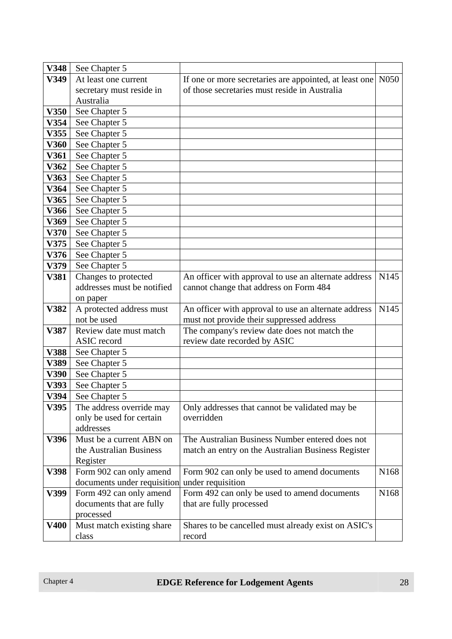| See Chapter 5<br>If one or more secretaries are appointed, at least one<br>V349<br>At least one current<br>of those secretaries must reside in Australia<br>secretary must reside in<br>Australia | N <sub>050</sub> |
|---------------------------------------------------------------------------------------------------------------------------------------------------------------------------------------------------|------------------|
|                                                                                                                                                                                                   |                  |
|                                                                                                                                                                                                   |                  |
|                                                                                                                                                                                                   |                  |
| V350<br>See Chapter 5                                                                                                                                                                             |                  |
| V354<br>See Chapter 5                                                                                                                                                                             |                  |
| V355<br>See Chapter 5                                                                                                                                                                             |                  |
| V360<br>See Chapter 5                                                                                                                                                                             |                  |
| See Chapter 5<br>V361                                                                                                                                                                             |                  |
| V362<br>See Chapter 5                                                                                                                                                                             |                  |
| V363<br>See Chapter 5                                                                                                                                                                             |                  |
| V364<br>See Chapter 5                                                                                                                                                                             |                  |
| See Chapter 5<br>V365                                                                                                                                                                             |                  |
| V366<br>See Chapter 5                                                                                                                                                                             |                  |
| V369<br>See Chapter 5                                                                                                                                                                             |                  |
| V370<br>See Chapter 5                                                                                                                                                                             |                  |
| V375<br>See Chapter 5                                                                                                                                                                             |                  |
| V376<br>See Chapter 5                                                                                                                                                                             |                  |
| V379<br>See Chapter 5                                                                                                                                                                             |                  |
| Changes to protected<br>V381<br>An officer with approval to use an alternate address                                                                                                              | N <sub>145</sub> |
| addresses must be notified<br>cannot change that address on Form 484                                                                                                                              |                  |
| on paper                                                                                                                                                                                          |                  |
| V382<br>A protected address must<br>An officer with approval to use an alternate address                                                                                                          | N <sub>145</sub> |
| not be used<br>must not provide their suppressed address                                                                                                                                          |                  |
| Review date must match<br>The company's review date does not match the<br>V387                                                                                                                    |                  |
| review date recorded by ASIC<br>ASIC record                                                                                                                                                       |                  |
| <b>V388</b><br>See Chapter 5                                                                                                                                                                      |                  |
| See Chapter 5<br>V389                                                                                                                                                                             |                  |
| V390<br>See Chapter 5                                                                                                                                                                             |                  |
| V393<br>See Chapter 5                                                                                                                                                                             |                  |
| V394<br>See Chapter 5                                                                                                                                                                             |                  |
| V395<br>The address override may<br>Only addresses that cannot be validated may be                                                                                                                |                  |
| only be used for certain<br>overridden                                                                                                                                                            |                  |
| addresses                                                                                                                                                                                         |                  |
| The Australian Business Number entered does not<br>V396<br>Must be a current ABN on                                                                                                               |                  |
| the Australian Business<br>match an entry on the Australian Business Register                                                                                                                     |                  |
| Register                                                                                                                                                                                          |                  |
| Form 902 can only amend<br>Form 902 can only be used to amend documents<br>V398                                                                                                                   | N168             |
| documents under requisition<br>under requisition                                                                                                                                                  |                  |
| Form 492 can only be used to amend documents<br>V399<br>Form 492 can only amend                                                                                                                   | N <sub>168</sub> |
| documents that are fully<br>that are fully processed<br>processed                                                                                                                                 |                  |
| Must match existing share<br>V400<br>Shares to be cancelled must already exist on ASIC's                                                                                                          |                  |
| class<br>record                                                                                                                                                                                   |                  |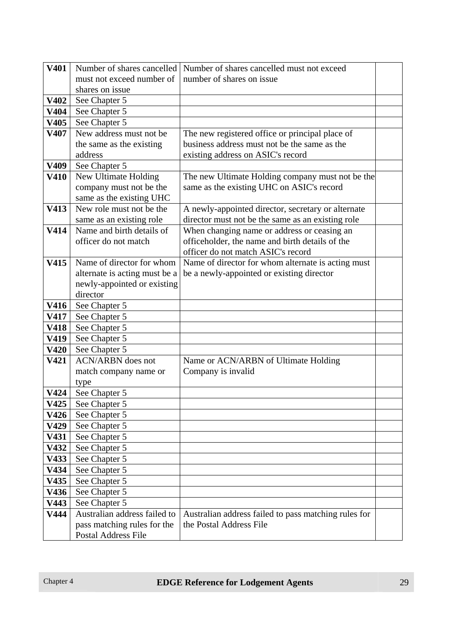| V401             | Number of shares cancelled    | Number of shares cancelled must not exceed           |  |
|------------------|-------------------------------|------------------------------------------------------|--|
|                  | must not exceed number of     | number of shares on issue                            |  |
|                  | shares on issue               |                                                      |  |
| V402             | See Chapter 5                 |                                                      |  |
| V404             | See Chapter 5                 |                                                      |  |
| V405             | See Chapter 5                 |                                                      |  |
| V407             | New address must not be       | The new registered office or principal place of      |  |
|                  | the same as the existing      | business address must not be the same as the         |  |
|                  | address                       | existing address on ASIC's record                    |  |
| V <sub>409</sub> | See Chapter 5                 |                                                      |  |
| V410             | New Ultimate Holding          | The new Ultimate Holding company must not be the     |  |
|                  | company must not be the       | same as the existing UHC on ASIC's record            |  |
|                  | same as the existing UHC      |                                                      |  |
| V413             | New role must not be the      | A newly-appointed director, secretary or alternate   |  |
|                  | same as an existing role      | director must not be the same as an existing role    |  |
| V414             | Name and birth details of     | When changing name or address or ceasing an          |  |
|                  | officer do not match          | officeholder, the name and birth details of the      |  |
|                  |                               | officer do not match ASIC's record                   |  |
| V415             | Name of director for whom     | Name of director for whom alternate is acting must   |  |
|                  | alternate is acting must be a | be a newly-appointed or existing director            |  |
|                  | newly-appointed or existing   |                                                      |  |
|                  | director                      |                                                      |  |
| V416             | See Chapter 5                 |                                                      |  |
| <b>V417</b>      | See Chapter 5                 |                                                      |  |
| <b>V418</b>      | See Chapter 5                 |                                                      |  |
| V419             | See Chapter 5                 |                                                      |  |
| <b>V420</b>      | See Chapter 5                 |                                                      |  |
| V421             | <b>ACN/ARBN</b> does not      | Name or ACN/ARBN of Ultimate Holding                 |  |
|                  | match company name or         | Company is invalid                                   |  |
|                  | type                          |                                                      |  |
| V424             | See Chapter 5                 |                                                      |  |
| V425             | See Chapter 5                 |                                                      |  |
| V426             | See Chapter 5                 |                                                      |  |
| V429             | See Chapter 5                 |                                                      |  |
| V431             | See Chapter 5                 |                                                      |  |
| V432             | See Chapter 5                 |                                                      |  |
| V433             | See Chapter 5                 |                                                      |  |
| V434             | See Chapter 5                 |                                                      |  |
| V435             | See Chapter 5                 |                                                      |  |
| V436             | See Chapter 5                 |                                                      |  |
| V443             | See Chapter 5                 |                                                      |  |
| V444             | Australian address failed to  | Australian address failed to pass matching rules for |  |
|                  | pass matching rules for the   | the Postal Address File                              |  |
|                  | Postal Address File           |                                                      |  |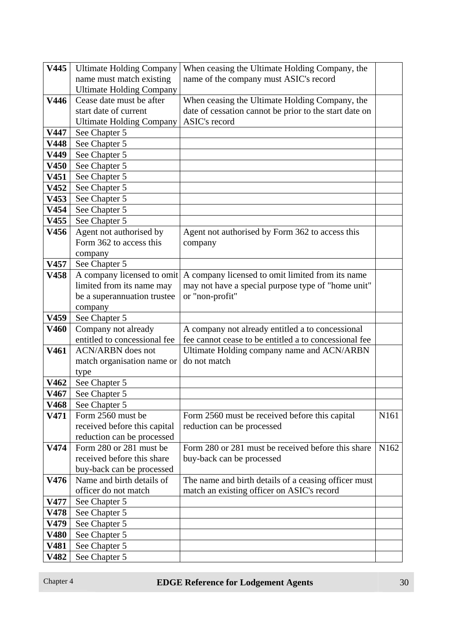| V445        | <b>Ultimate Holding Company</b> | When ceasing the Ultimate Holding Company, the         |                  |
|-------------|---------------------------------|--------------------------------------------------------|------------------|
|             | name must match existing        | name of the company must ASIC's record                 |                  |
|             | <b>Ultimate Holding Company</b> |                                                        |                  |
| V446        | Cease date must be after        | When ceasing the Ultimate Holding Company, the         |                  |
|             | start date of current           | date of cessation cannot be prior to the start date on |                  |
|             | <b>Ultimate Holding Company</b> | ASIC's record                                          |                  |
| V447        | See Chapter 5                   |                                                        |                  |
| V448        | See Chapter 5                   |                                                        |                  |
| V449        | See Chapter 5                   |                                                        |                  |
| V450        | See Chapter 5                   |                                                        |                  |
| V451        | See Chapter 5                   |                                                        |                  |
| V452        | See Chapter 5                   |                                                        |                  |
| V453        | See Chapter 5                   |                                                        |                  |
| V454        | See Chapter 5                   |                                                        |                  |
| V455        | See Chapter 5                   |                                                        |                  |
| V456        | Agent not authorised by         | Agent not authorised by Form 362 to access this        |                  |
|             | Form 362 to access this         | company                                                |                  |
|             | company                         |                                                        |                  |
| V457        | See Chapter 5                   |                                                        |                  |
| V458        | A company licensed to omit      | A company licensed to omit limited from its name       |                  |
|             | limited from its name may       | may not have a special purpose type of "home unit"     |                  |
|             | be a superannuation trustee     | or "non-profit"                                        |                  |
|             | company                         |                                                        |                  |
| V459        | See Chapter 5                   |                                                        |                  |
| <b>V460</b> | Company not already             | A company not already entitled a to concessional       |                  |
|             | entitled to concessional fee    | fee cannot cease to be entitled a to concessional fee  |                  |
| V461        | <b>ACN/ARBN</b> does not        | Ultimate Holding company name and ACN/ARBN             |                  |
|             | match organisation name or      | do not match                                           |                  |
|             | type                            |                                                        |                  |
| V462        | See Chapter 5                   |                                                        |                  |
| V467        | See Chapter 5                   |                                                        |                  |
| V468        | See Chapter 5                   |                                                        |                  |
| V471        | Form 2560 must be               | Form 2560 must be received before this capital         | N <sub>161</sub> |
|             | received before this capital    | reduction can be processed                             |                  |
|             | reduction can be processed      |                                                        |                  |
| V474        | Form 280 or 281 must be         | Form 280 or 281 must be received before this share     | N <sub>162</sub> |
|             | received before this share      | buy-back can be processed                              |                  |
|             | buy-back can be processed       |                                                        |                  |
| V476        | Name and birth details of       | The name and birth details of a ceasing officer must   |                  |
|             | officer do not match            | match an existing officer on ASIC's record             |                  |
| <b>V477</b> | See Chapter 5                   |                                                        |                  |
| V478        | See Chapter 5                   |                                                        |                  |
| V479        | See Chapter 5                   |                                                        |                  |
| <b>V480</b> | See Chapter 5                   |                                                        |                  |
| V481        | See Chapter 5                   |                                                        |                  |
| V482        | See Chapter 5                   |                                                        |                  |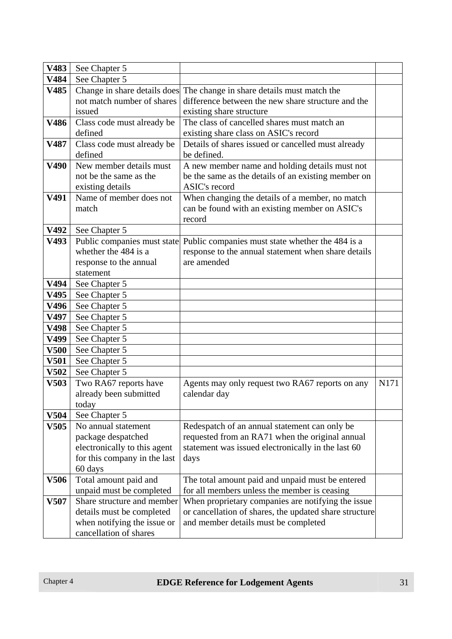| V483        | See Chapter 5                |                                                                         |      |
|-------------|------------------------------|-------------------------------------------------------------------------|------|
| V484        | See Chapter 5                |                                                                         |      |
| V485        |                              | Change in share details does The change in share details must match the |      |
|             | not match number of shares   | difference between the new share structure and the                      |      |
|             | issued                       | existing share structure                                                |      |
| V486        | Class code must already be   | The class of cancelled shares must match an                             |      |
|             | defined                      | existing share class on ASIC's record                                   |      |
| V487        | Class code must already be   | Details of shares issued or cancelled must already                      |      |
|             | defined                      | be defined.                                                             |      |
| V490        | New member details must      | A new member name and holding details must not                          |      |
|             | not be the same as the       | be the same as the details of an existing member on                     |      |
|             | existing details             | ASIC's record                                                           |      |
| V491        | Name of member does not      | When changing the details of a member, no match                         |      |
|             | match                        | can be found with an existing member on ASIC's                          |      |
|             |                              | record                                                                  |      |
| V492        | See Chapter 5                |                                                                         |      |
| V493        | Public companies must state  | Public companies must state whether the 484 is a                        |      |
|             | whether the 484 is a         | response to the annual statement when share details                     |      |
|             | response to the annual       | are amended                                                             |      |
|             | statement                    |                                                                         |      |
| V494        | See Chapter 5                |                                                                         |      |
| V495        | See Chapter 5                |                                                                         |      |
| V496        | See Chapter 5                |                                                                         |      |
| V497        | See Chapter 5                |                                                                         |      |
| V498        | See Chapter 5                |                                                                         |      |
| V499        | See Chapter 5                |                                                                         |      |
| <b>V500</b> | See Chapter 5                |                                                                         |      |
| <b>V501</b> | See Chapter 5                |                                                                         |      |
| <b>V502</b> | See Chapter 5                |                                                                         |      |
| V503        | Two RA67 reports have        | Agents may only request two RA67 reports on any                         | N171 |
|             | already been submitted       | calendar day                                                            |      |
|             | today                        |                                                                         |      |
| <b>V504</b> | See Chapter 5                |                                                                         |      |
| V505        | No annual statement          | Redespatch of an annual statement can only be                           |      |
|             | package despatched           | requested from an RA71 when the original annual                         |      |
|             | electronically to this agent | statement was issued electronically in the last 60                      |      |
|             | for this company in the last | days                                                                    |      |
|             | 60 days                      |                                                                         |      |
| <b>V506</b> | Total amount paid and        | The total amount paid and unpaid must be entered                        |      |
|             | unpaid must be completed     | for all members unless the member is ceasing                            |      |
| <b>V507</b> | Share structure and member   | When proprietary companies are notifying the issue                      |      |
|             | details must be completed    | or cancellation of shares, the updated share structure                  |      |
|             | when notifying the issue or  | and member details must be completed                                    |      |
|             | cancellation of shares       |                                                                         |      |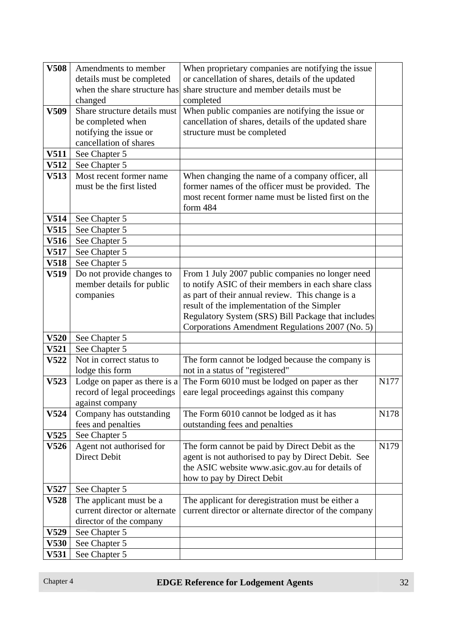| <b>V508</b> | Amendments to member          | When proprietary companies are notifying the issue    |      |
|-------------|-------------------------------|-------------------------------------------------------|------|
|             | details must be completed     | or cancellation of shares, details of the updated     |      |
|             | when the share structure has  | share structure and member details must be            |      |
|             | changed                       | completed                                             |      |
| V509        | Share structure details must  | When public companies are notifying the issue or      |      |
|             | be completed when             | cancellation of shares, details of the updated share  |      |
|             | notifying the issue or        | structure must be completed                           |      |
|             | cancellation of shares        |                                                       |      |
| <b>V511</b> | See Chapter 5                 |                                                       |      |
| V512        | See Chapter 5                 |                                                       |      |
| V513        | Most recent former name       | When changing the name of a company officer, all      |      |
|             | must be the first listed      | former names of the officer must be provided. The     |      |
|             |                               | most recent former name must be listed first on the   |      |
|             |                               | form 484                                              |      |
| V514        | See Chapter 5                 |                                                       |      |
| V515        | See Chapter 5                 |                                                       |      |
| V516        | See Chapter 5                 |                                                       |      |
| V517        | See Chapter 5                 |                                                       |      |
| V518        | See Chapter 5                 |                                                       |      |
| V519        | Do not provide changes to     | From 1 July 2007 public companies no longer need      |      |
|             | member details for public     | to notify ASIC of their members in each share class   |      |
|             | companies                     | as part of their annual review. This change is a      |      |
|             |                               | result of the implementation of the Simpler           |      |
|             |                               | Regulatory System (SRS) Bill Package that includes    |      |
|             |                               | Corporations Amendment Regulations 2007 (No. 5)       |      |
| <b>V520</b> | See Chapter 5                 |                                                       |      |
| V521        | See Chapter 5                 |                                                       |      |
| V522        | Not in correct status to      | The form cannot be lodged because the company is      |      |
|             | lodge this form               | not in a status of "registered"                       |      |
| V523        | Lodge on paper as there is a  | The Form 6010 must be lodged on paper as ther         | N177 |
|             | record of legal proceedings   | eare legal proceedings against this company           |      |
|             | against company               |                                                       |      |
| V524        | Company has outstanding       | The Form 6010 cannot be lodged as it has              | N178 |
|             | fees and penalties            | outstanding fees and penalties                        |      |
| V525        | See Chapter 5                 |                                                       |      |
| <b>V526</b> | Agent not authorised for      | The form cannot be paid by Direct Debit as the        | N179 |
|             | Direct Debit                  | agent is not authorised to pay by Direct Debit. See   |      |
|             |                               | the ASIC website www.asic.gov.au for details of       |      |
|             |                               | how to pay by Direct Debit                            |      |
| V527        | See Chapter 5                 |                                                       |      |
| V528        | The applicant must be a       | The applicant for deregistration must be either a     |      |
|             | current director or alternate | current director or alternate director of the company |      |
|             | director of the company       |                                                       |      |
| V529        | See Chapter 5                 |                                                       |      |
| <b>V530</b> | See Chapter 5                 |                                                       |      |
| V531        | See Chapter 5                 |                                                       |      |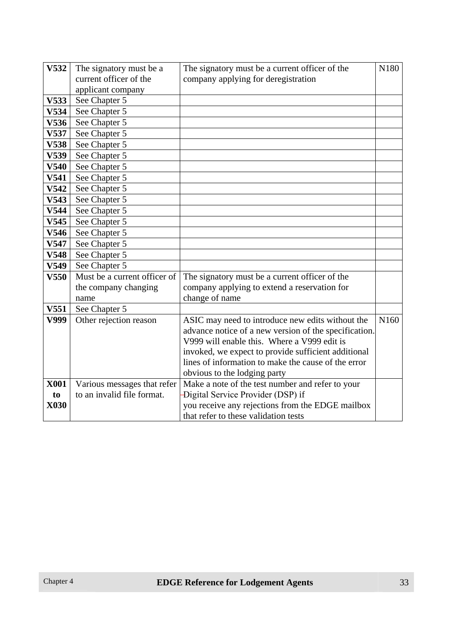| V532             | The signatory must be a      | The signatory must be a current officer of the        | N180             |
|------------------|------------------------------|-------------------------------------------------------|------------------|
|                  | current officer of the       | company applying for deregistration                   |                  |
|                  | applicant company            |                                                       |                  |
| V533             | See Chapter 5                |                                                       |                  |
| V534             | See Chapter 5                |                                                       |                  |
| V536             | See Chapter 5                |                                                       |                  |
| V537             | See Chapter 5                |                                                       |                  |
| <b>V538</b>      | See Chapter 5                |                                                       |                  |
| V539             | See Chapter 5                |                                                       |                  |
| V540             | See Chapter 5                |                                                       |                  |
| V541             | See Chapter 5                |                                                       |                  |
| V542             | See Chapter 5                |                                                       |                  |
| V543             | See Chapter 5                |                                                       |                  |
| V544             | See Chapter 5                |                                                       |                  |
| V545             | See Chapter 5                |                                                       |                  |
| V546             | See Chapter 5                |                                                       |                  |
| V547             | See Chapter 5                |                                                       |                  |
| V548             | See Chapter 5                |                                                       |                  |
| V549             | See Chapter 5                |                                                       |                  |
| V550             | Must be a current officer of | The signatory must be a current officer of the        |                  |
|                  | the company changing         | company applying to extend a reservation for          |                  |
|                  | name                         | change of name                                        |                  |
| V <sub>551</sub> | See Chapter 5                |                                                       |                  |
| V999             | Other rejection reason       | ASIC may need to introduce new edits without the      | N <sub>160</sub> |
|                  |                              | advance notice of a new version of the specification. |                  |
|                  |                              | V999 will enable this. Where a V999 edit is           |                  |
|                  |                              | invoked, we expect to provide sufficient additional   |                  |
|                  |                              | lines of information to make the cause of the error   |                  |
|                  |                              | obvious to the lodging party                          |                  |
| <b>X001</b>      | Various messages that refer  | Make a note of the test number and refer to your      |                  |
| to               | to an invalid file format.   | Digital Service Provider (DSP) if                     |                  |
| X030             |                              | you receive any rejections from the EDGE mailbox      |                  |
|                  |                              | that refer to these validation tests                  |                  |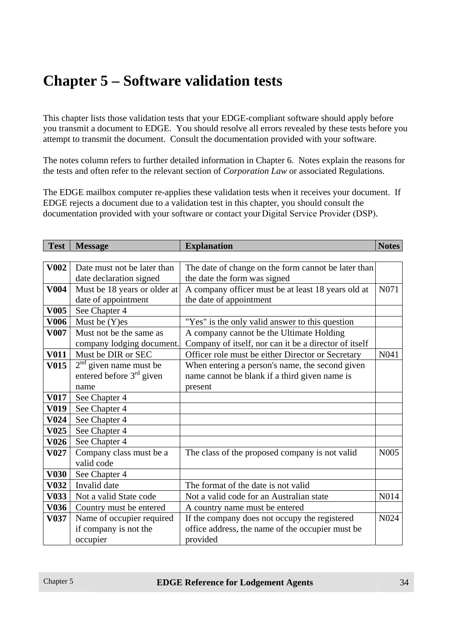# **Chapter 5 – Software validation tests**

This chapter lists those validation tests that your EDGE-compliant software should apply before you transmit a document to EDGE. You should resolve all errors revealed by these tests before you attempt to transmit the document. Consult the documentation provided with your software.

The notes column refers to further detailed information in Chapter 6. Notes explain the reasons for the tests and often refer to the relevant section of *Corporation Law* or associated Regulations.

The EDGE mailbox computer re-applies these validation tests when it receives your document. If EDGE rejects a document due to a validation test in this chapter, you should consult the documentation provided with your software or contact your Digital Service Provider (DSP).

| <b>Test</b> | <b>Message</b>               | <b>Explanation</b>                                    | <b>Notes</b>      |
|-------------|------------------------------|-------------------------------------------------------|-------------------|
|             |                              |                                                       |                   |
| <b>V002</b> | Date must not be later than  | The date of change on the form cannot be later than   |                   |
|             | date declaration signed      | the date the form was signed                          |                   |
| <b>V004</b> | Must be 18 years or older at | A company officer must be at least 18 years old at    | N071              |
|             | date of appointment          | the date of appointment                               |                   |
| <b>V005</b> | See Chapter 4                |                                                       |                   |
| <b>V006</b> | Must be (Y)es                | "Yes" is the only valid answer to this question       |                   |
| <b>V007</b> | Must not be the same as      | A company cannot be the Ultimate Holding              |                   |
|             | company lodging document.    | Company of itself, nor can it be a director of itself |                   |
| <b>V011</b> | Must be DIR or SEC           | Officer role must be either Director or Secretary     | N041              |
| <b>V015</b> | $2nd$ given name must be     | When entering a person's name, the second given       |                   |
|             | entered before $3rd$ given   | name cannot be blank if a third given name is         |                   |
|             | name                         | present                                               |                   |
| V017        | See Chapter 4                |                                                       |                   |
| <b>V019</b> | See Chapter 4                |                                                       |                   |
| <b>V024</b> | See Chapter 4                |                                                       |                   |
| <b>V025</b> | See Chapter 4                |                                                       |                   |
| V026        | See Chapter 4                |                                                       |                   |
| <b>V027</b> | Company class must be a      | The class of the proposed company is not valid        | N <sub>005</sub>  |
|             | valid code                   |                                                       |                   |
| <b>V030</b> | See Chapter 4                |                                                       |                   |
| <b>V032</b> | Invalid date                 | The format of the date is not valid                   |                   |
| <b>V033</b> | Not a valid State code       | Not a valid code for an Australian state              | N014              |
| <b>V036</b> | Country must be entered      | A country name must be entered                        |                   |
| V037        | Name of occupier required    | If the company does not occupy the registered         | N <sub>0</sub> 24 |
|             | if company is not the        | office address, the name of the occupier must be      |                   |
|             | occupier                     | provided                                              |                   |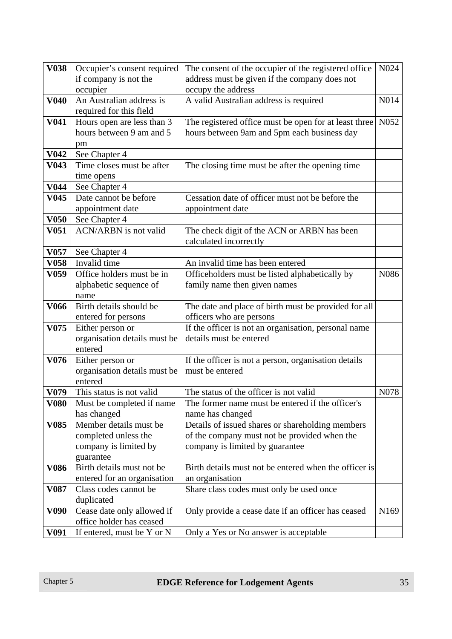| <b>V038</b>       | Occupier's consent required  | The consent of the occupier of the registered office  | N024             |
|-------------------|------------------------------|-------------------------------------------------------|------------------|
|                   | if company is not the        | address must be given if the company does not         |                  |
|                   | occupier                     | occupy the address                                    |                  |
| <b>V040</b>       | An Australian address is     | A valid Australian address is required                | N014             |
|                   | required for this field      |                                                       |                  |
| <b>V041</b>       | Hours open are less than 3   | The registered office must be open for at least three | N <sub>052</sub> |
|                   | hours between 9 am and 5     | hours between 9am and 5pm each business day           |                  |
|                   | pm                           |                                                       |                  |
| V <sub>042</sub>  | See Chapter 4                |                                                       |                  |
| V <sub>043</sub>  | Time closes must be after    | The closing time must be after the opening time       |                  |
|                   | time opens                   |                                                       |                  |
| V <sub>044</sub>  | See Chapter 4                |                                                       |                  |
| V <sub>045</sub>  | Date cannot be before        | Cessation date of officer must not be before the      |                  |
|                   | appointment date             | appointment date                                      |                  |
| <b>V050</b>       | See Chapter 4                |                                                       |                  |
| V <sub>051</sub>  | <b>ACN/ARBN</b> is not valid | The check digit of the ACN or ARBN has been           |                  |
|                   |                              | calculated incorrectly                                |                  |
| V057              | See Chapter 4                |                                                       |                  |
| <b>V058</b>       | Invalid time                 | An invalid time has been entered                      |                  |
| V <sub>059</sub>  | Office holders must be in    | Officeholders must be listed alphabetically by        | N086             |
|                   | alphabetic sequence of       | family name then given names                          |                  |
|                   | name                         |                                                       |                  |
| <b>V066</b>       | Birth details should be      | The date and place of birth must be provided for all  |                  |
|                   | entered for persons          | officers who are persons                              |                  |
| V075              | Either person or             | If the officer is not an organisation, personal name  |                  |
|                   | organisation details must be | details must be entered                               |                  |
|                   | entered                      |                                                       |                  |
| V076              | Either person or             | If the officer is not a person, organisation details  |                  |
|                   | organisation details must be | must be entered                                       |                  |
|                   | entered                      |                                                       |                  |
| V079              | This status is not valid     | The status of the officer is not valid                | N078             |
| V080              | Must be completed if name    | The former name must be entered if the officer's      |                  |
|                   | has changed                  | name has changed                                      |                  |
| V <sub>0</sub> 85 | Member details must be       | Details of issued shares or shareholding members      |                  |
|                   | completed unless the         | of the company must not be provided when the          |                  |
|                   | company is limited by        | company is limited by guarantee                       |                  |
|                   | guarantee                    |                                                       |                  |
| <b>V086</b>       | Birth details must not be    | Birth details must not be entered when the officer is |                  |
|                   | entered for an organisation  | an organisation                                       |                  |
| V <sub>0</sub> 87 | Class codes cannot be        | Share class codes must only be used once              |                  |
|                   | duplicated                   |                                                       |                  |
| V090              | Cease date only allowed if   | Only provide a cease date if an officer has ceased    | N <sub>169</sub> |
|                   | office holder has ceased     |                                                       |                  |
| V091              | If entered, must be Y or N   | Only a Yes or No answer is acceptable                 |                  |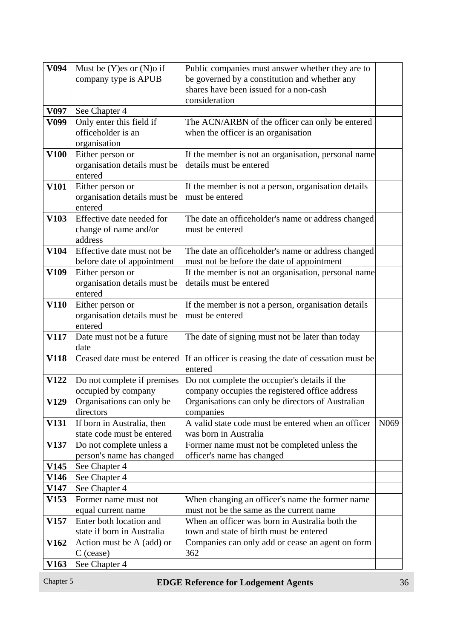| V <sub>094</sub> | Must be $(Y)$ es or $(N)$ o if                          | Public companies must answer whether they are to         |                  |
|------------------|---------------------------------------------------------|----------------------------------------------------------|------------------|
|                  | company type is APUB                                    | be governed by a constitution and whether any            |                  |
|                  |                                                         | shares have been issued for a non-cash<br>consideration  |                  |
| V097             | See Chapter 4                                           |                                                          |                  |
| V099             | Only enter this field if                                | The ACN/ARBN of the officer can only be entered          |                  |
|                  | officeholder is an                                      | when the officer is an organisation                      |                  |
|                  | organisation                                            |                                                          |                  |
| <b>V100</b>      | Either person or                                        | If the member is not an organisation, personal name      |                  |
|                  | organisation details must be                            | details must be entered                                  |                  |
|                  | entered                                                 |                                                          |                  |
| <b>V101</b>      | Either person or                                        | If the member is not a person, organisation details      |                  |
|                  | organisation details must be                            | must be entered                                          |                  |
|                  | entered                                                 |                                                          |                  |
| V103             | Effective date needed for                               | The date an officeholder's name or address changed       |                  |
|                  | change of name and/or<br>address                        | must be entered                                          |                  |
| V104             | Effective date must not be                              | The date an officeholder's name or address changed       |                  |
|                  | before date of appointment                              | must not be before the date of appointment               |                  |
| V109             | Either person or                                        | If the member is not an organisation, personal name      |                  |
|                  | organisation details must be                            | details must be entered                                  |                  |
|                  | entered                                                 |                                                          |                  |
| <b>V110</b>      | Either person or                                        | If the member is not a person, organisation details      |                  |
|                  | organisation details must be                            | must be entered                                          |                  |
|                  | entered                                                 |                                                          |                  |
| V117             | Date must not be a future                               | The date of signing must not be later than today         |                  |
|                  | date                                                    |                                                          |                  |
| <b>V118</b>      | Ceased date must be entered                             | If an officer is ceasing the date of cessation must be   |                  |
| <b>V122</b>      | Do not complete if premises                             | entered<br>Do not complete the occupier's details if the |                  |
|                  | occupied by company                                     | company occupies the registered office address           |                  |
| <b>V129</b>      | Organisations can only be                               | Organisations can only be directors of Australian        |                  |
|                  | directors                                               | companies                                                |                  |
| <b>V131</b>      | If born in Australia, then                              | A valid state code must be entered when an officer       | N <sub>069</sub> |
|                  | state code must be entered                              | was born in Australia                                    |                  |
| V137             | Do not complete unless a                                | Former name must not be completed unless the             |                  |
|                  | person's name has changed                               | officer's name has changed                               |                  |
| V145             | See Chapter 4                                           |                                                          |                  |
| <b>V146</b>      | See Chapter 4                                           |                                                          |                  |
| <b>V147</b>      | See Chapter 4                                           |                                                          |                  |
| V153             | Former name must not                                    | When changing an officer's name the former name          |                  |
|                  | equal current name                                      | must not be the same as the current name                 |                  |
| V157             | Enter both location and                                 | When an officer was born in Australia both the           |                  |
| V162             | state if born in Australia<br>Action must be A (add) or | town and state of birth must be entered                  |                  |
|                  | $C$ (cease)                                             | Companies can only add or cease an agent on form<br>362  |                  |
| V163             | See Chapter 4                                           |                                                          |                  |
|                  |                                                         |                                                          |                  |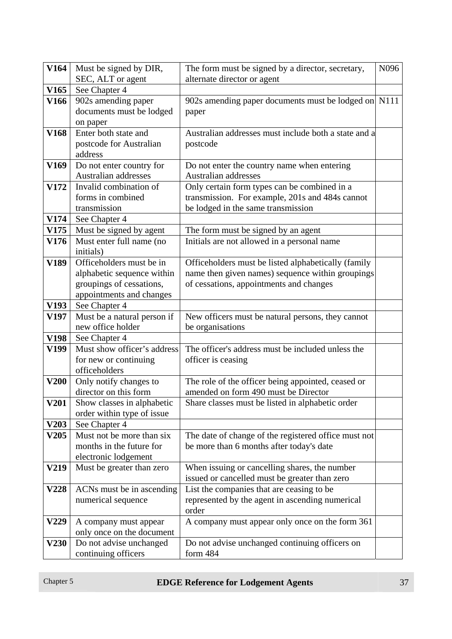| <b>V164</b>      | Must be signed by DIR,                      | The form must be signed by a director, secretary,    | N096 |
|------------------|---------------------------------------------|------------------------------------------------------|------|
|                  | SEC, ALT or agent                           | alternate director or agent                          |      |
| V <sub>165</sub> | See Chapter 4                               |                                                      |      |
| <b>V166</b>      | 902s amending paper                         | 902s amending paper documents must be lodged on N111 |      |
|                  | documents must be lodged                    | paper                                                |      |
|                  | on paper                                    |                                                      |      |
| V168             | Enter both state and                        | Australian addresses must include both a state and a |      |
|                  | postcode for Australian                     | postcode                                             |      |
|                  | address                                     |                                                      |      |
| V169             | Do not enter country for                    | Do not enter the country name when entering          |      |
|                  | Australian addresses                        | Australian addresses                                 |      |
| V172             | Invalid combination of                      | Only certain form types can be combined in a         |      |
|                  | forms in combined                           | transmission. For example, 201s and 484s cannot      |      |
|                  | transmission                                | be lodged in the same transmission                   |      |
| <b>V174</b>      | See Chapter 4                               |                                                      |      |
| V175             | Must be signed by agent                     | The form must be signed by an agent                  |      |
| V176             | Must enter full name (no                    | Initials are not allowed in a personal name          |      |
|                  | initials)                                   |                                                      |      |
| V189             | Officeholders must be in                    | Officeholders must be listed alphabetically (family  |      |
|                  | alphabetic sequence within                  | name then given names) sequence within groupings     |      |
|                  | groupings of cessations,                    | of cessations, appointments and changes              |      |
|                  | appointments and changes                    |                                                      |      |
| V193             | See Chapter 4                               |                                                      |      |
| V197             | Must be a natural person if                 | New officers must be natural persons, they cannot    |      |
|                  | new office holder                           | be organisations                                     |      |
| V198             | See Chapter 4                               |                                                      |      |
| V199             | Must show officer's address                 | The officer's address must be included unless the    |      |
|                  | for new or continuing                       | officer is ceasing                                   |      |
|                  | officeholders                               |                                                      |      |
| <b>V200</b>      | Only notify changes to                      | The role of the officer being appointed, ceased or   |      |
| <b>V201</b>      | director on this form                       | amended on form 490 must be Director                 |      |
|                  | Show classes in alphabetic                  | Share classes must be listed in alphabetic order     |      |
| V203             | order within type of issue<br>See Chapter 4 |                                                      |      |
| V205             | Must not be more than six                   | The date of change of the registered office must not |      |
|                  | months in the future for                    | be more than 6 months after today's date             |      |
|                  | electronic lodgement                        |                                                      |      |
| V219             | Must be greater than zero                   | When issuing or cancelling shares, the number        |      |
|                  |                                             | issued or cancelled must be greater than zero        |      |
| V228             | ACNs must be in ascending                   | List the companies that are ceasing to be            |      |
|                  | numerical sequence                          | represented by the agent in ascending numerical      |      |
|                  |                                             | order                                                |      |
| V229             | A company must appear                       | A company must appear only once on the form 361      |      |
|                  | only once on the document                   |                                                      |      |
| V230             | Do not advise unchanged                     | Do not advise unchanged continuing officers on       |      |
|                  | continuing officers                         | form 484                                             |      |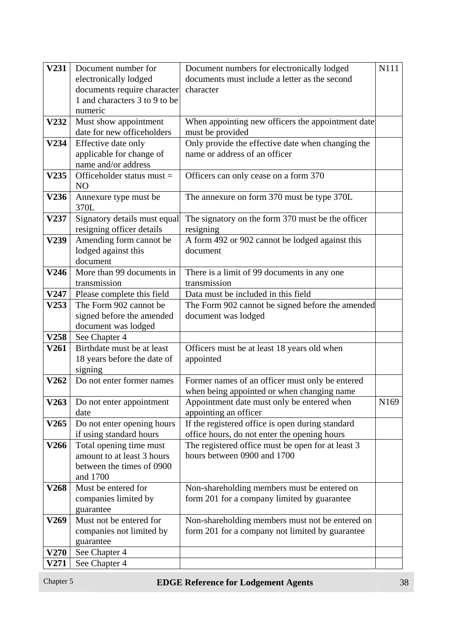| V231             | Document number for           | Document numbers for electronically lodged                  | N111             |
|------------------|-------------------------------|-------------------------------------------------------------|------------------|
|                  | electronically lodged         | documents must include a letter as the second               |                  |
|                  | documents require character   | character                                                   |                  |
|                  | 1 and characters 3 to 9 to be |                                                             |                  |
|                  | numeric                       |                                                             |                  |
| <b>V232</b>      | Must show appointment         | When appointing new officers the appointment date           |                  |
|                  | date for new officeholders    | must be provided                                            |                  |
| V234             | Effective date only           | Only provide the effective date when changing the           |                  |
|                  | applicable for change of      | name or address of an officer                               |                  |
|                  | name and/or address           |                                                             |                  |
| V <sub>235</sub> | Officeholder status must =    | Officers can only cease on a form 370                       |                  |
|                  | N <sub>O</sub>                |                                                             |                  |
| <b>V236</b>      | Annexure type must be         | The annexure on form 370 must be type 370L                  |                  |
|                  | 370L                          |                                                             |                  |
| V237             | Signatory details must equal  | The signatory on the form 370 must be the officer           |                  |
|                  | resigning officer details     | resigning                                                   |                  |
| V239             | Amending form cannot be       | A form 492 or 902 cannot be lodged against this             |                  |
|                  | lodged against this           | document                                                    |                  |
|                  | document                      |                                                             |                  |
| V246             | More than 99 documents in     |                                                             |                  |
|                  | transmission                  | There is a limit of 99 documents in any one<br>transmission |                  |
|                  |                               | Data must be included in this field                         |                  |
| <b>V247</b>      | Please complete this field    |                                                             |                  |
| V253             | The Form 902 cannot be        | The Form 902 cannot be signed before the amended            |                  |
|                  | signed before the amended     | document was lodged                                         |                  |
|                  | document was lodged           |                                                             |                  |
| <b>V258</b>      | See Chapter 4                 |                                                             |                  |
| V261             | Birthdate must be at least    | Officers must be at least 18 years old when                 |                  |
|                  | 18 years before the date of   | appointed                                                   |                  |
|                  | signing                       |                                                             |                  |
| V262             | Do not enter former names     | Former names of an officer must only be entered             |                  |
|                  |                               | when being appointed or when changing name                  |                  |
| V263             | Do not enter appointment      | Appointment date must only be entered when                  | N <sub>169</sub> |
|                  | date                          | appointing an officer                                       |                  |
| V265             | Do not enter opening hours    | If the registered office is open during standard            |                  |
|                  | if using standard hours       | office hours, do not enter the opening hours                |                  |
| V266             | Total opening time must       | The registered office must be open for at least 3           |                  |
|                  | amount to at least 3 hours    | hours between 0900 and 1700                                 |                  |
|                  | between the times of 0900     |                                                             |                  |
|                  | and 1700                      |                                                             |                  |
| V268             | Must be entered for           | Non-shareholding members must be entered on                 |                  |
|                  | companies limited by          | form 201 for a company limited by guarantee                 |                  |
|                  | guarantee                     |                                                             |                  |
| V269             | Must not be entered for       | Non-shareholding members must not be entered on             |                  |
|                  | companies not limited by      | form 201 for a company not limited by guarantee             |                  |
|                  | guarantee                     |                                                             |                  |
| <b>V270</b>      | See Chapter 4                 |                                                             |                  |
| <b>V271</b>      | See Chapter 4                 |                                                             |                  |
|                  |                               |                                                             |                  |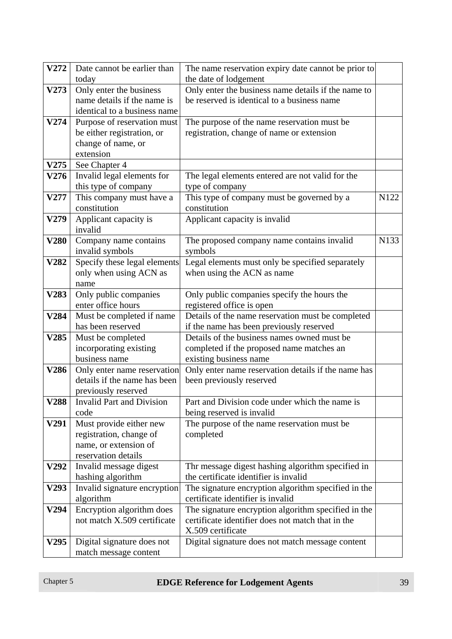| V272 | Date cannot be earlier than                              | The name reservation expiry date cannot be prior to                                                      |      |
|------|----------------------------------------------------------|----------------------------------------------------------------------------------------------------------|------|
|      | today                                                    | the date of lodgement                                                                                    |      |
| V273 | Only enter the business                                  | Only enter the business name details if the name to                                                      |      |
|      | name details if the name is                              | be reserved is identical to a business name                                                              |      |
|      | identical to a business name                             |                                                                                                          |      |
| V274 | Purpose of reservation must                              | The purpose of the name reservation must be                                                              |      |
|      | be either registration, or                               | registration, change of name or extension                                                                |      |
|      | change of name, or                                       |                                                                                                          |      |
|      | extension                                                |                                                                                                          |      |
| V275 | See Chapter 4                                            |                                                                                                          |      |
| V276 | Invalid legal elements for                               | The legal elements entered are not valid for the                                                         |      |
|      | this type of company                                     | type of company                                                                                          |      |
| V277 | This company must have a                                 | This type of company must be governed by a                                                               | N122 |
|      | constitution                                             | constitution                                                                                             |      |
| V279 | Applicant capacity is                                    | Applicant capacity is invalid                                                                            |      |
|      | invalid                                                  |                                                                                                          |      |
| V280 | Company name contains                                    | The proposed company name contains invalid                                                               | N133 |
|      | invalid symbols                                          | symbols                                                                                                  |      |
| V282 | Specify these legal elements                             | Legal elements must only be specified separately                                                         |      |
|      | only when using ACN as                                   | when using the ACN as name                                                                               |      |
|      | name                                                     |                                                                                                          |      |
| V283 | Only public companies<br>enter office hours              | Only public companies specify the hours the                                                              |      |
| V284 | Must be completed if name                                | registered office is open<br>Details of the name reservation must be completed                           |      |
|      | has been reserved                                        | if the name has been previously reserved                                                                 |      |
| V285 | Must be completed                                        | Details of the business names owned must be                                                              |      |
|      | incorporating existing                                   | completed if the proposed name matches an                                                                |      |
|      | business name                                            | existing business name                                                                                   |      |
| V286 | Only enter name reservation                              | Only enter name reservation details if the name has                                                      |      |
|      | details if the name has been                             | been previously reserved                                                                                 |      |
|      | previously reserved                                      |                                                                                                          |      |
|      | V288 Invalid Part and Division                           | Part and Division code under which the name is                                                           |      |
|      | code                                                     | being reserved is invalid                                                                                |      |
| V291 | Must provide either new                                  | The purpose of the name reservation must be                                                              |      |
|      | registration, change of                                  | completed                                                                                                |      |
|      | name, or extension of                                    |                                                                                                          |      |
|      | reservation details                                      |                                                                                                          |      |
| V292 | Invalid message digest                                   | Thr message digest hashing algorithm specified in                                                        |      |
|      | hashing algorithm                                        | the certificate identifier is invalid                                                                    |      |
| V293 | Invalid signature encryption                             | The signature encryption algorithm specified in the                                                      |      |
|      | algorithm                                                | certificate identifier is invalid                                                                        |      |
| V294 | Encryption algorithm does<br>not match X.509 certificate | The signature encryption algorithm specified in the<br>certificate identifier does not match that in the |      |
|      |                                                          | X.509 certificate                                                                                        |      |
| V295 | Digital signature does not                               | Digital signature does not match message content                                                         |      |
|      | match message content                                    |                                                                                                          |      |
|      |                                                          |                                                                                                          |      |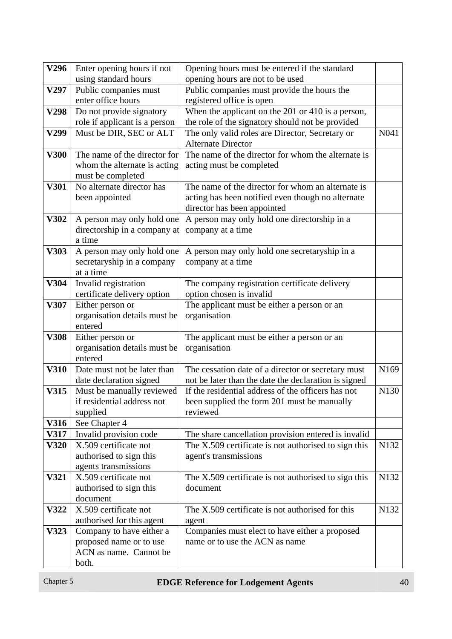| V296        | Enter opening hours if not                          | Opening hours must be entered if the standard                             |                  |
|-------------|-----------------------------------------------------|---------------------------------------------------------------------------|------------------|
|             | using standard hours                                | opening hours are not to be used                                          |                  |
| V297        | Public companies must                               | Public companies must provide the hours the                               |                  |
|             | enter office hours                                  | registered office is open                                                 |                  |
| V298        | Do not provide signatory                            | When the applicant on the 201 or 410 is a person,                         |                  |
|             | role if applicant is a person                       | the role of the signatory should not be provided                          |                  |
| V299        | Must be DIR, SEC or ALT                             | The only valid roles are Director, Secretary or                           | N041             |
|             |                                                     | <b>Alternate Director</b>                                                 |                  |
| <b>V300</b> | The name of the director for                        | The name of the director for whom the alternate is                        |                  |
|             | whom the alternate is acting                        | acting must be completed                                                  |                  |
|             | must be completed                                   |                                                                           |                  |
| V301        | No alternate director has                           | The name of the director for whom an alternate is                         |                  |
|             | been appointed                                      | acting has been notified even though no alternate                         |                  |
|             |                                                     | director has been appointed                                               |                  |
| V302        | A person may only hold one                          | A person may only hold one directorship in a                              |                  |
|             | directorship in a company at                        | company at a time                                                         |                  |
|             | a time                                              |                                                                           |                  |
| V303        | A person may only hold one                          | A person may only hold one secretaryship in a                             |                  |
|             | secretaryship in a company                          | company at a time                                                         |                  |
| V304        | at a time                                           |                                                                           |                  |
|             | Invalid registration<br>certificate delivery option | The company registration certificate delivery<br>option chosen is invalid |                  |
| V307        | Either person or                                    | The applicant must be either a person or an                               |                  |
|             | organisation details must be                        | organisation                                                              |                  |
|             | entered                                             |                                                                           |                  |
| <b>V308</b> | Either person or                                    | The applicant must be either a person or an                               |                  |
|             | organisation details must be                        | organisation                                                              |                  |
|             | entered                                             |                                                                           |                  |
| V310        | Date must not be later than                         | The cessation date of a director or secretary must                        | N <sub>169</sub> |
|             | date declaration signed                             | not be later than the date the declaration is signed                      |                  |
| V315        | Must be manually reviewed                           | If the residential address of the officers has not                        | N130             |
|             | if residential address not                          | been supplied the form 201 must be manually                               |                  |
|             | supplied                                            | reviewed                                                                  |                  |
| <b>V316</b> | See Chapter 4                                       |                                                                           |                  |
| <b>V317</b> | Invalid provision code                              | The share cancellation provision entered is invalid                       |                  |
| <b>V320</b> | X.509 certificate not                               | The X.509 certificate is not authorised to sign this                      | N132             |
|             | authorised to sign this                             | agent's transmissions                                                     |                  |
|             | agents transmissions                                |                                                                           |                  |
| V321        | X.509 certificate not                               | The X.509 certificate is not authorised to sign this                      | N132             |
|             | authorised to sign this                             | document                                                                  |                  |
|             | document                                            |                                                                           |                  |
| V322        | X.509 certificate not                               | The X.509 certificate is not authorised for this                          | N132             |
|             | authorised for this agent                           | agent                                                                     |                  |
| V323        | Company to have either a                            | Companies must elect to have either a proposed                            |                  |
|             | proposed name or to use                             | name or to use the ACN as name                                            |                  |
|             | ACN as name. Cannot be                              |                                                                           |                  |
|             | both.                                               |                                                                           |                  |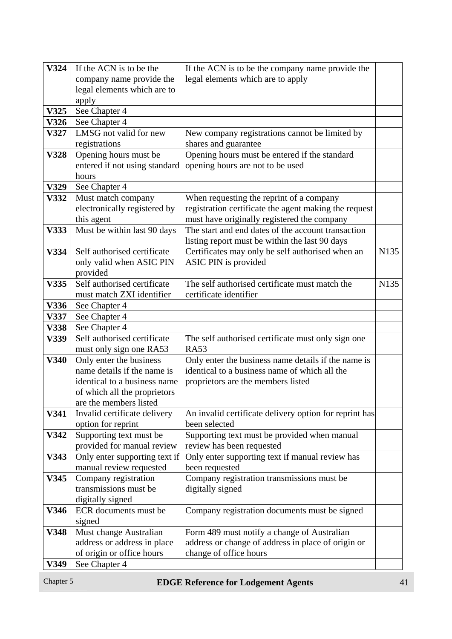| V324        | If the ACN is to be the                            | If the ACN is to be the company name provide the                   |      |
|-------------|----------------------------------------------------|--------------------------------------------------------------------|------|
|             | company name provide the                           | legal elements which are to apply                                  |      |
|             | legal elements which are to                        |                                                                    |      |
|             | apply                                              |                                                                    |      |
| V325        | See Chapter 4                                      |                                                                    |      |
| V326        | See Chapter 4                                      |                                                                    |      |
| V327        | LMSG not valid for new                             | New company registrations cannot be limited by                     |      |
|             | registrations                                      | shares and guarantee                                               |      |
| <b>V328</b> | Opening hours must be                              | Opening hours must be entered if the standard                      |      |
|             | entered if not using standard                      | opening hours are not to be used                                   |      |
|             | hours                                              |                                                                    |      |
| V329        | See Chapter 4                                      |                                                                    |      |
| V332        | Must match company                                 | When requesting the reprint of a company                           |      |
|             | electronically registered by                       | registration certificate the agent making the request              |      |
|             | this agent                                         | must have originally registered the company                        |      |
| V333        | Must be within last 90 days                        | The start and end dates of the account transaction                 |      |
|             |                                                    | listing report must be within the last 90 days                     |      |
| V334        | Self authorised certificate                        | Certificates may only be self authorised when an                   | N135 |
|             | only valid when ASIC PIN                           | ASIC PIN is provided                                               |      |
|             | provided                                           |                                                                    |      |
| V335        | Self authorised certificate                        | The self authorised certificate must match the                     | N135 |
|             | must match ZXI identifier                          | certificate identifier                                             |      |
| V336        | See Chapter 4                                      |                                                                    |      |
| V337        | See Chapter 4                                      |                                                                    |      |
| <b>V338</b> | See Chapter 4                                      |                                                                    |      |
| V339        | Self authorised certificate                        | The self authorised certificate must only sign one                 |      |
| V340        | must only sign one RA53<br>Only enter the business | <b>RA53</b><br>Only enter the business name details if the name is |      |
|             | name details if the name is                        | identical to a business name of which all the                      |      |
|             | identical to a business name                       | proprietors are the members listed                                 |      |
|             | of which all the proprietors                       |                                                                    |      |
|             | are the members listed                             |                                                                    |      |
| V341        | Invalid certificate delivery                       | An invalid certificate delivery option for reprint has             |      |
|             | option for reprint                                 | been selected                                                      |      |
| V342        | Supporting text must be                            | Supporting text must be provided when manual                       |      |
|             | provided for manual review                         | review has been requested                                          |      |
| V343        | Only enter supporting text if                      | Only enter supporting text if manual review has                    |      |
|             | manual review requested                            | been requested                                                     |      |
| V345        | Company registration                               | Company registration transmissions must be                         |      |
|             | transmissions must be                              | digitally signed                                                   |      |
|             | digitally signed                                   |                                                                    |      |
| V346        | ECR documents must be                              | Company registration documents must be signed                      |      |
|             | signed                                             |                                                                    |      |
| V348        | Must change Australian                             | Form 489 must notify a change of Australian                        |      |
|             | address or address in place                        | address or change of address in place of origin or                 |      |
|             | of origin or office hours                          | change of office hours                                             |      |
| <b>V349</b> | See Chapter 4                                      |                                                                    |      |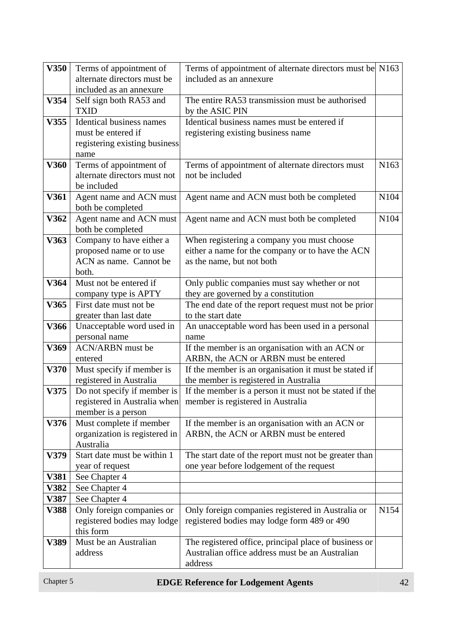| V350 | Terms of appointment of                  | Terms of appointment of alternate directors must be N163                                 |                  |
|------|------------------------------------------|------------------------------------------------------------------------------------------|------------------|
|      | alternate directors must be              | included as an annexure                                                                  |                  |
|      | included as an annexure                  |                                                                                          |                  |
| V354 | Self sign both RA53 and                  | The entire RA53 transmission must be authorised                                          |                  |
|      | <b>TXID</b>                              | by the ASIC PIN                                                                          |                  |
| V355 | <b>Identical business names</b>          | Identical business names must be entered if                                              |                  |
|      | must be entered if                       | registering existing business name                                                       |                  |
|      | registering existing business            |                                                                                          |                  |
|      | name                                     |                                                                                          |                  |
| V360 | Terms of appointment of                  | Terms of appointment of alternate directors must                                         | N <sub>163</sub> |
|      | alternate directors must not             | not be included                                                                          |                  |
|      | be included                              |                                                                                          |                  |
| V361 | Agent name and ACN must                  | Agent name and ACN must both be completed                                                | N104             |
|      | both be completed                        |                                                                                          |                  |
| V362 | Agent name and ACN must                  | Agent name and ACN must both be completed                                                | N104             |
|      | both be completed                        |                                                                                          |                  |
| V363 | Company to have either a                 | When registering a company you must choose                                               |                  |
|      | proposed name or to use                  | either a name for the company or to have the ACN                                         |                  |
|      | ACN as name. Cannot be                   | as the name, but not both                                                                |                  |
|      | both.                                    |                                                                                          |                  |
| V364 | Must not be entered if                   | Only public companies must say whether or not                                            |                  |
|      | company type is APTY                     | they are governed by a constitution                                                      |                  |
| V365 | First date must not be                   | The end date of the report request must not be prior                                     |                  |
|      | greater than last date                   | to the start date                                                                        |                  |
| V366 | Unacceptable word used in                | An unacceptable word has been used in a personal                                         |                  |
| V369 | personal name<br><b>ACN/ARBN</b> must be | name                                                                                     |                  |
|      | entered                                  | If the member is an organisation with an ACN or<br>ARBN, the ACN or ARBN must be entered |                  |
| V370 | Must specify if member is                | If the member is an organisation it must be stated if                                    |                  |
|      | registered in Australia                  | the member is registered in Australia                                                    |                  |
| V375 | Do not specify if member is              | If the member is a person it must not be stated if the                                   |                  |
|      | registered in Australia when             | member is registered in Australia                                                        |                  |
|      | member is a person                       |                                                                                          |                  |
| V376 | Must complete if member                  | If the member is an organisation with an ACN or                                          |                  |
|      | organization is registered in            | ARBN, the ACN or ARBN must be entered                                                    |                  |
|      | Australia                                |                                                                                          |                  |
| V379 | Start date must be within 1              | The start date of the report must not be greater than                                    |                  |
|      | year of request                          | one year before lodgement of the request                                                 |                  |
| V381 | See Chapter 4                            |                                                                                          |                  |
| V382 | See Chapter 4                            |                                                                                          |                  |
| V387 | See Chapter 4                            |                                                                                          |                  |
| V388 | Only foreign companies or                | Only foreign companies registered in Australia or                                        | N154             |
|      | registered bodies may lodge              | registered bodies may lodge form 489 or 490                                              |                  |
|      | this form                                |                                                                                          |                  |
| V389 | Must be an Australian                    | The registered office, principal place of business or                                    |                  |
|      | address                                  | Australian office address must be an Australian                                          |                  |
|      |                                          | address                                                                                  |                  |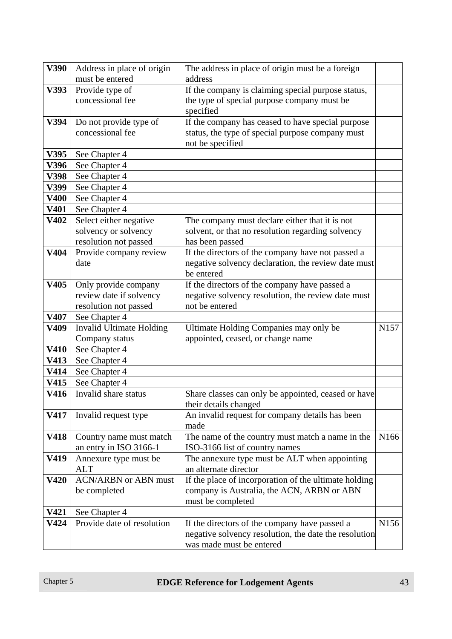| V390        | Address in place of origin      | The address in place of origin must be a foreign      |                  |
|-------------|---------------------------------|-------------------------------------------------------|------------------|
|             | must be entered                 | address                                               |                  |
| V393        | Provide type of                 | If the company is claiming special purpose status,    |                  |
|             | concessional fee                | the type of special purpose company must be           |                  |
|             |                                 | specified                                             |                  |
| V394        | Do not provide type of          | If the company has ceased to have special purpose     |                  |
|             | concessional fee                | status, the type of special purpose company must      |                  |
|             |                                 | not be specified                                      |                  |
| V395        | See Chapter 4                   |                                                       |                  |
| V396        | See Chapter 4                   |                                                       |                  |
| V398        | See Chapter 4                   |                                                       |                  |
| V399        | See Chapter 4                   |                                                       |                  |
| <b>V400</b> | See Chapter 4                   |                                                       |                  |
| V401        | See Chapter 4                   |                                                       |                  |
| V402        | Select either negative          | The company must declare either that it is not        |                  |
|             | solvency or solvency            | solvent, or that no resolution regarding solvency     |                  |
|             | resolution not passed           | has been passed                                       |                  |
| V404        | Provide company review          | If the directors of the company have not passed a     |                  |
|             | date                            | negative solvency declaration, the review date must   |                  |
|             |                                 | be entered                                            |                  |
| V405        | Only provide company            | If the directors of the company have passed a         |                  |
|             | review date if solvency         | negative solvency resolution, the review date must    |                  |
|             | resolution not passed           | not be entered                                        |                  |
| V407        | See Chapter 4                   |                                                       |                  |
| V409        | <b>Invalid Ultimate Holding</b> | Ultimate Holding Companies may only be                | N <sub>157</sub> |
|             | Company status                  | appointed, ceased, or change name                     |                  |
| <b>V410</b> | See Chapter 4                   |                                                       |                  |
| V413        | See Chapter 4                   |                                                       |                  |
| V414        | See Chapter 4                   |                                                       |                  |
| V415        | See Chapter 4                   |                                                       |                  |
| V416        | Invalid share status            | Share classes can only be appointed, ceased or have   |                  |
|             |                                 | their details changed                                 |                  |
| V417        | Invalid request type            | An invalid request for company details has been       |                  |
|             |                                 | made                                                  |                  |
| V418        | Country name must match         | The name of the country must match a name in the      | N <sub>166</sub> |
|             | an entry in ISO 3166-1          | ISO-3166 list of country names                        |                  |
| V419        | Annexure type must be           | The annexure type must be ALT when appointing         |                  |
|             | <b>ALT</b>                      | an alternate director                                 |                  |
| V420        | <b>ACN/ARBN</b> or ABN must     | If the place of incorporation of the ultimate holding |                  |
|             | be completed                    | company is Australia, the ACN, ARBN or ABN            |                  |
|             |                                 | must be completed                                     |                  |
| V421        | See Chapter 4                   |                                                       |                  |
| <b>V424</b> | Provide date of resolution      | If the directors of the company have passed a         | N <sub>156</sub> |
|             |                                 | negative solvency resolution, the date the resolution |                  |
|             |                                 | was made must be entered                              |                  |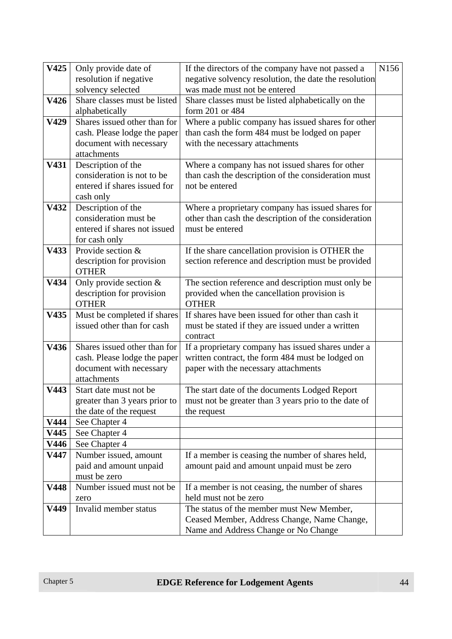| V425 | Only provide date of          | If the directors of the company have not passed a                                                      | N156 |
|------|-------------------------------|--------------------------------------------------------------------------------------------------------|------|
|      | resolution if negative        | negative solvency resolution, the date the resolution                                                  |      |
|      | solvency selected             | was made must not be entered                                                                           |      |
| V426 | Share classes must be listed  | Share classes must be listed alphabetically on the                                                     |      |
|      | alphabetically                | form 201 or 484                                                                                        |      |
| V429 | Shares issued other than for  | Where a public company has issued shares for other                                                     |      |
|      | cash. Please lodge the paper  | than cash the form 484 must be lodged on paper                                                         |      |
|      | document with necessary       | with the necessary attachments                                                                         |      |
|      | attachments                   |                                                                                                        |      |
| V431 | Description of the            | Where a company has not issued shares for other                                                        |      |
|      | consideration is not to be    | than cash the description of the consideration must                                                    |      |
|      | entered if shares issued for  | not be entered                                                                                         |      |
|      | cash only                     |                                                                                                        |      |
| V432 | Description of the            | Where a proprietary company has issued shares for                                                      |      |
|      | consideration must be         | other than cash the description of the consideration                                                   |      |
|      | entered if shares not issued  | must be entered                                                                                        |      |
|      | for cash only                 |                                                                                                        |      |
| V433 | Provide section &             | If the share cancellation provision is OTHER the                                                       |      |
|      | description for provision     | section reference and description must be provided                                                     |      |
|      | <b>OTHER</b>                  |                                                                                                        |      |
| V434 | Only provide section $&$      | The section reference and description must only be                                                     |      |
|      | description for provision     | provided when the cancellation provision is                                                            |      |
|      | <b>OTHER</b>                  | <b>OTHER</b>                                                                                           |      |
| V435 | Must be completed if shares   | If shares have been issued for other than cash it                                                      |      |
|      | issued other than for cash    | must be stated if they are issued under a written                                                      |      |
| V436 | Shares issued other than for  | contract                                                                                               |      |
|      | cash. Please lodge the paper  | If a proprietary company has issued shares under a<br>written contract, the form 484 must be lodged on |      |
|      | document with necessary       | paper with the necessary attachments                                                                   |      |
|      | attachments                   |                                                                                                        |      |
| V443 | Start date must not be        | The start date of the documents Lodged Report                                                          |      |
|      | greater than 3 years prior to | must not be greater than 3 years prio to the date of                                                   |      |
|      | the date of the request       | the request                                                                                            |      |
| V444 | See Chapter 4                 |                                                                                                        |      |
| V445 | See Chapter 4                 |                                                                                                        |      |
| V446 | See Chapter 4                 |                                                                                                        |      |
| V447 | Number issued, amount         | If a member is ceasing the number of shares held,                                                      |      |
|      | paid and amount unpaid        | amount paid and amount unpaid must be zero                                                             |      |
|      | must be zero                  |                                                                                                        |      |
| V448 | Number issued must not be     | If a member is not ceasing, the number of shares                                                       |      |
|      | zero                          | held must not be zero                                                                                  |      |
| V449 | Invalid member status         | The status of the member must New Member,                                                              |      |
|      |                               | Ceased Member, Address Change, Name Change,                                                            |      |
|      |                               | Name and Address Change or No Change                                                                   |      |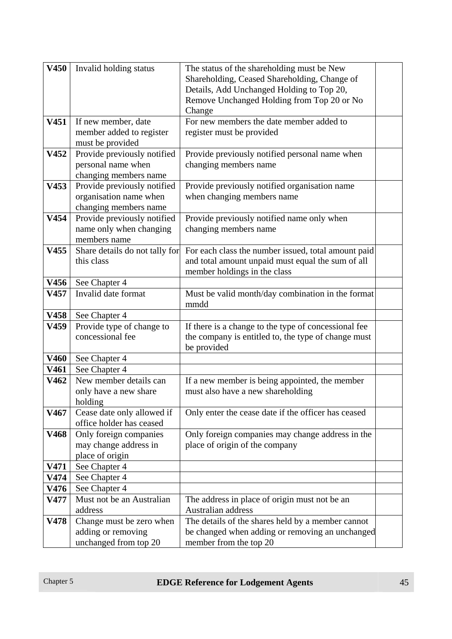| V450        | Invalid holding status         | The status of the shareholding must be New<br>Shareholding, Ceased Shareholding, Change of<br>Details, Add Unchanged Holding to Top 20,<br>Remove Unchanged Holding from Top 20 or No<br>Change |  |
|-------------|--------------------------------|-------------------------------------------------------------------------------------------------------------------------------------------------------------------------------------------------|--|
| V451        | If new member, date            | For new members the date member added to                                                                                                                                                        |  |
|             | member added to register       | register must be provided                                                                                                                                                                       |  |
|             |                                |                                                                                                                                                                                                 |  |
|             | must be provided               |                                                                                                                                                                                                 |  |
| V452        | Provide previously notified    | Provide previously notified personal name when                                                                                                                                                  |  |
|             | personal name when             | changing members name                                                                                                                                                                           |  |
|             | changing members name          |                                                                                                                                                                                                 |  |
| V453        | Provide previously notified    | Provide previously notified organisation name                                                                                                                                                   |  |
|             | organisation name when         | when changing members name                                                                                                                                                                      |  |
|             |                                |                                                                                                                                                                                                 |  |
|             | changing members name          |                                                                                                                                                                                                 |  |
| V454        | Provide previously notified    | Provide previously notified name only when                                                                                                                                                      |  |
|             | name only when changing        | changing members name                                                                                                                                                                           |  |
|             | members name                   |                                                                                                                                                                                                 |  |
| V455        | Share details do not tally for | For each class the number issued, total amount paid                                                                                                                                             |  |
|             | this class                     | and total amount unpaid must equal the sum of all                                                                                                                                               |  |
|             |                                | member holdings in the class                                                                                                                                                                    |  |
| V456        | See Chapter 4                  |                                                                                                                                                                                                 |  |
| V457        | Invalid date format            | Must be valid month/day combination in the format                                                                                                                                               |  |
|             |                                | mmdd                                                                                                                                                                                            |  |
|             |                                |                                                                                                                                                                                                 |  |
| V458        | See Chapter 4                  |                                                                                                                                                                                                 |  |
| V459        | Provide type of change to      | If there is a change to the type of concessional fee                                                                                                                                            |  |
|             | concessional fee               | the company is entitled to, the type of change must                                                                                                                                             |  |
|             |                                | be provided                                                                                                                                                                                     |  |
| <b>V460</b> | See Chapter 4                  |                                                                                                                                                                                                 |  |
| V461        | See Chapter 4                  |                                                                                                                                                                                                 |  |
| V462        | New member details can         | If a new member is being appointed, the member                                                                                                                                                  |  |
|             | only have a new share          | must also have a new shareholding                                                                                                                                                               |  |
|             | holding                        |                                                                                                                                                                                                 |  |
| V467        | Cease date only allowed if     | Only enter the cease date if the officer has ceased                                                                                                                                             |  |
|             |                                |                                                                                                                                                                                                 |  |
|             | office holder has ceased       |                                                                                                                                                                                                 |  |
| V468        | Only foreign companies         | Only foreign companies may change address in the                                                                                                                                                |  |
|             | may change address in          | place of origin of the company                                                                                                                                                                  |  |
|             | place of origin                |                                                                                                                                                                                                 |  |
| V471        | See Chapter 4                  |                                                                                                                                                                                                 |  |
| V474        | See Chapter 4                  |                                                                                                                                                                                                 |  |
| V476        | See Chapter 4                  |                                                                                                                                                                                                 |  |
| V477        | Must not be an Australian      | The address in place of origin must not be an                                                                                                                                                   |  |
|             | address                        | Australian address                                                                                                                                                                              |  |
| V478        | Change must be zero when       | The details of the shares held by a member cannot                                                                                                                                               |  |
|             |                                |                                                                                                                                                                                                 |  |
|             | adding or removing             | be changed when adding or removing an unchanged                                                                                                                                                 |  |
|             | unchanged from top 20          | member from the top 20                                                                                                                                                                          |  |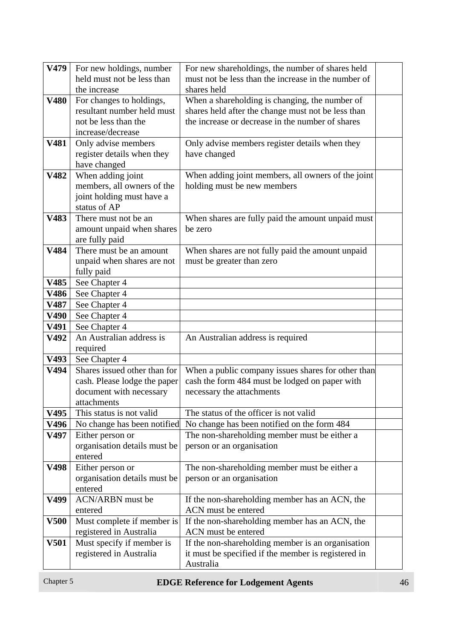| V479        | For new holdings, number                        | For new shareholdings, the number of shares held    |  |
|-------------|-------------------------------------------------|-----------------------------------------------------|--|
|             | held must not be less than                      | must not be less than the increase in the number of |  |
|             | the increase                                    | shares held                                         |  |
| V480        | For changes to holdings,                        | When a shareholding is changing, the number of      |  |
|             | resultant number held must                      | shares held after the change must not be less than  |  |
|             | not be less than the                            | the increase or decrease in the number of shares    |  |
|             | increase/decrease                               |                                                     |  |
| V481        | Only advise members                             | Only advise members register details when they      |  |
|             | register details when they                      | have changed                                        |  |
|             | have changed                                    |                                                     |  |
| V482        | When adding joint<br>members, all owners of the | When adding joint members, all owners of the joint  |  |
|             | joint holding must have a                       | holding must be new members                         |  |
|             | status of AP                                    |                                                     |  |
| V483        | There must not be an                            | When shares are fully paid the amount unpaid must   |  |
|             | amount unpaid when shares                       | be zero                                             |  |
|             | are fully paid                                  |                                                     |  |
| V484        | There must be an amount                         | When shares are not fully paid the amount unpaid    |  |
|             | unpaid when shares are not                      | must be greater than zero                           |  |
|             | fully paid                                      |                                                     |  |
| V485        | See Chapter 4                                   |                                                     |  |
| V486        | See Chapter 4                                   |                                                     |  |
| V487        | See Chapter 4                                   |                                                     |  |
| V490        | See Chapter 4                                   |                                                     |  |
| V491        | See Chapter 4                                   |                                                     |  |
| V492        | An Australian address is                        | An Australian address is required                   |  |
|             | required                                        |                                                     |  |
| V493        | See Chapter 4                                   |                                                     |  |
| V494        | Shares issued other than for                    | When a public company issues shares for other than  |  |
|             | cash. Please lodge the paper                    | cash the form 484 must be lodged on paper with      |  |
|             | document with necessary<br>attachments          | necessary the attachments                           |  |
| V495        | This status is not valid                        | The status of the officer is not valid              |  |
| V496        | No change has been notified                     | No change has been notified on the form 484         |  |
| V497        | Either person or                                | The non-shareholding member must be either a        |  |
|             | organisation details must be                    | person or an organisation                           |  |
|             | entered                                         |                                                     |  |
| V498        | Either person or                                | The non-shareholding member must be either a        |  |
|             | organisation details must be                    | person or an organisation                           |  |
|             | entered                                         |                                                     |  |
| V499        | <b>ACN/ARBN</b> must be                         | If the non-shareholding member has an ACN, the      |  |
|             | entered                                         | ACN must be entered                                 |  |
| <b>V500</b> | Must complete if member is                      | If the non-shareholding member has an ACN, the      |  |
|             | registered in Australia                         | ACN must be entered                                 |  |
| <b>V501</b> | Must specify if member is                       | If the non-shareholding member is an organisation   |  |
|             | registered in Australia                         | it must be specified if the member is registered in |  |
|             |                                                 | Australia                                           |  |

### **Chapter 5 <b>EDGE Reference for Lodgement Agents** 46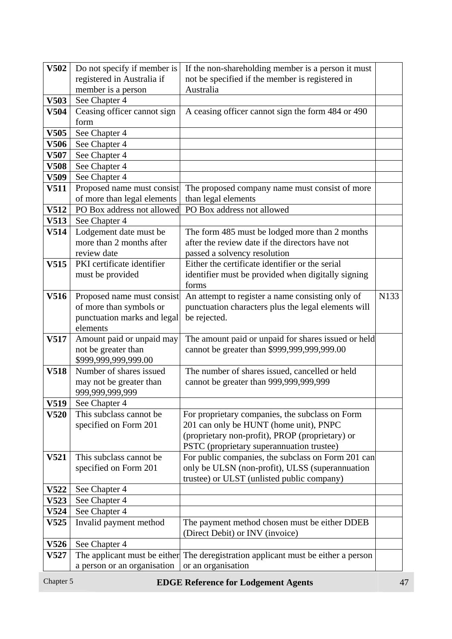| V502        | Do not specify if member is | If the non-shareholding member is a person it must                                                    |      |
|-------------|-----------------------------|-------------------------------------------------------------------------------------------------------|------|
|             | registered in Australia if  | not be specified if the member is registered in                                                       |      |
|             | member is a person          | Australia                                                                                             |      |
| V503        | See Chapter 4               |                                                                                                       |      |
| V504        | Ceasing officer cannot sign | A ceasing officer cannot sign the form 484 or 490                                                     |      |
|             | form                        |                                                                                                       |      |
| V505        | See Chapter 4               |                                                                                                       |      |
| V506        | See Chapter 4               |                                                                                                       |      |
| V507        | See Chapter 4               |                                                                                                       |      |
| <b>V508</b> | See Chapter 4               |                                                                                                       |      |
| V509        | See Chapter 4               |                                                                                                       |      |
| <b>V511</b> | Proposed name must consist  | The proposed company name must consist of more                                                        |      |
|             | of more than legal elements | than legal elements                                                                                   |      |
| V512        | PO Box address not allowed  | PO Box address not allowed                                                                            |      |
| V513        | See Chapter 4               |                                                                                                       |      |
| V514        | Lodgement date must be      | The form 485 must be lodged more than 2 months                                                        |      |
|             | more than 2 months after    | after the review date if the directors have not                                                       |      |
|             | review date                 | passed a solvency resolution                                                                          |      |
| V515        | PKI certificate identifier  | Either the certificate identifier or the serial                                                       |      |
|             | must be provided            | identifier must be provided when digitally signing                                                    |      |
|             |                             | forms                                                                                                 |      |
| V516        | Proposed name must consist  | An attempt to register a name consisting only of                                                      | N133 |
|             | of more than symbols or     | punctuation characters plus the legal elements will                                                   |      |
|             | punctuation marks and legal | be rejected.                                                                                          |      |
|             | elements                    |                                                                                                       |      |
| V517        | Amount paid or unpaid may   | The amount paid or unpaid for shares issued or held                                                   |      |
|             | not be greater than         | cannot be greater than \$999,999,999,999.00                                                           |      |
|             | \$999,999,999,999.00        |                                                                                                       |      |
| <b>V518</b> | Number of shares issued     | The number of shares issued, cancelled or held                                                        |      |
|             | may not be greater than     | cannot be greater than 999,999,999,999                                                                |      |
|             | 999,999,999,999             |                                                                                                       |      |
| V519        | See Chapter 4               |                                                                                                       |      |
| V520        | This subclass cannot be     | For proprietary companies, the subclass on Form                                                       |      |
|             | specified on Form 201       | 201 can only be HUNT (home unit), PNPC                                                                |      |
|             |                             | (proprietary non-profit), PROP (proprietary) or                                                       |      |
|             | This subclass cannot be     | PSTC (proprietary superannuation trustee)                                                             |      |
| V521        |                             | For public companies, the subclass on Form 201 can<br>only be ULSN (non-profit), ULSS (superannuation |      |
|             | specified on Form 201       | trustee) or ULST (unlisted public company)                                                            |      |
| <b>V522</b> | See Chapter 4               |                                                                                                       |      |
| V523        | See Chapter 4               |                                                                                                       |      |
| V524        | See Chapter 4               |                                                                                                       |      |
| V525        | Invalid payment method      | The payment method chosen must be either DDEB                                                         |      |
|             |                             | (Direct Debit) or INV (invoice)                                                                       |      |
| <b>V526</b> | See Chapter 4               |                                                                                                       |      |
| V527        |                             | The applicant must be either The deregistration applicant must be either a person                     |      |
|             | a person or an organisation | or an organisation                                                                                    |      |
|             |                             |                                                                                                       |      |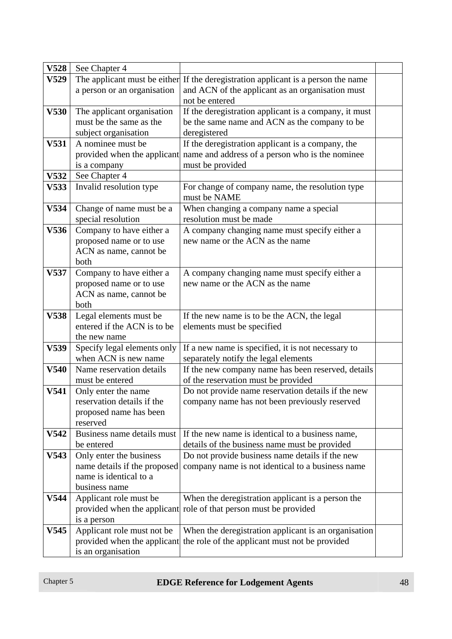| <b>V528</b> | See Chapter 4                                         |                                                                                   |  |
|-------------|-------------------------------------------------------|-----------------------------------------------------------------------------------|--|
| V529        |                                                       | The applicant must be either If the deregistration applicant is a person the name |  |
|             | a person or an organisation                           | and ACN of the applicant as an organisation must                                  |  |
|             |                                                       | not be entered                                                                    |  |
| <b>V530</b> | The applicant organisation                            | If the deregistration applicant is a company, it must                             |  |
|             | must be the same as the                               | be the same name and ACN as the company to be                                     |  |
|             | subject organisation                                  | deregistered                                                                      |  |
| <b>V531</b> | A nominee must be                                     | If the deregistration applicant is a company, the                                 |  |
|             | provided when the applicant                           | name and address of a person who is the nominee                                   |  |
|             | is a company                                          | must be provided                                                                  |  |
| V532        | See Chapter 4                                         |                                                                                   |  |
| V533        | Invalid resolution type                               | For change of company name, the resolution type<br>must be NAME                   |  |
| V534        | Change of name must be a                              | When changing a company name a special                                            |  |
|             | special resolution                                    | resolution must be made                                                           |  |
| V536        | Company to have either a                              | A company changing name must specify either a                                     |  |
|             | proposed name or to use                               | new name or the ACN as the name                                                   |  |
|             | ACN as name, cannot be                                |                                                                                   |  |
|             | both                                                  |                                                                                   |  |
| V537        | Company to have either a                              | A company changing name must specify either a                                     |  |
|             | proposed name or to use                               | new name or the ACN as the name                                                   |  |
|             | ACN as name, cannot be                                |                                                                                   |  |
|             | both                                                  |                                                                                   |  |
| V538        | Legal elements must be<br>entered if the ACN is to be | If the new name is to be the ACN, the legal                                       |  |
|             | the new name                                          | elements must be specified                                                        |  |
| V539        | Specify legal elements only                           | If a new name is specified, it is not necessary to                                |  |
|             | when ACN is new name                                  | separately notify the legal elements                                              |  |
| V540        | Name reservation details                              | If the new company name has been reserved, details                                |  |
|             | must be entered                                       | of the reservation must be provided                                               |  |
| V541        | Only enter the name                                   | Do not provide name reservation details if the new                                |  |
|             | reservation details if the                            | company name has not been previously reserved                                     |  |
|             | proposed name has been                                |                                                                                   |  |
|             | reserved                                              |                                                                                   |  |
| V542        | Business name details must                            | If the new name is identical to a business name,                                  |  |
|             | be entered                                            | details of the business name must be provided                                     |  |
| V543        | Only enter the business                               | Do not provide business name details if the new                                   |  |
|             | name details if the proposed                          | company name is not identical to a business name                                  |  |
|             | name is identical to a                                |                                                                                   |  |
|             | business name                                         |                                                                                   |  |
| V544        | Applicant role must be                                | When the deregistration applicant is a person the                                 |  |
|             | provided when the applicant                           | role of that person must be provided                                              |  |
|             | is a person                                           |                                                                                   |  |
| V545        | Applicant role must not be                            | When the deregistration applicant is an organisation                              |  |
|             | provided when the applicant                           | the role of the applicant must not be provided                                    |  |
|             | is an organisation                                    |                                                                                   |  |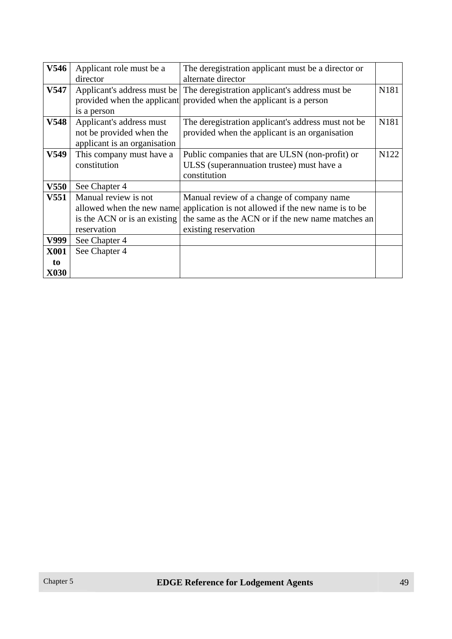| V546             | Applicant role must be a     | The deregistration applicant must be a director or                         |      |
|------------------|------------------------------|----------------------------------------------------------------------------|------|
|                  | director                     | alternate director                                                         |      |
| V547             |                              | Applicant's address must be The deregistration applicant's address must be | N181 |
|                  |                              | provided when the applicant provided when the applicant is a person        |      |
|                  | is a person                  |                                                                            |      |
| V548             | Applicant's address must     | The deregistration applicant's address must not be                         | N181 |
|                  | not be provided when the     | provided when the applicant is an organisation                             |      |
|                  | applicant is an organisation |                                                                            |      |
| V549             | This company must have a     | Public companies that are ULSN (non-profit) or                             | N122 |
|                  | constitution                 | ULSS (superannuation trustee) must have a                                  |      |
|                  |                              | constitution                                                               |      |
| <b>V550</b>      | See Chapter 4                |                                                                            |      |
| V <sub>551</sub> | Manual review is not         | Manual review of a change of company name                                  |      |
|                  | allowed when the new name    | application is not allowed if the new name is to be                        |      |
|                  | is the ACN or is an existing | the same as the ACN or if the new name matches an                          |      |
|                  | reservation                  | existing reservation                                                       |      |
| V999             | See Chapter 4                |                                                                            |      |
| <b>X001</b>      | See Chapter 4                |                                                                            |      |
| to               |                              |                                                                            |      |
| <b>X030</b>      |                              |                                                                            |      |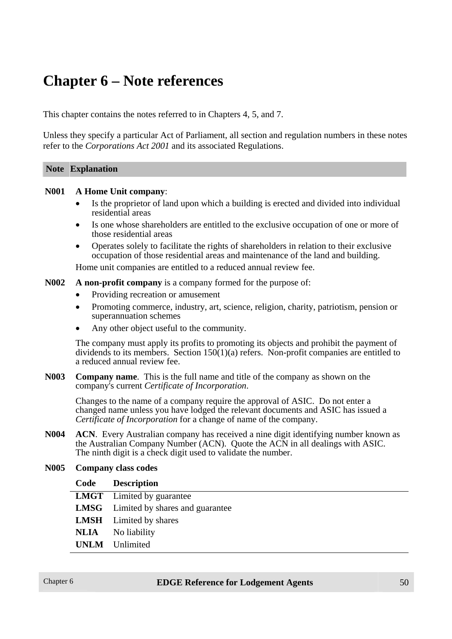## **Chapter 6 – Note references**

This chapter contains the notes referred to in Chapters 4, 5, and 7.

Unless they specify a particular Act of Parliament, all section and regulation numbers in these notes refer to the *Corporations Act 2001* and its associated Regulations.

#### **Note Explanation**

#### **N001 A Home Unit company**:

- Is the proprietor of land upon which a building is erected and divided into individual residential areas
- Is one whose shareholders are entitled to the exclusive occupation of one or more of those residential areas
- Operates solely to facilitate the rights of shareholders in relation to their exclusive occupation of those residential areas and maintenance of the land and building.

Home unit companies are entitled to a reduced annual review fee.

**N002 A non-profit company** is a company formed for the purpose of:

- Providing recreation or amusement
- Promoting commerce, industry, art, science, religion, charity, patriotism, pension or superannuation schemes
- Any other object useful to the community.

The company must apply its profits to promoting its objects and prohibit the payment of dividends to its members. Section  $150(1)(a)$  refers. Non-profit companies are entitled to a reduced annual review fee.

**N003 Company name**. This is the full name and title of the company as shown on the company's current *Certificate of Incorporation*.

Changes to the name of a company require the approval of ASIC. Do not enter a changed name unless you have lodged the relevant documents and ASIC has issued a *Certificate of Incorporation* for a change of name of the company.

**N004 ACN**. Every Australian company has received a nine digit identifying number known as the Australian Company Number (ACN). Quote the ACN in all dealings with ASIC. The ninth digit is a check digit used to validate the number.

#### **N005 Company class codes**

| Code Description                            |
|---------------------------------------------|
| <b>LMGT</b> Limited by guarantee            |
| <b>LMSG</b> Limited by shares and guarantee |
| <b>LMSH</b> Limited by shares               |
| <b>NLIA</b> No liability                    |
| <b>UNLM</b> Unlimited                       |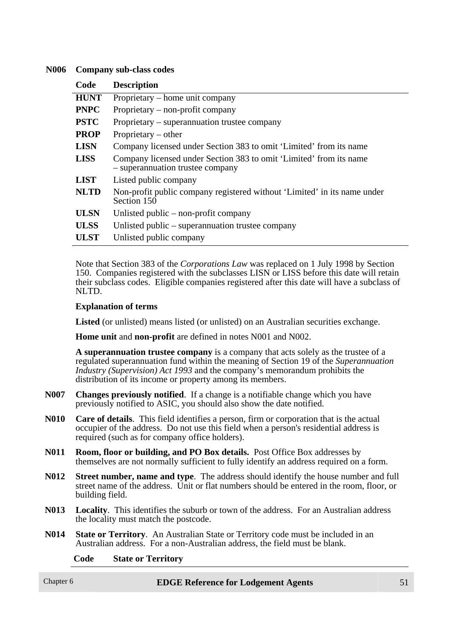#### **N006 Company sub-class codes**

| Code        | <b>Description</b>                                                                                     |
|-------------|--------------------------------------------------------------------------------------------------------|
| <b>HUNT</b> | Proprietary – home unit company                                                                        |
| <b>PNPC</b> | Proprietary – non-profit company                                                                       |
| <b>PSTC</b> | Proprietary – superannuation trustee company                                                           |
| <b>PROP</b> | Proprietary $-$ other                                                                                  |
| <b>LISN</b> | Company licensed under Section 383 to omit 'Limited' from its name                                     |
| <b>LISS</b> | Company licensed under Section 383 to omit 'Limited' from its name<br>- superannuation trustee company |
| <b>LIST</b> | Listed public company                                                                                  |
| <b>NLTD</b> | Non-profit public company registered without 'Limited' in its name under<br>Section 150                |
| <b>ULSN</b> | Unlisted public $-$ non-profit company                                                                 |
| <b>ULSS</b> | Unlisted public – superannuation trustee company                                                       |
| <b>ULST</b> | Unlisted public company                                                                                |

Note that Section 383 of the *Corporations Law* was replaced on 1 July 1998 by Section 150. Companies registered with the subclasses LISN or LISS before this date will retain their subclass codes. Eligible companies registered after this date will have a subclass of NLTD.

#### **Explanation of terms**

**Listed** (or unlisted) means listed (or unlisted) on an Australian securities exchange.

**Home unit** and **non-profit** are defined in notes N001 and N002.

**A superannuation trustee company** is a company that acts solely as the trustee of a regulated superannuation fund within the meaning of Section 19 of the *Superannuation Industry (Supervision) Act 1993* and the company's memorandum prohibits the distribution of its income or property among its members.

- **N007 Changes previously notified**. If a change is a notifiable change which you have previously notified to ASIC, you should also show the date notified.
- **N010 Care of details**. This field identifies a person, firm or corporation that is the actual occupier of the address. Do not use this field when a person's residential address is required (such as for company office holders).
- **N011 Room, floor or building, and PO Box details.** Post Office Box addresses by themselves are not normally sufficient to fully identify an address required on a form.
- **N012 Street number, name and type**. The address should identify the house number and full street name of the address. Unit or flat numbers should be entered in the room, floor, or building field.
- **N013 Locality**. This identifies the suburb or town of the address. For an Australian address the locality must match the postcode.
- **N014 State or Territory**. An Australian State or Territory code must be included in an Australian address. For a non-Australian address, the field must be blank.

#### **Code State or Territory**

#### Chapter 6 **EDGE Reference for Lodgement Agents** 51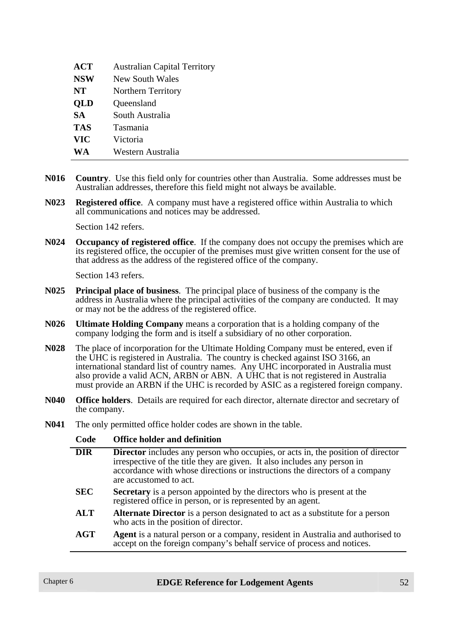| <b>ACT</b> | <b>Australian Capital Territory</b> |
|------------|-------------------------------------|
| <b>NSW</b> | New South Wales                     |
| <b>NT</b>  | Northern Territory                  |
| <b>QLD</b> | Queensland                          |
| <b>SA</b>  | South Australia                     |
| <b>TAS</b> | Tasmania                            |
| <b>VIC</b> | Victoria                            |
| WA         | Western Australia                   |

- **N016 Country**. Use this field only for countries other than Australia. Some addresses must be Australian addresses, therefore this field might not always be available.
- **N023 Registered office**. A company must have a registered office within Australia to which all communications and notices may be addressed.

Section 142 refers.

**N024 Occupancy of registered office**. If the company does not occupy the premises which are its registered office, the occupier of the premises must give written consent for the use of that address as the address of the registered office of the company.

Section 143 refers.

- **N025 Principal place of business**. The principal place of business of the company is the address in Australia where the principal activities of the company are conducted. It may or may not be the address of the registered office.
- **N026 Ultimate Holding Company** means a corporation that is a holding company of the company lodging the form and is itself a subsidiary of no other corporation.
- **N028** The place of incorporation for the Ultimate Holding Company must be entered, even if the UHC is registered in Australia. The country is checked against ISO 3166, an international standard list of country names. Any UHC incorporated in Australia must also provide a valid ACN, ARBN or ABN. A UHC that is not registered in Australia must provide an ARBN if the UHC is recorded by ASIC as a registered foreign company.
- **N040 Office holders**. Details are required for each director, alternate director and secretary of the company.
- **N041** The only permitted office holder codes are shown in the table.

| Code       | <b>Office holder and definition</b>                                                                                                                                                                                                                                         |  |  |  |
|------------|-----------------------------------------------------------------------------------------------------------------------------------------------------------------------------------------------------------------------------------------------------------------------------|--|--|--|
| <b>DIR</b> | <b>Director</b> includes any person who occupies, or acts in, the position of director<br>irrespective of the title they are given. It also includes any person in<br>accordance with whose directions or instructions the directors of a company<br>are accustomed to act. |  |  |  |
| <b>SEC</b> | Secretary is a person appointed by the directors who is present at the<br>registered office in person, or is represented by an agent.                                                                                                                                       |  |  |  |
| <b>ALT</b> | Alternate Director is a person designated to act as a substitute for a person<br>who acts in the position of director.                                                                                                                                                      |  |  |  |
| <b>AGT</b> | Agent is a natural person or a company, resident in Australia and authorised to<br>accept on the foreign company's behalf service of process and notices.                                                                                                                   |  |  |  |
|            |                                                                                                                                                                                                                                                                             |  |  |  |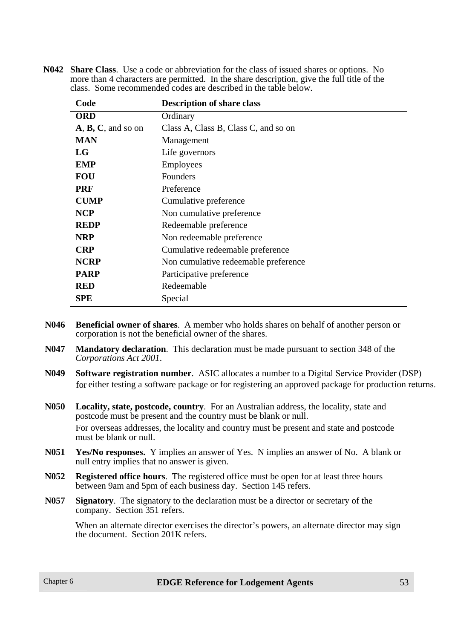| Code               | <b>Description of share class</b>    |
|--------------------|--------------------------------------|
| <b>ORD</b>         | Ordinary                             |
| A, B, C, and so on | Class A, Class B, Class C, and so on |
| <b>MAN</b>         | Management                           |
| LG                 | Life governors                       |
| <b>EMP</b>         | <b>Employees</b>                     |
| <b>FOU</b>         | Founders                             |
| <b>PRF</b>         | Preference                           |
| <b>CUMP</b>        | Cumulative preference                |
| <b>NCP</b>         | Non cumulative preference            |
| <b>REDP</b>        | Redeemable preference                |
| <b>NRP</b>         | Non redeemable preference            |
| <b>CRP</b>         | Cumulative redeemable preference     |
| <b>NCRP</b>        | Non cumulative redeemable preference |
| <b>PARP</b>        | Participative preference             |
| <b>RED</b>         | Redeemable                           |
| <b>SPE</b>         | Special                              |

**N042 Share Class**. Use a code or abbreviation for the class of issued shares or options. No more than 4 characters are permitted. In the share description, give the full title of the class. Some recommended codes are described in the table below.

- **N046 Beneficial owner of shares**. A member who holds shares on behalf of another person or corporation is not the beneficial owner of the shares.
- **N047 Mandatory declaration**. This declaration must be made pursuant to section 348 of the *Corporations Act 2001*.
- **N049 Software registration number**. ASIC allocates a number to a Digital Service Provider (DSP) for either testing a software package or for registering an approved package for production returns.
- **N050 Locality, state, postcode, country**. For an Australian address, the locality, state and postcode must be present and the country must be blank or null. For overseas addresses, the locality and country must be present and state and postcode must be blank or null.
- **N051 Yes/No responses.** Y implies an answer of Yes. N implies an answer of No. A blank or null entry implies that no answer is given.
- **N052 Registered office hours**. The registered office must be open for at least three hours between 9am and 5pm of each business day. Section 145 refers.
- **N057 Signatory**. The signatory to the declaration must be a director or secretary of the company. Section 351 refers.

When an alternate director exercises the director's powers, an alternate director may sign the document. Section 201K refers.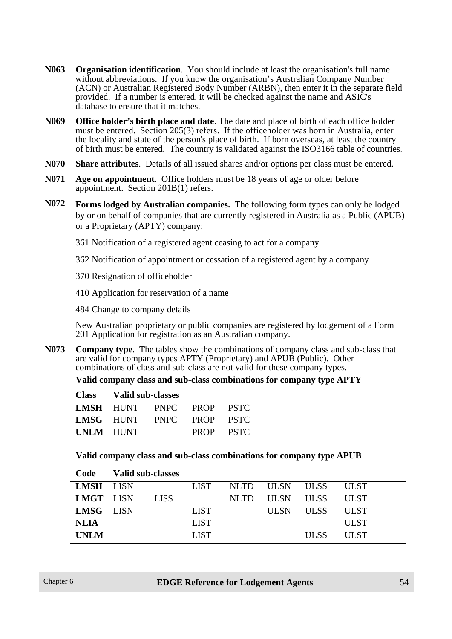- **N063 Organisation identification**. You should include at least the organisation's full name without abbreviations. If you know the organisation's Australian Company Number (ACN) or Australian Registered Body Number (ARBN), then enter it in the separate field provided. If a number is entered, it will be checked against the name and ASIC's database to ensure that it matches.
- **N069 Office holder's birth place and date**. The date and place of birth of each office holder must be entered. Section 205(3) refers. If the officeholder was born in Australia, enter the locality and state of the person's place of birth. If born overseas, at least the country of birth must be entered. The country is validated against the ISO3166 table of countries.
- **N070 Share attributes**. Details of all issued shares and/or options per class must be entered.
- **N071 Age on appointment**. Office holders must be 18 years of age or older before appointment. Section 201B(1) refers.
- **N072 Forms lodged by Australian companies.** The following form types can only be lodged by or on behalf of companies that are currently registered in Australia as a Public (APUB) or a Proprietary (APTY) company:
	- 361 Notification of a registered agent ceasing to act for a company
	- 362 Notification of appointment or cessation of a registered agent by a company
	- 370 Resignation of officeholder
	- 410 Application for reservation of a name
	- 484 Change to company details

New Australian proprietary or public companies are registered by lodgement of a Form 201 Application for registration as an Australian company.

**N073 Company type**. The tables show the combinations of company class and sub-class that are valid for company types APTY (Proprietary) and APUB (Public). Other combinations of class and sub-class are not valid for these company types.

**Valid company class and sub-class combinations for company type APTY**

|           | Class Valid sub-classes  |  |           |
|-----------|--------------------------|--|-----------|
|           | LMSH HUNT PNPC PROP PSTC |  |           |
|           | LMSG HUNT PNPC PROP PSTC |  |           |
| UNLM HUNT |                          |  | PROP PSTC |

#### **Valid company class and sub-class combinations for company type APUB**

| Code        | Valid sub-classes |             |       |                |             |             |  |
|-------------|-------------------|-------------|-------|----------------|-------------|-------------|--|
| LMSH LISN   |                   | <b>LIST</b> |       | NLTD ULSN ULSS |             | <b>ULST</b> |  |
| LMGT LISN   | <b>LISS</b>       |             | NLTD. | <b>ULSN</b>    | <b>ULSS</b> | <b>ULST</b> |  |
| LMSG LISN   |                   | <b>LIST</b> |       | <b>ULSN</b>    | <b>ULSS</b> | <b>ULST</b> |  |
| <b>NLIA</b> |                   | <b>LIST</b> |       |                |             | <b>ULST</b> |  |
| <b>UNLM</b> |                   | <b>LIST</b> |       |                | <b>ULSS</b> | <b>ULST</b> |  |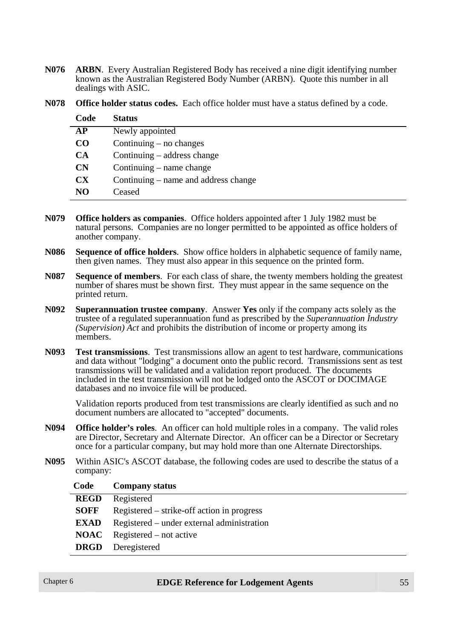**N076 ARBN**. Every Australian Registered Body has received a nine digit identifying number known as the Australian Registered Body Number (ARBN). Quote this number in all dealings with ASIC.

| Code                   | <b>Status</b>                        |
|------------------------|--------------------------------------|
| AP                     | Newly appointed                      |
| CO                     | Continuing $-$ no changes            |
| <b>CA</b>              | Continuing $-$ address change        |
| CN                     | Continuing $-$ name change           |
| $\mathbf{C}\mathbf{X}$ | Continuing – name and address change |
| N <sub>O</sub>         | Ceased                               |

**N078 Office holder status codes.** Each office holder must have a status defined by a code.

- **N079 Office holders as companies**. Office holders appointed after 1 July 1982 must be natural persons. Companies are no longer permitted to be appointed as office holders of another company.
- **N086 Sequence of office holders**. Show office holders in alphabetic sequence of family name, then given names. They must also appear in this sequence on the printed form.
- **N087 Sequence of members**. For each class of share, the twenty members holding the greatest number of shares must be shown first. They must appear in the same sequence on the printed return.
- **N092 Superannuation trustee company**. Answer **Yes** only if the company acts solely as the trustee of a regulated superannuation fund as prescribed by the *Superannuation Industry (Supervision) Act* and prohibits the distribution of income or property among its members.
- **N093 Test transmissions**. Test transmissions allow an agent to test hardware, communications and data without "lodging" a document onto the public record. Transmissions sent as test transmissions will be validated and a validation report produced. The documents included in the test transmission will not be lodged onto the ASCOT or DOCIMAGE databases and no invoice file will be produced.

Validation reports produced from test transmissions are clearly identified as such and no document numbers are allocated to "accepted" documents.

- **N094 Office holder's roles**. An officer can hold multiple roles in a company. The valid roles are Director, Secretary and Alternate Director. An officer can be a Director or Secretary once for a particular company, but may hold more than one Alternate Directorships.
- **N095** Within ASIC's ASCOT database, the following codes are used to describe the status of a company:

| Code        | <b>Company status</b>                      |
|-------------|--------------------------------------------|
| <b>REGD</b> | Registered                                 |
| <b>SOFF</b> | Registered – strike-off action in progress |
| <b>EXAD</b> | Registered – under external administration |
|             | $\bf NOAC$ Registered – not active         |
| <b>DRGD</b> | Deregistered                               |
|             |                                            |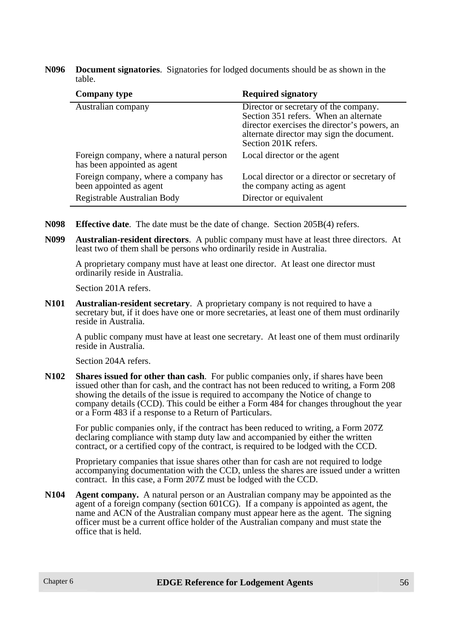**N096 Document signatories**. Signatories for lodged documents should be as shown in the table.

| <b>Company type</b>                                                                            | <b>Required signatory</b>                                                                                                                                                                           |
|------------------------------------------------------------------------------------------------|-----------------------------------------------------------------------------------------------------------------------------------------------------------------------------------------------------|
| Australian company                                                                             | Director or secretary of the company.<br>Section 351 refers. When an alternate<br>director exercises the director's powers, an<br>alternate director may sign the document.<br>Section 201K refers. |
| Foreign company, where a natural person<br>has been appointed as agent                         | Local director or the agent                                                                                                                                                                         |
| Foreign company, where a company has<br>been appointed as agent<br>Registrable Australian Body | Local director or a director or secretary of<br>the company acting as agent<br>Director or equivalent                                                                                               |

- **N098 Effective date**. The date must be the date of change. Section 205B(4) refers.
- **N099 Australian-resident directors**. A public company must have at least three directors. At least two of them shall be persons who ordinarily reside in Australia.

A proprietary company must have at least one director. At least one director must ordinarily reside in Australia.

Section 201A refers.

**N101 Australian-resident secretary**. A proprietary company is not required to have a secretary but, if it does have one or more secretaries, at least one of them must ordinarily reside in Australia.

A public company must have at least one secretary. At least one of them must ordinarily reside in Australia.

Section 204A refers.

**N102 Shares issued for other than cash**. For public companies only, if shares have been issued other than for cash, and the contract has not been reduced to writing, a Form 208 showing the details of the issue is required to accompany the Notice of change to company details (CCD). This could be either a Form 484 for changes throughout the year or a Form 483 if a response to a Return of Particulars.

For public companies only, if the contract has been reduced to writing, a Form 207Z declaring compliance with stamp duty law and accompanied by either the written contract, or a certified copy of the contract, is required to be lodged with the CCD.

Proprietary companies that issue shares other than for cash are not required to lodge accompanying documentation with the CCD, unless the shares are issued under a written contract. In this case, a Form 207Z must be lodged with the CCD.

**N104 Agent company.** A natural person or an Australian company may be appointed as the agent of a foreign company (section 601CG). If a company is appointed as agent, the name and ACN of the Australian company must appear here as the agent. The signing officer must be a current office holder of the Australian company and must state the office that is held.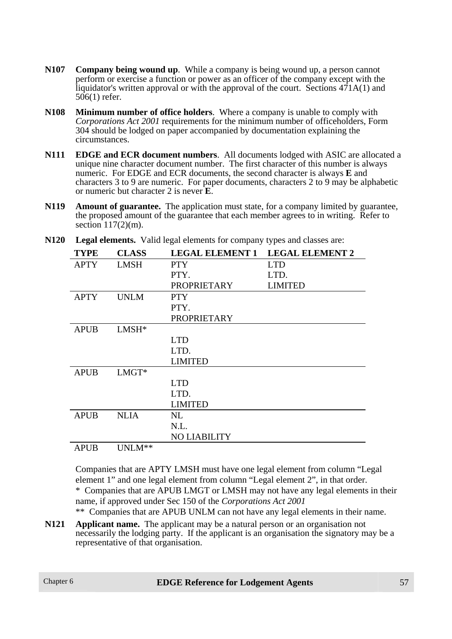- **N107 Company being wound up**. While a company is being wound up, a person cannot perform or exercise a function or power as an officer of the company except with the liquidator's written approval or with the approval of the court. Sections  $471A(1)$  and 506(1) refer.
- **N108 Minimum number of office holders**. Where a company is unable to comply with *Corporations Act 2001* requirements for the minimum number of officeholders, Form 304 should be lodged on paper accompanied by documentation explaining the circumstances.
- **N111 EDGE and ECR document numbers**. All documents lodged with ASIC are allocated a unique nine character document number. The first character of this number is always numeric. For EDGE and ECR documents, the second character is always **E** and characters 3 to 9 are numeric. For paper documents, characters 2 to 9 may be alphabetic or numeric but character 2 is never **E**.
- **N119 Amount of guarantee.** The application must state, for a company limited by guarantee, the proposed amount of the guarantee that each member agrees to in writing. Refer to section  $117(2)$ (m).

| <b>TYPE</b> | <b>CLASS</b>       | <b>LEGAL ELEMENT 1</b> | <b>LEGAL ELEMENT 2</b> |
|-------------|--------------------|------------------------|------------------------|
| <b>APTY</b> | <b>LMSH</b>        | <b>PTY</b>             | <b>LTD</b>             |
|             |                    | PTY.                   | LTD.                   |
|             |                    | <b>PROPRIETARY</b>     | <b>LIMITED</b>         |
| <b>APTY</b> | <b>UNLM</b>        | <b>PTY</b>             |                        |
|             |                    | PTY.                   |                        |
|             |                    | <b>PROPRIETARY</b>     |                        |
| <b>APUB</b> | $LMSH*$            |                        |                        |
|             |                    | <b>LTD</b>             |                        |
|             |                    | LTD.                   |                        |
|             |                    | <b>LIMITED</b>         |                        |
| <b>APUB</b> | $LMGT*$            |                        |                        |
|             |                    | <b>LTD</b>             |                        |
|             |                    | LTD.                   |                        |
|             |                    | <b>LIMITED</b>         |                        |
| <b>APUB</b> | <b>NLIA</b>        | NL                     |                        |
|             |                    | N.L.                   |                        |
|             |                    | <b>NO LIABILITY</b>    |                        |
| <b>APUB</b> | UNLM <sup>**</sup> |                        |                        |

**N120 Legal elements.** Valid legal elements for company types and classes are:

Companies that are APTY LMSH must have one legal element from column "Legal element 1" and one legal element from column "Legal element 2", in that order. \* Companies that are APUB LMGT or LMSH may not have any legal elements in their name, if approved under Sec 150 of the *Corporations Act 2001* \*\* Companies that are APUB UNLM can not have any legal elements in their name.

- 
- **N121 Applicant name.** The applicant may be a natural person or an organisation not necessarily the lodging party. If the applicant is an organisation the signatory may be a representative of that organisation.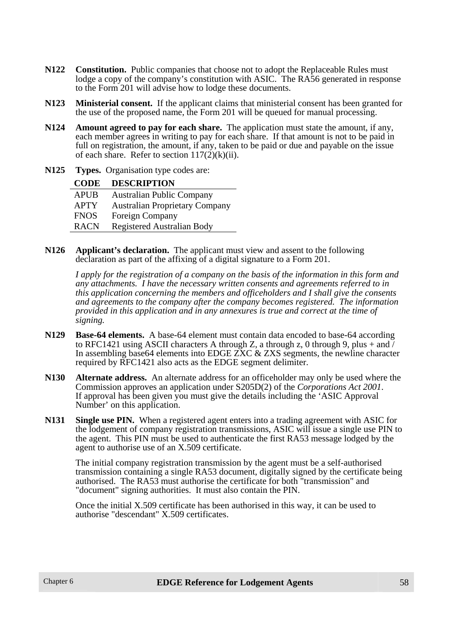- **N122 Constitution.** Public companies that choose not to adopt the Replaceable Rules must lodge a copy of the company's constitution with ASIC. The RA56 generated in response to the Form 201 will advise how to lodge these documents.
- **N123 Ministerial consent.** If the applicant claims that ministerial consent has been granted for the use of the proposed name, the Form 201 will be queued for manual processing.
- **N124 Amount agreed to pay for each share.** The application must state the amount, if any, each member agrees in writing to pay for each share. If that amount is not to be paid in full on registration, the amount, if any, taken to be paid or due and payable on the issue of each share. Refer to section  $117(2)(k)(ii)$ .
- **N125 Types.** Organisation type codes are:

| <b>CODE</b> | <b>DESCRIPTION</b>                    |
|-------------|---------------------------------------|
| <b>APUB</b> | <b>Australian Public Company</b>      |
| <b>APTY</b> | <b>Australian Proprietary Company</b> |
| <b>FNOS</b> | Foreign Company                       |
| <b>RACN</b> | <b>Registered Australian Body</b>     |

**N126 Applicant's declaration.** The applicant must view and assent to the following declaration as part of the affixing of a digital signature to a Form 201.

*I apply for the registration of a company on the basis of the information in this form and any attachments. I have the necessary written consents and agreements referred to in this application concerning the members and officeholders and I shall give the consents and agreements to the company after the company becomes registered. The information provided in this application and in any annexures is true and correct at the time of signing.*

- **N129 Base-64 elements.** A base-64 element must contain data encoded to base-64 according to RFC1421 using ASCII characters A through Z, a through z, 0 through 9, plus + and  $\overline{1}$ In assembling base64 elements into EDGE ZXC & ZXS segments, the newline character required by RFC1421 also acts as the EDGE segment delimiter.
- **N130 Alternate address.** An alternate address for an officeholder may only be used where the Commission approves an application under S205D(2) of the *Corporations Act 2001*. If approval has been given you must give the details including the 'ASIC Approval Number' on this application.
- **N131 Single use PIN.** When a registered agent enters into a trading agreement with ASIC for the lodgement of company registration transmissions, ASIC will issue a single use PIN to the agent. This PIN must be used to authenticate the first RA53 message lodged by the agent to authorise use of an X.509 certificate.

The initial company registration transmission by the agent must be a self-authorised transmission containing a single RA53 document, digitally signed by the certificate being authorised. The RA53 must authorise the certificate for both "transmission" and "document" signing authorities. It must also contain the PIN.

Once the initial X.509 certificate has been authorised in this way, it can be used to authorise "descendant" X.509 certificates.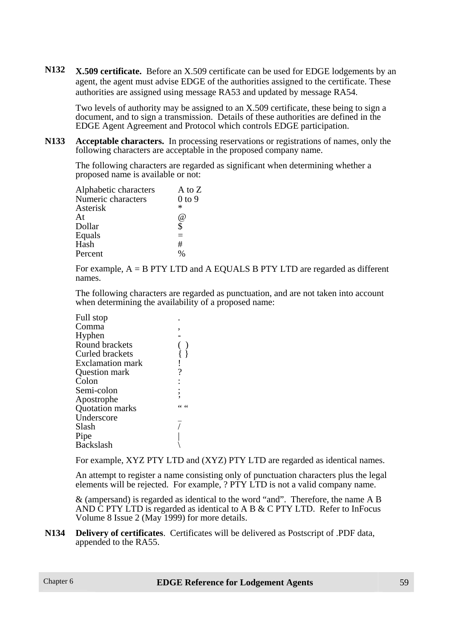**N132 X.509 certificate.** Before an X.509 certificate can be used for EDGE lodgements by an agent, the agent must advise EDGE of the authorities assigned to the certificate. These authorities are assigned using message RA53 and updated by message RA54.

Two levels of authority may be assigned to an X.509 certificate, these being to sign a document, and to sign a transmission. Details of these authorities are defined in the EDGE Agent Agreement and Protocol which controls EDGE participation.

**N133 Acceptable characters.** In processing reservations or registrations of names, only the following characters are acceptable in the proposed company name.

The following characters are regarded as significant when determining whether a proposed name is available or not:

| A to Z     |
|------------|
| $0$ to $9$ |
| ∗          |
| @)         |
| \$         |
| $\equiv$   |
| #          |
| 0/2        |
|            |

For example, A = B PTY LTD and A EQUALS B PTY LTD are regarded as different names.

The following characters are regarded as punctuation, and are not taken into account when determining the availability of a proposed name:

| Full stop               |   |
|-------------------------|---|
| Comma                   |   |
| Hyphen                  |   |
| Round brackets          |   |
| Curled brackets         |   |
| <b>Exclamation mark</b> |   |
| Question mark           | ? |
| Colon                   |   |
| Semi-colon              |   |
| Apostrophe              |   |
| Quotation marks         |   |
| Underscore              |   |
| Slash                   |   |
| Pipe                    |   |
| <b>Backslash</b>        |   |
|                         |   |

For example, XYZ PTY LTD and (XYZ) PTY LTD are regarded as identical names.

An attempt to register a name consisting only of punctuation characters plus the legal elements will be rejected. For example, ? PTY LTD is not a valid company name.

& (ampersand) is regarded as identical to the word "and". Therefore, the name A B AND  $\overline{C}$  PTY LTD is regarded as identical to A B & C PTY LTD. Refer to InFocus Volume 8 Issue 2 (May 1999) for more details.

**N134 Delivery of certificates**. Certificates will be delivered as Postscript of .PDF data, appended to the RA55.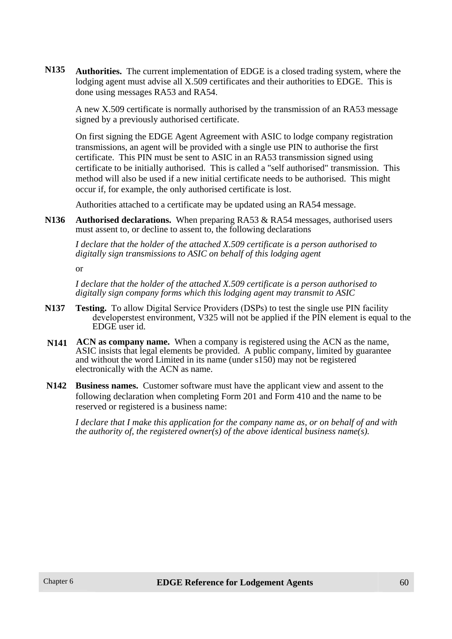**N135 Authorities.** The current implementation of EDGE is a closed trading system, where the lodging agent must advise all X.509 certificates and their authorities to EDGE. This is done using messages RA53 and RA54.

A new X.509 certificate is normally authorised by the transmission of an RA53 message signed by a previously authorised certificate.

On first signing the EDGE Agent Agreement with ASIC to lodge company registration transmissions, an agent will be provided with a single use PIN to authorise the first certificate. This PIN must be sent to ASIC in an RA53 transmission signed using certificate to be initially authorised. This is called a "self authorised" transmission. This method will also be used if a new initial certificate needs to be authorised. This might occur if, for example, the only authorised certificate is lost.

Authorities attached to a certificate may be updated using an RA54 message.

**N136 Authorised declarations.** When preparing RA53 & RA54 messages, authorised users must assent to, or decline to assent to, the following declarations

*I declare that the holder of the attached X.509 certificate is a person authorised to digitally sign transmissions to ASIC on behalf of this lodging agent*

or

*I declare that the holder of the attached X.509 certificate is a person authorised to digitally sign company forms which this lodging agent may transmit to ASIC*

- **N137 Testing.** To allow Digital Service Providers (DSPs) to test the single use PIN facility developerstest environment, V325 will not be applied if the PIN element is equal to the EDGE user id.
- **N141 ACN as company name.** When a company is registered using the ACN as the name, ASIC insists that legal elements be provided. A public company, limited by guarantee and without the word Limited in its name (under s150) may not be registered electronically with the ACN as name.
- **N142 Business names.** Customer software must have the applicant view and assent to the following declaration when completing Form 201 and Form 410 and the name to be reserved or registered is a business name:

*I declare that I make this application for the company name as, or on behalf of and with the authority of, the registered owner(s) of the above identical business name(s).*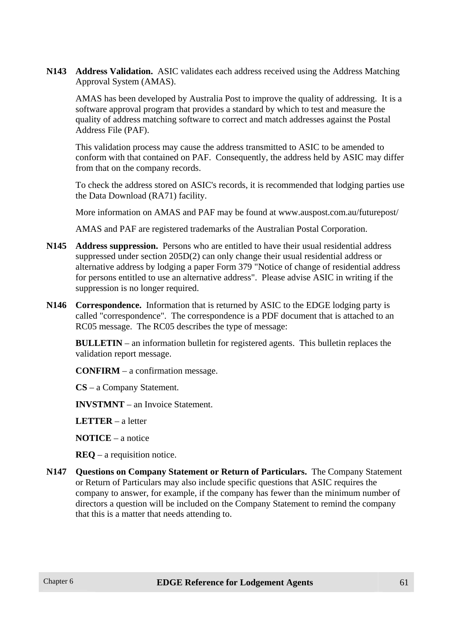**N143 Address Validation.** ASIC validates each address received using the Address Matching Approval System (AMAS).

AMAS has been developed by Australia Post to improve the quality of addressing. It is a software approval program that provides a standard by which to test and measure the quality of address matching software to correct and match addresses against the Postal Address File (PAF).

This validation process may cause the address transmitted to ASIC to be amended to conform with that contained on PAF. Consequently, the address held by ASIC may differ from that on the company records.

To check the address stored on ASIC's records, it is recommended that lodging parties use the Data Download (RA71) facility.

More information on AMAS and PAF may be found at www.auspost.com.au/futurepost/

AMAS and PAF are registered trademarks of the Australian Postal Corporation.

- **N145 Address suppression.** Persons who are entitled to have their usual residential address suppressed under section 205D(2) can only change their usual residential address or alternative address by lodging a paper Form 379 "Notice of change of residential address for persons entitled to use an alternative address". Please advise ASIC in writing if the suppression is no longer required.
- **N146 Correspondence.** Information that is returned by ASIC to the EDGE lodging party is called "correspondence". The correspondence is a PDF document that is attached to an RC05 message. The RC05 describes the type of message:

**BULLETIN** – an information bulletin for registered agents. This bulletin replaces the validation report message.

**CONFIRM** – a confirmation message.

**CS** – a Company Statement.

**INVSTMNT** – an Invoice Statement.

**LETTER** – a letter

**NOTICE** – a notice

**REQ** – a requisition notice.

**N147 Questions on Company Statement or Return of Particulars.** The Company Statement or Return of Particulars may also include specific questions that ASIC requires the company to answer, for example, if the company has fewer than the minimum number of directors a question will be included on the Company Statement to remind the company that this is a matter that needs attending to.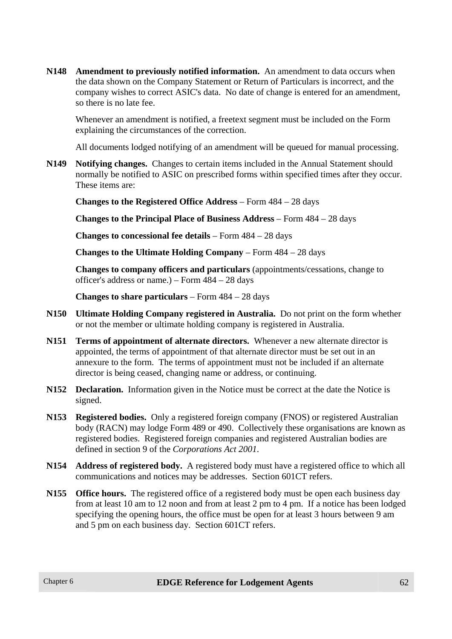**N148 Amendment to previously notified information.** An amendment to data occurs when the data shown on the Company Statement or Return of Particulars is incorrect, and the company wishes to correct ASIC's data. No date of change is entered for an amendment, so there is no late fee.

Whenever an amendment is notified, a freetext segment must be included on the Form explaining the circumstances of the correction.

All documents lodged notifying of an amendment will be queued for manual processing.

**N149 Notifying changes.** Changes to certain items included in the Annual Statement should normally be notified to ASIC on prescribed forms within specified times after they occur. These items are:

**Changes to the Registered Office Address** – Form 484 – 28 days

**Changes to the Principal Place of Business Address** – Form 484 – 28 days

**Changes to concessional fee details** – Form 484 – 28 days

**Changes to the Ultimate Holding Company** – Form 484 – 28 days

**Changes to company officers and particulars** (appointments/cessations, change to officer's address or name.) – Form 484 – 28 days

**Changes to share particulars** – Form 484 – 28 days

- **N150 Ultimate Holding Company registered in Australia.** Do not print on the form whether or not the member or ultimate holding company is registered in Australia.
- **N151 Terms of appointment of alternate directors.** Whenever a new alternate director is appointed, the terms of appointment of that alternate director must be set out in an annexure to the form. The terms of appointment must not be included if an alternate director is being ceased, changing name or address, or continuing.
- **N152 Declaration.** Information given in the Notice must be correct at the date the Notice is signed.
- **N153 Registered bodies.** Only a registered foreign company (FNOS) or registered Australian body (RACN) may lodge Form 489 or 490. Collectively these organisations are known as registered bodies. Registered foreign companies and registered Australian bodies are defined in section 9 of the *Corporations Act 2001*.
- **N154 Address of registered body.** A registered body must have a registered office to which all communications and notices may be addresses. Section 601CT refers.
- **N155 Office hours.** The registered office of a registered body must be open each business day from at least 10 am to 12 noon and from at least 2 pm to 4 pm. If a notice has been lodged specifying the opening hours, the office must be open for at least 3 hours between 9 am and 5 pm on each business day. Section 601CT refers.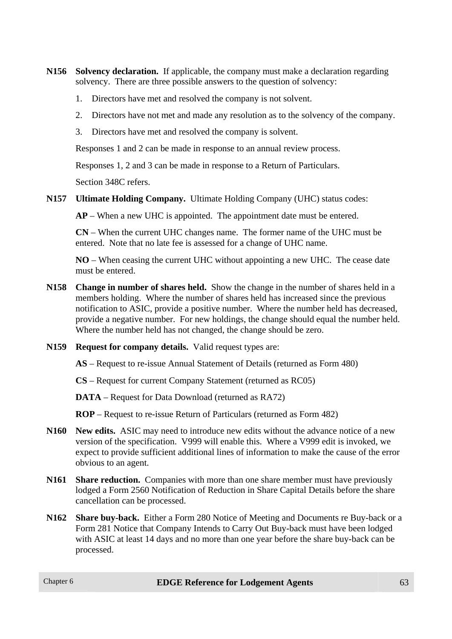- **N156 Solvency declaration.** If applicable, the company must make a declaration regarding solvency. There are three possible answers to the question of solvency:
	- 1. Directors have met and resolved the company is not solvent.
	- 2. Directors have not met and made any resolution as to the solvency of the company.
	- 3. Directors have met and resolved the company is solvent.

Responses 1 and 2 can be made in response to an annual review process.

Responses 1, 2 and 3 can be made in response to a Return of Particulars.

Section 348C refers.

**N157 Ultimate Holding Company.** Ultimate Holding Company (UHC) status codes:

**AP** – When a new UHC is appointed. The appointment date must be entered.

**CN** – When the current UHC changes name. The former name of the UHC must be entered. Note that no late fee is assessed for a change of UHC name.

**NO** – When ceasing the current UHC without appointing a new UHC. The cease date must be entered.

- **N158 Change in number of shares held.** Show the change in the number of shares held in a members holding. Where the number of shares held has increased since the previous notification to ASIC, provide a positive number. Where the number held has decreased, provide a negative number. For new holdings, the change should equal the number held. Where the number held has not changed, the change should be zero.
- **N159 Request for company details.** Valid request types are:

**AS** – Request to re-issue Annual Statement of Details (returned as Form 480)

**CS** – Request for current Company Statement (returned as RC05)

**DATA** – Request for Data Download (returned as RA72)

**ROP** – Request to re-issue Return of Particulars (returned as Form 482)

- **N160 New edits.** ASIC may need to introduce new edits without the advance notice of a new version of the specification. V999 will enable this. Where a V999 edit is invoked, we expect to provide sufficient additional lines of information to make the cause of the error obvious to an agent.
- **N161** Share reduction. Companies with more than one share member must have previously lodged a Form 2560 Notification of Reduction in Share Capital Details before the share cancellation can be processed.
- **N162 Share buy-back.** Either a Form 280 Notice of Meeting and Documents re Buy-back or a Form 281 Notice that Company Intends to Carry Out Buy-back must have been lodged with ASIC at least 14 days and no more than one year before the share buy-back can be processed.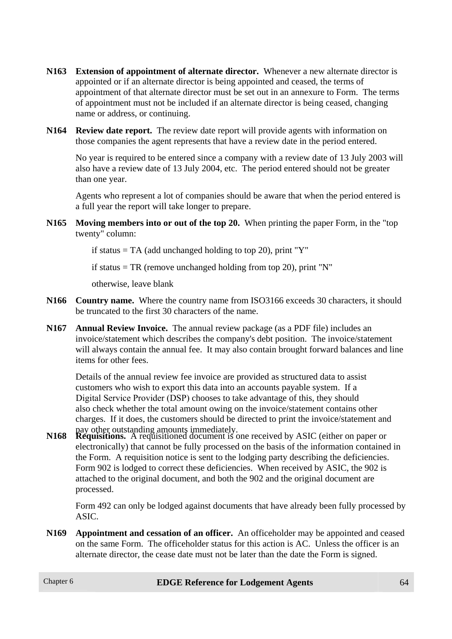- **N163 Extension of appointment of alternate director.** Whenever a new alternate director is appointed or if an alternate director is being appointed and ceased, the terms of appointment of that alternate director must be set out in an annexure to Form. The terms of appointment must not be included if an alternate director is being ceased, changing name or address, or continuing.
- **N164 Review date report.** The review date report will provide agents with information on those companies the agent represents that have a review date in the period entered.

No year is required to be entered since a company with a review date of 13 July 2003 will also have a review date of 13 July 2004, etc. The period entered should not be greater than one year.

Agents who represent a lot of companies should be aware that when the period entered is a full year the report will take longer to prepare.

**N165 Moving members into or out of the top 20.** When printing the paper Form, in the "top twenty" column:

if status  $= TA$  (add unchanged holding to top 20), print "Y"

if status  $= TR$  (remove unchanged holding from top 20), print "N"

otherwise, leave blank

- **N166 Country name.** Where the country name from ISO3166 exceeds 30 characters, it should be truncated to the first 30 characters of the name.
- **N167 Annual Review Invoice.** The annual review package (as a PDF file) includes an invoice/statement which describes the company's debt position. The invoice/statement will always contain the annual fee. It may also contain brought forward balances and line items for other fees.

Details of the annual review fee invoice are provided as structured data to assist customers who wish to export this data into an accounts payable system. If a Digital Service Provider (DSP) chooses to take advantage of this, they should also check whether the total amount owing on the invoice/statement contains other charges. If it does, the customers should be directed to print the invoice/statement and

pay other outstanding amounts immediately. **N168 Requisitions.** A requisitioned document is one received by ASIC (either on paper or electronically) that cannot be fully processed on the basis of the information contained in the Form. A requisition notice is sent to the lodging party describing the deficiencies. Form 902 is lodged to correct these deficiencies. When received by ASIC, the 902 is attached to the original document, and both the 902 and the original document are processed.

Form 492 can only be lodged against documents that have already been fully processed by ASIC.

**N169 Appointment and cessation of an officer.** An officeholder may be appointed and ceased on the same Form. The officeholder status for this action is AC. Unless the officer is an alternate director, the cease date must not be later than the date the Form is signed.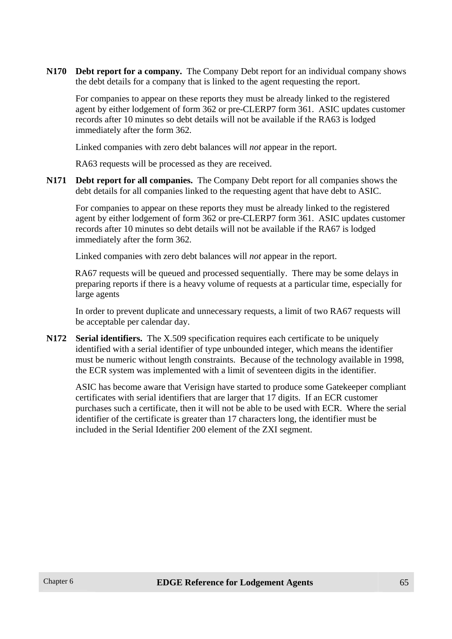**N170 Debt report for a company.** The Company Debt report for an individual company shows the debt details for a company that is linked to the agent requesting the report.

For companies to appear on these reports they must be already linked to the registered agent by either lodgement of form 362 or pre-CLERP7 form 361. ASIC updates customer records after 10 minutes so debt details will not be available if the RA63 is lodged immediately after the form 362.

Linked companies with zero debt balances will *not* appear in the report.

RA63 requests will be processed as they are received.

**N171 Debt report for all companies.** The Company Debt report for all companies shows the debt details for all companies linked to the requesting agent that have debt to ASIC.

For companies to appear on these reports they must be already linked to the registered agent by either lodgement of form 362 or pre-CLERP7 form 361. ASIC updates customer records after 10 minutes so debt details will not be available if the RA67 is lodged immediately after the form 362.

Linked companies with zero debt balances will *not* appear in the report.

RA67 requests will be queued and processed sequentially. There may be some delays in preparing reports if there is a heavy volume of requests at a particular time, especially for large agents

In order to prevent duplicate and unnecessary requests, a limit of two RA67 requests will be acceptable per calendar day.

**N172 Serial identifiers.** The X.509 specification requires each certificate to be uniquely identified with a serial identifier of type unbounded integer, which means the identifier must be numeric without length constraints. Because of the technology available in 1998, the ECR system was implemented with a limit of seventeen digits in the identifier.

ASIC has become aware that Verisign have started to produce some Gatekeeper compliant certificates with serial identifiers that are larger that 17 digits. If an ECR customer purchases such a certificate, then it will not be able to be used with ECR. Where the serial identifier of the certificate is greater than 17 characters long, the identifier must be included in the Serial Identifier 200 element of the ZXI segment.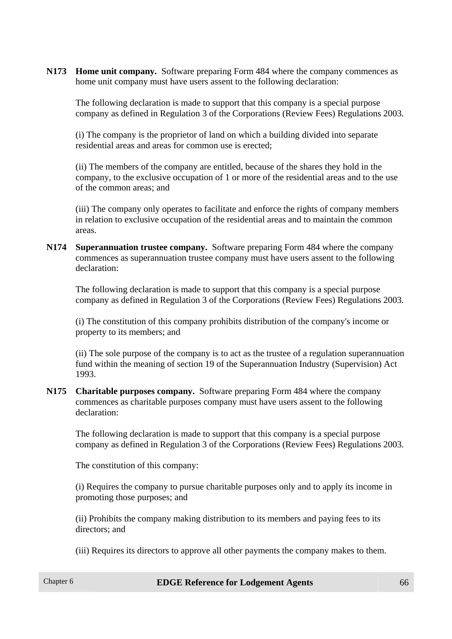**N173 Home unit company.** Software preparing Form 484 where the company commences as home unit company must have users assent to the following declaration:

The following declaration is made to support that this company is a special purpose company as defined in Regulation 3 of the Corporations (Review Fees) Regulations 2003.

(i) The company is the proprietor of land on which a building divided into separate residential areas and areas for common use is erected;

(ii) The members of the company are entitled, because of the shares they hold in the company, to the exclusive occupation of 1 or more of the residential areas and to the use of the common areas; and

(iii) The company only operates to facilitate and enforce the rights of company members in relation to exclusive occupation of the residential areas and to maintain the common areas.

**N174 Superannuation trustee company.** Software preparing Form 484 where the company commences as superannuation trustee company must have users assent to the following declaration:

The following declaration is made to support that this company is a special purpose company as defined in Regulation 3 of the Corporations (Review Fees) Regulations 2003.

(i) The constitution of this company prohibits distribution of the company's income or property to its members; and

(ii) The sole purpose of the company is to act as the trustee of a regulation superannuation fund within the meaning of section 19 of the Superannuation Industry (Supervision) Act 1993.

**N175 Charitable purposes company.** Software preparing Form 484 where the company commences as charitable purposes company must have users assent to the following declaration:

The following declaration is made to support that this company is a special purpose company as defined in Regulation 3 of the Corporations (Review Fees) Regulations 2003.

The constitution of this company:

(i) Requires the company to pursue charitable purposes only and to apply its income in promoting those purposes; and

(ii) Prohibits the company making distribution to its members and paying fees to its directors; and

(iii) Requires its directors to approve all other payments the company makes to them.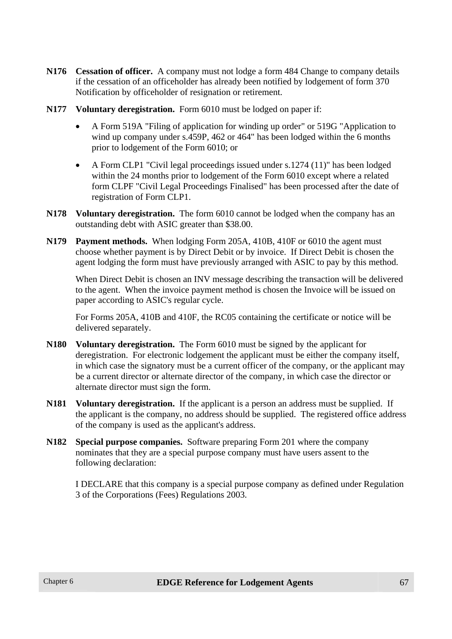- **N176 Cessation of officer.** A company must not lodge a form 484 Change to company details if the cessation of an officeholder has already been notified by lodgement of form 370 Notification by officeholder of resignation or retirement.
- **N177 Voluntary deregistration.** Form 6010 must be lodged on paper if:
	- A Form 519A "Filing of application for winding up order" or 519G "Application to wind up company under s.459P, 462 or 464" has been lodged within the 6 months prior to lodgement of the Form 6010; or
	- A Form CLP1 "Civil legal proceedings issued under s.1274 (11)" has been lodged within the 24 months prior to lodgement of the Form 6010 except where a related form CLPF "Civil Legal Proceedings Finalised" has been processed after the date of registration of Form CLP1.
- **N178 Voluntary deregistration.** The form 6010 cannot be lodged when the company has an outstanding debt with ASIC greater than \$38.00.
- **N179 Payment methods.** When lodging Form 205A, 410B, 410F or 6010 the agent must choose whether payment is by Direct Debit or by invoice. If Direct Debit is chosen the agent lodging the form must have previously arranged with ASIC to pay by this method.

When Direct Debit is chosen an INV message describing the transaction will be delivered to the agent. When the invoice payment method is chosen the Invoice will be issued on paper according to ASIC's regular cycle.

For Forms 205A, 410B and 410F, the RC05 containing the certificate or notice will be delivered separately.

- **N180 Voluntary deregistration.** The Form 6010 must be signed by the applicant for deregistration. For electronic lodgement the applicant must be either the company itself, in which case the signatory must be a current officer of the company, or the applicant may be a current director or alternate director of the company, in which case the director or alternate director must sign the form.
- **N181 Voluntary deregistration.** If the applicant is a person an address must be supplied. If the applicant is the company, no address should be supplied. The registered office address of the company is used as the applicant's address.
- **N182 Special purpose companies.** Software preparing Form 201 where the company nominates that they are a special purpose company must have users assent to the following declaration:

I DECLARE that this company is a special purpose company as defined under Regulation 3 of the Corporations (Fees) Regulations 2003.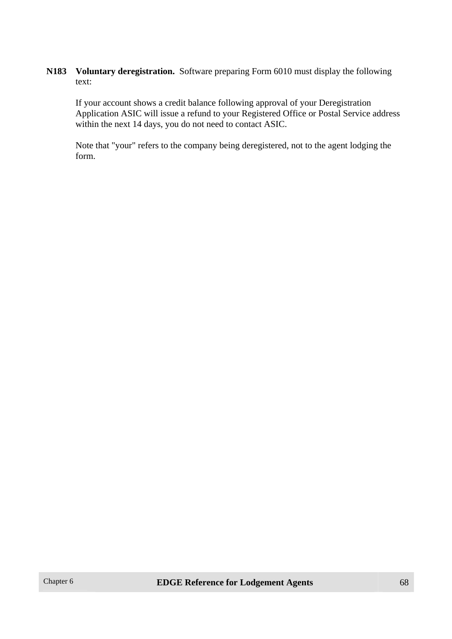**N183 Voluntary deregistration.** Software preparing Form 6010 must display the following text:

If your account shows a credit balance following approval of your Deregistration Application ASIC will issue a refund to your Registered Office or Postal Service address within the next 14 days, you do not need to contact ASIC.

Note that "your" refers to the company being deregistered, not to the agent lodging the form.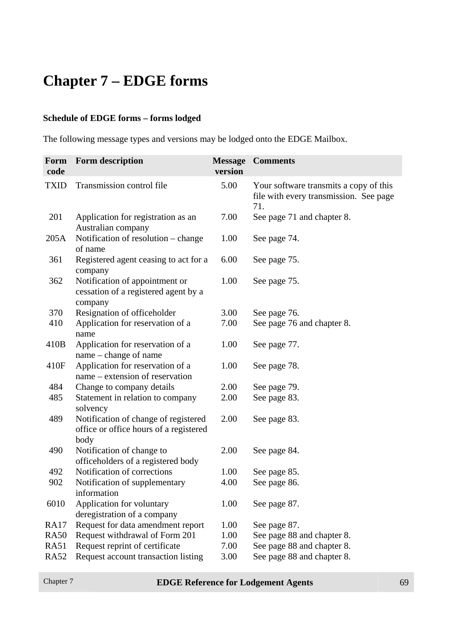# **Chapter 7 – EDGE forms**

#### **Schedule of EDGE forms – forms lodged**

The following message types and versions may be lodged onto the EDGE Mailbox.

| Form<br>code | Form description                                                                       | <b>Message</b><br>version | <b>Comments</b>                                                                         |
|--------------|----------------------------------------------------------------------------------------|---------------------------|-----------------------------------------------------------------------------------------|
| <b>TXID</b>  | Transmission control file                                                              | 5.00                      | Your software transmits a copy of this<br>file with every transmission. See page<br>71. |
| 201          | Application for registration as an<br>Australian company                               | 7.00                      | See page 71 and chapter 8.                                                              |
| 205A         | Notification of resolution - change<br>of name                                         | 1.00                      | See page 74.                                                                            |
| 361          | Registered agent ceasing to act for a<br>company                                       | 6.00                      | See page 75.                                                                            |
| 362          | Notification of appointment or<br>cessation of a registered agent by a<br>company      | 1.00                      | See page 75.                                                                            |
| 370          | Resignation of officeholder                                                            | 3.00                      | See page 76.                                                                            |
| 410          | Application for reservation of a<br>name                                               | 7.00                      | See page 76 and chapter 8.                                                              |
| 410B         | Application for reservation of a<br>name – change of name                              | 1.00                      | See page 77.                                                                            |
| 410F         | Application for reservation of a<br>name – extension of reservation                    | 1.00                      | See page 78.                                                                            |
| 484          | Change to company details                                                              | 2.00                      | See page 79.                                                                            |
| 485          | Statement in relation to company<br>solvency                                           | 2.00                      | See page 83.                                                                            |
| 489          | Notification of change of registered<br>office or office hours of a registered<br>body | 2.00                      | See page 83.                                                                            |
| 490          | Notification of change to<br>officeholders of a registered body                        | 2.00                      | See page 84.                                                                            |
| 492          | Notification of corrections                                                            | 1.00                      | See page 85.                                                                            |
| 902          | Notification of supplementary<br>information                                           | 4.00                      | See page 86.                                                                            |
| 6010         | Application for voluntary<br>deregistration of a company                               | 1.00                      | See page 87.                                                                            |
| <b>RA17</b>  | Request for data amendment report                                                      | 1.00                      | See page 87.                                                                            |
| <b>RA50</b>  | Request withdrawal of Form 201                                                         | 1.00                      | See page 88 and chapter 8.                                                              |
| <b>RA51</b>  | Request reprint of certificate                                                         | 7.00                      | See page 88 and chapter 8.                                                              |
| <b>RA52</b>  | Request account transaction listing                                                    | 3.00                      | See page 88 and chapter 8.                                                              |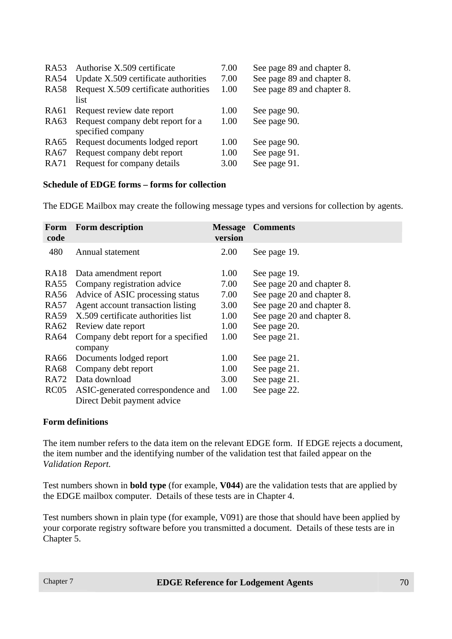| RA53        | Authorise X.509 certificate           | 7.00 | See page 89 and chapter 8. |
|-------------|---------------------------------------|------|----------------------------|
| <b>RA54</b> | Update X.509 certificate authorities  | 7.00 | See page 89 and chapter 8. |
| <b>RA58</b> | Request X.509 certificate authorities | 1.00 | See page 89 and chapter 8. |
|             | list                                  |      |                            |
| RA61        | Request review date report            | 1.00 | See page 90.               |
| <b>RA63</b> | Request company debt report for a     | 1.00 | See page 90.               |
|             | specified company                     |      |                            |
| RA65        | Request documents lodged report       | 1.00 | See page 90.               |
| RA67        | Request company debt report           | 1.00 | See page 91.               |
| <b>RA71</b> | Request for company details           | 3.00 | See page 91.               |
|             |                                       |      |                            |

#### **Schedule of EDGE forms – forms for collection**

The EDGE Mailbox may create the following message types and versions for collection by agents.

| Form<br>code | <b>Form description</b>                                          | <b>Message</b><br>version | <b>Comments</b>            |
|--------------|------------------------------------------------------------------|---------------------------|----------------------------|
| 480          | Annual statement                                                 | 2.00                      | See page 19.               |
| <b>RA18</b>  | Data amendment report                                            | 1.00                      | See page 19.               |
| <b>RA55</b>  | Company registration advice                                      | 7.00                      | See page 20 and chapter 8. |
| <b>RA56</b>  | Advice of ASIC processing status                                 | 7.00                      | See page 20 and chapter 8. |
| <b>RA57</b>  | Agent account transaction listing                                | 3.00                      | See page 20 and chapter 8. |
| <b>RA59</b>  | X.509 certificate authorities list                               | 1.00                      | See page 20 and chapter 8. |
| <b>RA62</b>  | Review date report                                               | 1.00                      | See page 20.               |
| <b>RA64</b>  | Company debt report for a specified<br>company                   | 1.00                      | See page 21.               |
| RA66         | Documents lodged report                                          | 1.00                      | See page 21.               |
| <b>RA68</b>  | Company debt report                                              | 1.00                      | See page 21.               |
| <b>RA72</b>  | Data download                                                    | 3.00                      | See page 21.               |
| <b>RC05</b>  | ASIC-generated correspondence and<br>Direct Debit payment advice | 1.00                      | See page 22.               |

#### **Form definitions**

The item number refers to the data item on the relevant EDGE form. If EDGE rejects a document, the item number and the identifying number of the validation test that failed appear on the *Validation Report.*

Test numbers shown in **bold type** (for example, **V044**) are the validation tests that are applied by the EDGE mailbox computer. Details of these tests are in Chapter 4.

Test numbers shown in plain type (for example, V091) are those that should have been applied by your corporate registry software before you transmitted a document. Details of these tests are in Chapter 5.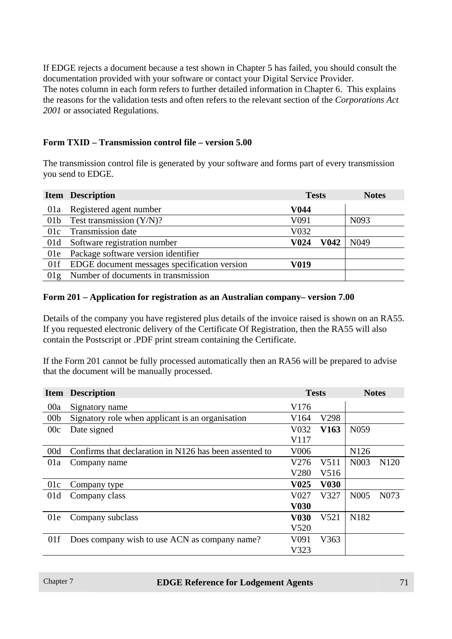If EDGE rejects a document because a test shown in Chapter 5 has failed, you should consult the documentation provided with your software or contact your Digital Service Provider. The notes column in each form refers to further detailed information in Chapter 6. This explains the reasons for the validation tests and often refers to the relevant section of the *Corporations Act 2001* or associated Regulations.

#### **Form TXID – Transmission control file – version 5.00**

The transmission control file is generated by your software and forms part of every transmission you send to EDGE.

|     | <b>Item Description</b>                      | <b>Tests</b> |      | <b>Notes</b>     |
|-----|----------------------------------------------|--------------|------|------------------|
| 01a | Registered agent number                      | V044         |      |                  |
|     | 01b Test transmission $(Y/N)$ ?              | V091         |      | N <sub>093</sub> |
|     | 01c Transmission date                        | V032         |      |                  |
|     | 01d Software registration number             | V024         | V042 | N <sub>049</sub> |
| 01e | Package software version identifier          |              |      |                  |
| 01f | EDGE document messages specification version | V019         |      |                  |
| 01g | Number of documents in transmission          |              |      |                  |

#### **Form 201 – Application for registration as an Australian company– version 7.00**

Details of the company you have registered plus details of the invoice raised is shown on an RA55. If you requested electronic delivery of the Certificate Of Registration, then the RA55 will also contain the Postscript or .PDF print stream containing the Certificate.

If the Form 201 cannot be fully processed automatically then an RA56 will be prepared to advise that the document will be manually processed.

|                 | <b>Item Description</b>                                | <b>Tests</b>      |                  | <b>Notes</b>      |                   |
|-----------------|--------------------------------------------------------|-------------------|------------------|-------------------|-------------------|
| 00a             | Signatory name                                         | V176              |                  |                   |                   |
| 00 <sub>b</sub> | Signatory role when applicant is an organisation       | V <sub>164</sub>  | V298             |                   |                   |
| 00c             | Date signed                                            | V032              | V <sub>163</sub> | N <sub>059</sub>  |                   |
|                 |                                                        | V117              |                  |                   |                   |
| 00d             | Confirms that declaration in N126 has been assented to | V <sub>006</sub>  |                  | N <sub>126</sub>  |                   |
| 01a             | Company name                                           | V276              | V511             | N <sub>0</sub> 03 | N <sub>120</sub>  |
|                 |                                                        | V280              | V516             |                   |                   |
| 01c             | Company type                                           | V <sub>0</sub> 25 | <b>V030</b>      |                   |                   |
| 01d             | Company class                                          | V <sub>0</sub> 27 | V327             | N <sub>005</sub>  | N <sub>0</sub> 73 |
|                 |                                                        | <b>V030</b>       |                  |                   |                   |
| 01e             | Company subclass                                       | <b>V030</b>       | V521             | N182              |                   |
|                 |                                                        | V520              |                  |                   |                   |
| 01f             | Does company wish to use ACN as company name?          | V <sub>091</sub>  | V363             |                   |                   |
|                 |                                                        | V323              |                  |                   |                   |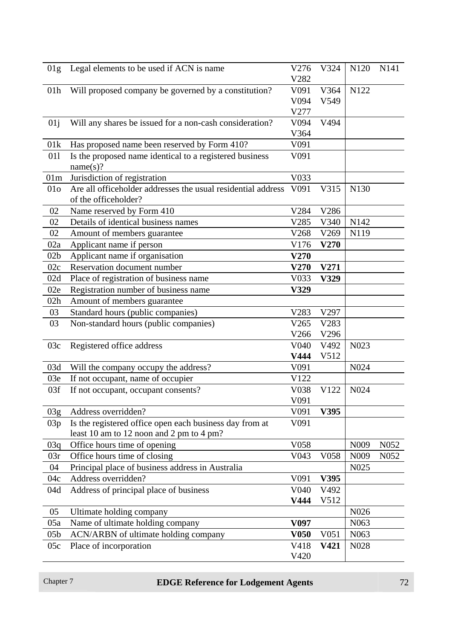| 01g             | Legal elements to be used if ACN is name                                             | V276<br>V282     | V324             | N120              | N <sub>141</sub> |
|-----------------|--------------------------------------------------------------------------------------|------------------|------------------|-------------------|------------------|
| 01 <sub>h</sub> | Will proposed company be governed by a constitution?                                 | V091             | V364             | N122              |                  |
|                 |                                                                                      | V094             | V549             |                   |                  |
|                 |                                                                                      | V277             |                  |                   |                  |
| 01j             | Will any shares be issued for a non-cash consideration?                              | V094             | V494             |                   |                  |
|                 |                                                                                      | V364             |                  |                   |                  |
| 01k             | Has proposed name been reserved by Form 410?                                         | V091             |                  |                   |                  |
| 011             | Is the proposed name identical to a registered business<br>name(s)?                  | V091             |                  |                   |                  |
| 01m             | Jurisdiction of registration                                                         | V033             |                  |                   |                  |
| 01 <sub>o</sub> | Are all officeholder addresses the usual residential address<br>of the officeholder? | V091             | V315             | N130              |                  |
| 02              | Name reserved by Form 410                                                            | V284             | V286             |                   |                  |
| 02              | Details of identical business names                                                  | V285             | V340             | N <sub>142</sub>  |                  |
| 02              | Amount of members guarantee                                                          | V268             | V269             | N119              |                  |
| 02a             | Applicant name if person                                                             | V176             | V270             |                   |                  |
| 02 <sub>b</sub> | Applicant name if organisation                                                       | V270             |                  |                   |                  |
| 02c             | Reservation document number                                                          | <b>V270</b>      | V271             |                   |                  |
| 02d             | Place of registration of business name                                               | V033             | V329             |                   |                  |
| 02e             | Registration number of business name                                                 | V329             |                  |                   |                  |
| 02h             | Amount of members guarantee                                                          |                  |                  |                   |                  |
| 03              | Standard hours (public companies)                                                    | V283             | V297             |                   |                  |
| 03              | Non-standard hours (public companies)                                                | V265             | V283             |                   |                  |
|                 |                                                                                      | V266             | V296             |                   |                  |
| 03c             | Registered office address                                                            | V040             | V492             | N <sub>023</sub>  |                  |
|                 |                                                                                      | V444             | V512             |                   |                  |
| 03d             | Will the company occupy the address?                                                 | V091             |                  | N024              |                  |
| 03e             | If not occupant, name of occupier                                                    | V122             |                  |                   |                  |
| 03f             | If not occupant, occupant consents?                                                  | V038             | V122             | N <sub>024</sub>  |                  |
|                 |                                                                                      | V091             |                  |                   |                  |
| 03g             | Address overridden?                                                                  | V091             | V395             |                   |                  |
| 03p             | Is the registered office open each business day from at                              | V091             |                  |                   |                  |
|                 | least 10 am to 12 noon and 2 pm to 4 pm?                                             |                  |                  |                   |                  |
| 03q             | Office hours time of opening                                                         | V058             |                  | N <sub>009</sub>  | N <sub>052</sub> |
| 03r             | Office hours time of closing                                                         | V043             | V058             | N009              | N052             |
| 04              | Principal place of business address in Australia                                     |                  |                  | N <sub>0</sub> 25 |                  |
| 04c             | Address overridden?                                                                  | V091             | V395             |                   |                  |
| 04d             | Address of principal place of business                                               | V040             | V492             |                   |                  |
|                 |                                                                                      | V444             | V512             |                   |                  |
| 05              | Ultimate holding company                                                             |                  |                  | N026              |                  |
| 05a             | Name of ultimate holding company                                                     | V <sub>097</sub> |                  | N <sub>063</sub>  |                  |
| 05 <sub>b</sub> | ACN/ARBN of ultimate holding company                                                 | <b>V050</b>      | V <sub>051</sub> | N <sub>063</sub>  |                  |
| 05c             | Place of incorporation                                                               | V418             | V421             | N <sub>028</sub>  |                  |
|                 |                                                                                      | V420             |                  |                   |                  |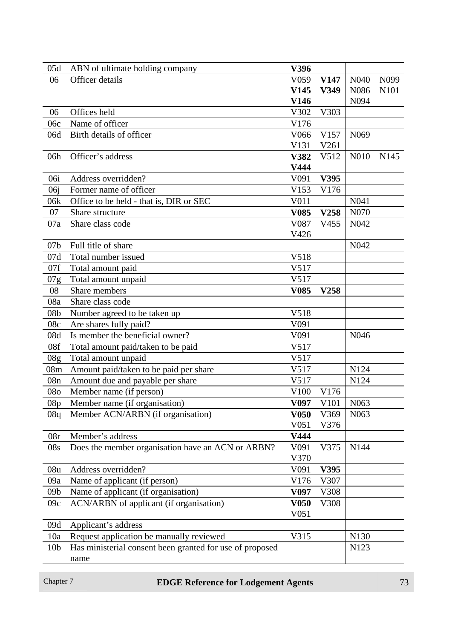| 05d             | ABN of ultimate holding company                                            | V396              |                  |                  |                  |
|-----------------|----------------------------------------------------------------------------|-------------------|------------------|------------------|------------------|
| 06              | Officer details                                                            | V059              | V <sub>147</sub> | N <sub>040</sub> | N <sub>099</sub> |
|                 |                                                                            | V145              | V349             | N086             | N101             |
|                 |                                                                            | V146              |                  | N094             |                  |
| 06              | Offices held                                                               | V302              | V303             |                  |                  |
| 06c             | Name of officer                                                            | V176              |                  |                  |                  |
| 06d             | Birth details of officer                                                   | V066              | V157             | N <sub>069</sub> |                  |
|                 |                                                                            | V131              | V261             |                  |                  |
| 06h             | Officer's address                                                          | V382              | V512             | N010             | N <sub>145</sub> |
|                 |                                                                            | V444              |                  |                  |                  |
| 06i             | Address overridden?                                                        | V091              | V395             |                  |                  |
| 06j             | Former name of officer                                                     | V153              | V176             |                  |                  |
| 06k             | Office to be held - that is, DIR or SEC                                    | V011              |                  | N041             |                  |
| 07              | Share structure                                                            | <b>V085</b>       | V258             | N070             |                  |
| 07a             | Share class code                                                           | V087              | V455             | N042             |                  |
|                 |                                                                            | V426              |                  |                  |                  |
| 07 <sub>b</sub> | Full title of share                                                        |                   |                  | N042             |                  |
| 07d             | Total number issued                                                        | V518              |                  |                  |                  |
| 07f             | Total amount paid                                                          | V517              |                  |                  |                  |
| 07g             | Total amount unpaid                                                        | V517              |                  |                  |                  |
| 08              | Share members                                                              | V <sub>0</sub> 85 | V258             |                  |                  |
| 08a             | Share class code                                                           |                   |                  |                  |                  |
| 08 <sub>b</sub> | Number agreed to be taken up                                               | V518              |                  |                  |                  |
| 08c             | Are shares fully paid?                                                     | V091              |                  |                  |                  |
| 08d             | Is member the beneficial owner?                                            | V091              |                  | N <sub>046</sub> |                  |
| 08f             | Total amount paid/taken to be paid                                         | V517              |                  |                  |                  |
| 08 <sub>g</sub> | Total amount unpaid                                                        | V517              |                  | N124             |                  |
| 08m<br>08n      | Amount paid/taken to be paid per share<br>Amount due and payable per share | V517<br>V517      |                  | N124             |                  |
| 08 <sub>o</sub> |                                                                            | V100              |                  |                  |                  |
| 08p             | Member name (if person)<br>Member name (if organisation)                   | V <sub>097</sub>  | V176<br>V101     | N <sub>063</sub> |                  |
| 08q             | Member ACN/ARBN (if organisation)                                          | V <sub>050</sub>  | V369             | N <sub>063</sub> |                  |
|                 |                                                                            | V <sub>051</sub>  | V376             |                  |                  |
| 08r             | Member's address                                                           | V444              |                  |                  |                  |
| 08s             | Does the member organisation have an ACN or ARBN?                          | V <sub>091</sub>  | V375             | N144             |                  |
|                 |                                                                            | V370              |                  |                  |                  |
| 08u             | Address overridden?                                                        | V091              | V395             |                  |                  |
| 09a             | Name of applicant (if person)                                              | V176              | V307             |                  |                  |
| 09 <sub>b</sub> | Name of applicant (if organisation)                                        | V <sub>097</sub>  | V308             |                  |                  |
| 09c             | ACN/ARBN of applicant (if organisation)                                    | V <sub>050</sub>  | V308             |                  |                  |
|                 |                                                                            | V <sub>051</sub>  |                  |                  |                  |
| 09d             | Applicant's address                                                        |                   |                  |                  |                  |
| 10a             | Request application be manually reviewed                                   | V315              |                  | N <sub>130</sub> |                  |
| 10 <sub>b</sub> | Has ministerial consent been granted for use of proposed                   |                   |                  | N <sub>123</sub> |                  |
|                 | name                                                                       |                   |                  |                  |                  |

# **Chapter 7 EDGE Reference for Lodgement Agents PHS EDGE Reference for Lodgement Agents PHS PHS PHS**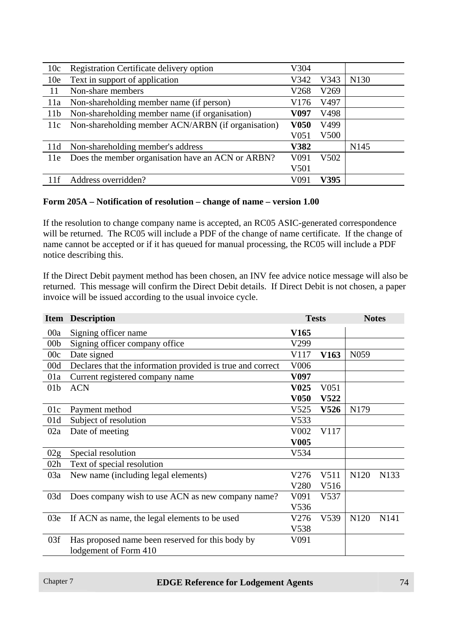| 10c             | Registration Certificate delivery option           | V304             |      |                  |
|-----------------|----------------------------------------------------|------------------|------|------------------|
| 10 <sub>e</sub> | Text in support of application                     | V342             | V343 | N <sub>130</sub> |
| 11              | Non-share members                                  | V268             | V269 |                  |
| 11a             | Non-shareholding member name (if person)           | V176             | V497 |                  |
| 11 <sub>b</sub> | Non-shareholding member name (if organisation)     | V097             | V498 |                  |
| 11c             | Non-shareholding member ACN/ARBN (if organisation) | <b>V050</b>      | V499 |                  |
|                 |                                                    | V <sub>051</sub> | V500 |                  |
| 11d             | Non-shareholding member's address                  | <b>V382</b>      |      | N <sub>145</sub> |
| 11e             | Does the member organisation have an ACN or ARBN?  | V091             | V502 |                  |
|                 |                                                    | V501             |      |                  |
| 11f             | Address overridden?                                | V091             | V395 |                  |

#### **Form 205A – Notification of resolution – change of name – version 1.00**

If the resolution to change company name is accepted, an RC05 ASIC-generated correspondence will be returned. The RC05 will include a PDF of the change of name certificate. If the change of name cannot be accepted or if it has queued for manual processing, the RC05 will include a PDF notice describing this.

If the Direct Debit payment method has been chosen, an INV fee advice notice message will also be returned. This message will confirm the Direct Debit details. If Direct Debit is not chosen, a paper invoice will be issued according to the usual invoice cycle.

|                 | <b>Item Description</b>                                    | <b>Tests</b>      |                  | <b>Notes</b>     |                   |
|-----------------|------------------------------------------------------------|-------------------|------------------|------------------|-------------------|
| 00a             | Signing officer name                                       | V165              |                  |                  |                   |
| 00 <sub>b</sub> | Signing officer company office                             | V299              |                  |                  |                   |
| 00c             | Date signed                                                | V117              | V <sub>163</sub> | N <sub>059</sub> |                   |
| 00d             | Declares that the information provided is true and correct | V006              |                  |                  |                   |
| 01a             | Current registered company name                            | V097              |                  |                  |                   |
| 01 <sub>b</sub> | <b>ACN</b>                                                 | V <sub>0</sub> 25 | V <sub>051</sub> |                  |                   |
|                 |                                                            | <b>V050</b>       | <b>V522</b>      |                  |                   |
| 01c             | Payment method                                             | V <sub>525</sub>  | V526             | N179             |                   |
| 01d             | Subject of resolution                                      | V533              |                  |                  |                   |
| 02a             | Date of meeting                                            | V <sub>0</sub> 02 | V117             |                  |                   |
|                 |                                                            | <b>V005</b>       |                  |                  |                   |
| 02g             | Special resolution                                         | V534              |                  |                  |                   |
| 02h             | Text of special resolution                                 |                   |                  |                  |                   |
| 03a             | New name (including legal elements)                        | V276              | V511             | N <sub>120</sub> | N <sub>1</sub> 33 |
|                 |                                                            | V280              | V516             |                  |                   |
| 03d             | Does company wish to use ACN as new company name?          | V <sub>091</sub>  | V537             |                  |                   |
|                 |                                                            | V536              |                  |                  |                   |
| 03e             | If ACN as name, the legal elements to be used              | V276              | V539             | N120             | N <sub>141</sub>  |
|                 |                                                            | V538              |                  |                  |                   |
| 03f             | Has proposed name been reserved for this body by           | V091              |                  |                  |                   |
|                 | lodgement of Form 410                                      |                   |                  |                  |                   |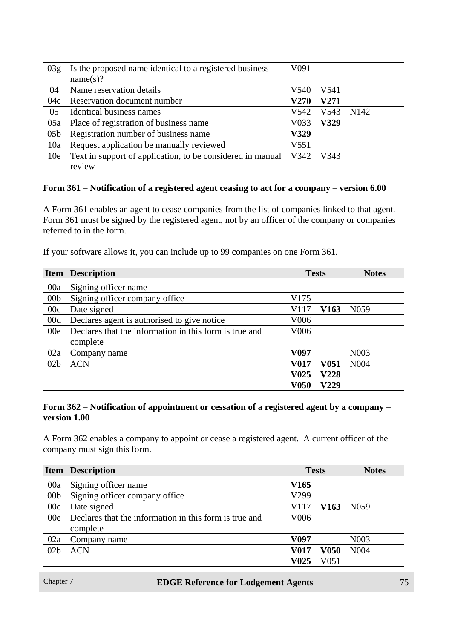| 03g             | Is the proposed name identical to a registered business<br>name(s)? | V <sub>091</sub> |             |                  |
|-----------------|---------------------------------------------------------------------|------------------|-------------|------------------|
| 04              | Name reservation details                                            | V540             | V541        |                  |
| 04c             | Reservation document number                                         | <b>V270</b>      | <b>V271</b> |                  |
| 05              | Identical business names                                            | V542             | V543        | N <sub>142</sub> |
| 05a             | Place of registration of business name                              | V033             | <b>V329</b> |                  |
| 05 <sub>b</sub> | Registration number of business name                                | V329             |             |                  |
| 10a             | Request application be manually reviewed                            | V <sub>551</sub> |             |                  |
| 10 <sub>e</sub> | Text in support of application, to be considered in manual          | V342             | V343        |                  |
|                 | review                                                              |                  |             |                  |

#### **Form 361 – Notification of a registered agent ceasing to act for a company – version 6.00**

A Form 361 enables an agent to cease companies from the list of companies linked to that agent. Form 361 must be signed by the registered agent, not by an officer of the company or companies referred to in the form.

If your software allows it, you can include up to 99 companies on one Form 361.

|                 | <b>Item Description</b>                                | <b>Tests</b>      |                  | <b>Notes</b>      |
|-----------------|--------------------------------------------------------|-------------------|------------------|-------------------|
| 00a             | Signing officer name                                   |                   |                  |                   |
| 00 <sub>b</sub> | Signing officer company office                         | V175              |                  |                   |
| 00c             | Date signed                                            | V117              | V <sub>163</sub> | N <sub>059</sub>  |
| 00d             | Declares agent is authorised to give notice            | V006              |                  |                   |
| 00e             | Declares that the information in this form is true and | V006              |                  |                   |
|                 | complete                                               |                   |                  |                   |
| 02a             | Company name                                           | V097              |                  | N <sub>0</sub> 03 |
| 02 <sub>b</sub> | <b>ACN</b>                                             | <b>V017</b>       | <b>V051</b>      | N004              |
|                 |                                                        | V <sub>0</sub> 25 | <b>V228</b>      |                   |
|                 |                                                        | <b>V050</b>       | V229             |                   |

#### **Form 362 – Notification of appointment or cessation of a registered agent by a company – version 1.00**

A Form 362 enables a company to appoint or cease a registered agent. A current officer of the company must sign this form.

|                 | <b>Item</b> Description                                |                  | <b>Tests</b> | <b>Notes</b>      |
|-----------------|--------------------------------------------------------|------------------|--------------|-------------------|
| 00a             | Signing officer name                                   | V <sub>165</sub> |              |                   |
| 00 <sub>b</sub> | Signing officer company office                         | V299             |              |                   |
| 00c             | Date signed                                            | V117             | V163         | N <sub>059</sub>  |
| 00e             | Declares that the information in this form is true and | V <sub>006</sub> |              |                   |
|                 | complete                                               |                  |              |                   |
| 02a             | Company name                                           | V097             |              | N <sub>00</sub> 3 |
| 02 <sub>b</sub> | <b>ACN</b>                                             | V017             | V050         | N <sub>004</sub>  |
|                 |                                                        | V025             | V051         |                   |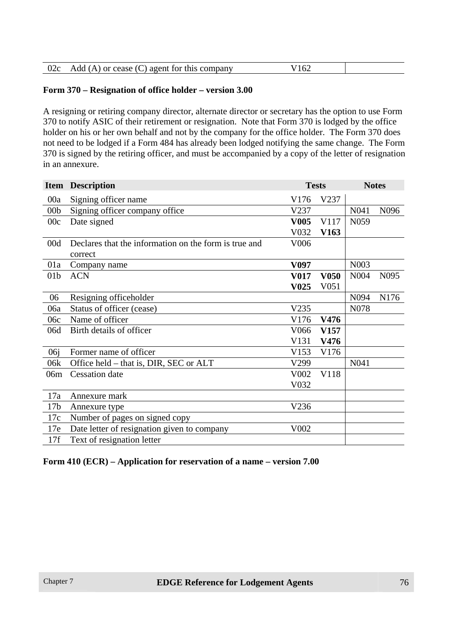| 02c | Add (A) or cease (C) agent for this company | 167<br>.UZ |  |
|-----|---------------------------------------------|------------|--|
|-----|---------------------------------------------|------------|--|

#### **Form 370 – Resignation of office holder – version 3.00**

A resigning or retiring company director, alternate director or secretary has the option to use Form 370 to notify ASIC of their retirement or resignation. Note that Form 370 is lodged by the office holder on his or her own behalf and not by the company for the office holder. The Form 370 does not need to be lodged if a Form 484 has already been lodged notifying the same change. The Form 370 is signed by the retiring officer, and must be accompanied by a copy of the letter of resignation in an annexure.

|                 | <b>Item Description</b>                               | <b>Tests</b>      |                  | <b>Notes</b>      |                  |
|-----------------|-------------------------------------------------------|-------------------|------------------|-------------------|------------------|
| 00a             | Signing officer name                                  | V176              | V237             |                   |                  |
| 00 <sub>b</sub> | Signing officer company office                        | V237              |                  | N <sub>041</sub>  | N <sub>096</sub> |
| 00c             | Date signed                                           | <b>V005</b>       | V117             | N <sub>059</sub>  |                  |
|                 |                                                       | V032              | V <sub>163</sub> |                   |                  |
| 00d             | Declares that the information on the form is true and | V006              |                  |                   |                  |
|                 | correct                                               |                   |                  |                   |                  |
| 01a             | Company name                                          | V <sub>097</sub>  |                  | N <sub>00</sub> 3 |                  |
| 01 <sub>b</sub> | <b>ACN</b>                                            | <b>V017</b>       | <b>V050</b>      | N004              | N <sub>095</sub> |
|                 |                                                       | V <sub>0</sub> 25 | V <sub>051</sub> |                   |                  |
| 06              | Resigning officeholder                                |                   |                  | N094              | N176             |
| 06a             | Status of officer (cease)                             | V235              |                  | N <sub>078</sub>  |                  |
| 06c             | Name of officer                                       | V176              | V476             |                   |                  |
| 06d             | Birth details of officer                              | V <sub>066</sub>  | V <sub>157</sub> |                   |                  |
|                 |                                                       | V131              | V476             |                   |                  |
| 06j             | Former name of officer                                | V153              | V176             |                   |                  |
| 06k             | Office held – that is, DIR, SEC or ALT                | V299              |                  | N041              |                  |
| 06m             | <b>Cessation</b> date                                 | V <sub>0</sub> 02 | V118             |                   |                  |
|                 |                                                       | V032              |                  |                   |                  |
| 17a             | Annexure mark                                         |                   |                  |                   |                  |
| 17 <sub>b</sub> | Annexure type                                         | V236              |                  |                   |                  |
| 17c             | Number of pages on signed copy                        |                   |                  |                   |                  |
| 17e             | Date letter of resignation given to company           | V002              |                  |                   |                  |
| 17f             | Text of resignation letter                            |                   |                  |                   |                  |

#### **Form 410 (ECR) – Application for reservation of a name – version 7.00**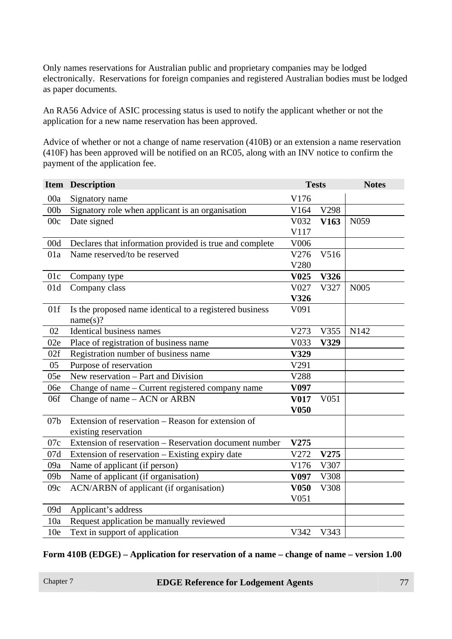Only names reservations for Australian public and proprietary companies may be lodged electronically. Reservations for foreign companies and registered Australian bodies must be lodged as paper documents.

An RA56 Advice of ASIC processing status is used to notify the applicant whether or not the application for a new name reservation has been approved.

Advice of whether or not a change of name reservation (410B) or an extension a name reservation (410F) has been approved will be notified on an RC05, along with an INV notice to confirm the payment of the application fee.

|                 | <b>Item Description</b>                                 | <b>Tests</b>      |                  | <b>Notes</b> |
|-----------------|---------------------------------------------------------|-------------------|------------------|--------------|
| 00a             | Signatory name                                          | V176              |                  |              |
| 00 <sub>b</sub> | Signatory role when applicant is an organisation        | V164              | V298             |              |
| 00c             | Date signed                                             | V032              | V <sub>163</sub> | N059         |
|                 |                                                         | V117              |                  |              |
| 00d             | Declares that information provided is true and complete | V006              |                  |              |
| 01a             | Name reserved/to be reserved                            | V276              | V516             |              |
|                 |                                                         | V280              |                  |              |
| 01c             | Company type                                            | V <sub>0</sub> 25 | V326             |              |
| 01d             | Company class                                           | V027              | V327             | N005         |
|                 |                                                         | V326              |                  |              |
| 01f             | Is the proposed name identical to a registered business | V091              |                  |              |
|                 | name(s)?                                                |                   |                  |              |
| 02              | <b>Identical business names</b>                         | V273              | V355             | N142         |
| 02e             | Place of registration of business name                  | V033              | V329             |              |
| 02f             | Registration number of business name                    | V329              |                  |              |
| 05              | Purpose of reservation                                  | V291              |                  |              |
| 05e             | New reservation - Part and Division                     | V288              |                  |              |
| 06e             | Change of name - Current registered company name        | V097              |                  |              |
| 06f             | Change of name – ACN or ARBN                            | <b>V017</b>       | V <sub>051</sub> |              |
|                 |                                                         | <b>V050</b>       |                  |              |
| 07 <sub>b</sub> | Extension of reservation - Reason for extension of      |                   |                  |              |
|                 | existing reservation                                    |                   |                  |              |
| 07c             | Extension of reservation - Reservation document number  | V275              |                  |              |
| 07d             | Extension of reservation - Existing expiry date         | V272              | V275             |              |
| 09a             | Name of applicant (if person)                           | V176              | V307             |              |
| 09 <sub>b</sub> | Name of applicant (if organisation)                     | V <sub>097</sub>  | V308             |              |
| 09c             | ACN/ARBN of applicant (if organisation)                 | <b>V050</b>       | V308             |              |
|                 |                                                         | V051              |                  |              |
| 09d             | Applicant's address                                     |                   |                  |              |
| 10a             | Request application be manually reviewed                |                   |                  |              |
| 10 <sub>e</sub> | Text in support of application                          | V342              | V343             |              |

#### **Form 410B (EDGE) – Application for reservation of a name – change of name – version 1.00**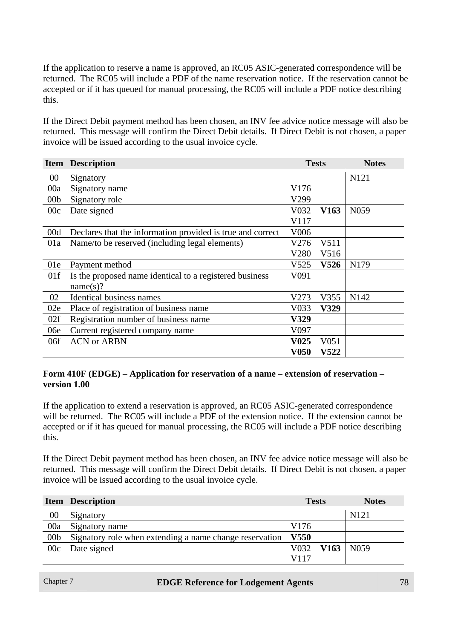If the application to reserve a name is approved, an RC05 ASIC-generated correspondence will be returned. The RC05 will include a PDF of the name reservation notice. If the reservation cannot be accepted or if it has queued for manual processing, the RC05 will include a PDF notice describing this.

If the Direct Debit payment method has been chosen, an INV fee advice notice message will also be returned. This message will confirm the Direct Debit details. If Direct Debit is not chosen, a paper invoice will be issued according to the usual invoice cycle.

|                 | <b>Item Description</b>                                    |             | <b>Tests</b> | <b>Notes</b>     |
|-----------------|------------------------------------------------------------|-------------|--------------|------------------|
| $00\,$          | Signatory                                                  |             |              | N121             |
| 00a             | Signatory name                                             | V176        |              |                  |
| 00 <sub>b</sub> | Signatory role                                             | V299        |              |                  |
| 00c             | Date signed                                                | V032        | V163         | N <sub>059</sub> |
|                 |                                                            | V117        |              |                  |
| 00d             | Declares that the information provided is true and correct | V006        |              |                  |
| 01a             | Name/to be reserved (including legal elements)             | V276        | V511         |                  |
|                 |                                                            | V280        | V516         |                  |
| 01e             | Payment method                                             | V525        | V526         | N179             |
| 01f             | Is the proposed name identical to a registered business    | V091        |              |                  |
|                 | name(s)?                                                   |             |              |                  |
| 02              | <b>Identical business names</b>                            | V273        | V355         | N142             |
| 02e             | Place of registration of business name                     | V033        | V329         |                  |
| 02f             | Registration number of business name                       | V329        |              |                  |
| 06e             | Current registered company name                            | V097        |              |                  |
| 06f             | <b>ACN or ARBN</b>                                         | <b>V025</b> | V051         |                  |
|                 |                                                            | V050        | <b>V522</b>  |                  |

#### **Form 410F (EDGE) – Application for reservation of a name – extension of reservation – version 1.00**

If the application to extend a reservation is approved, an RC05 ASIC-generated correspondence will be returned. The RC05 will include a PDF of the extension notice. If the extension cannot be accepted or if it has queued for manual processing, the RC05 will include a PDF notice describing this.

If the Direct Debit payment method has been chosen, an INV fee advice notice message will also be returned. This message will confirm the Direct Debit details. If Direct Debit is not chosen, a paper invoice will be issued according to the usual invoice cycle.

|                 | <b>Item Description</b>                                 | <b>Tests</b>     | <b>Notes</b>     |
|-----------------|---------------------------------------------------------|------------------|------------------|
| $00\,$          | Signatory                                               |                  | N <sub>121</sub> |
| 00a             | Signatory name                                          | V176             |                  |
| 00 <sub>b</sub> | Signatory role when extending a name change reservation | <b>V550</b>      |                  |
|                 | 00c Date signed                                         | $V032$ V163 N059 |                  |
|                 |                                                         | V117             |                  |

| Chapter 7 |  |
|-----------|--|
|-----------|--|

#### **EDGE Reference for Lodgement Agents 78**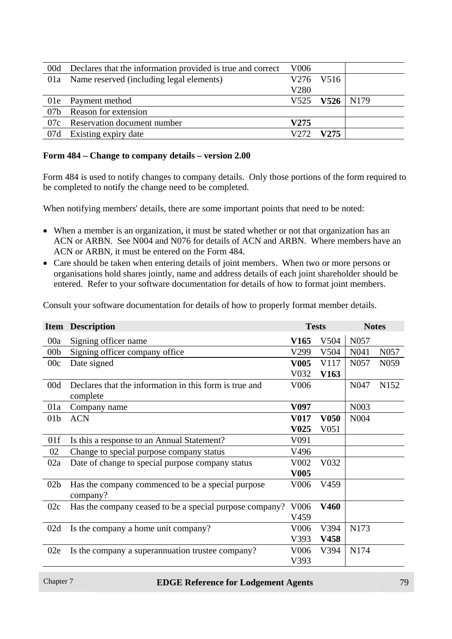| 00d | Declares that the information provided is true and correct | V <sub>006</sub> |                      |  |
|-----|------------------------------------------------------------|------------------|----------------------|--|
|     | 01a Name reserved (including legal elements)               |                  | V276 V516            |  |
|     |                                                            | V280             |                      |  |
|     | 01e Payment method                                         |                  | $V525$ $V526$   N179 |  |
| 07b | Reason for extension                                       |                  |                      |  |
|     | 07c Reservation document number                            | V275             |                      |  |
|     | 07d Existing expiry date                                   | V272             | V275                 |  |

#### **Form 484 – Change to company details – version 2.00**

Form 484 is used to notify changes to company details. Only those portions of the form required to be completed to notify the change need to be completed.

When notifying members' details, there are some important points that need to be noted:

- When a member is an organization, it must be stated whether or not that organization has an ACN or ARBN. See N004 and N076 for details of ACN and ARBN. Where members have an ACN or ARBN, it must be entered on the Form 484.
- Care should be taken when entering details of joint members. When two or more persons or organisations hold shares jointly, name and address details of each joint shareholder should be entered. Refer to your software documentation for details of how to format joint members.

Consult your software documentation for details of how to properly format member details.

|                 | <b>Item Description</b>                                            | <b>Tests</b>      |                  | <b>Notes</b>      |                  |
|-----------------|--------------------------------------------------------------------|-------------------|------------------|-------------------|------------------|
| 00a             | Signing officer name                                               | V165              | V504             | N057              |                  |
| 00 <sub>b</sub> | Signing officer company office                                     | V299              | V504             | N041              | N <sub>057</sub> |
| 00c             | Date signed                                                        | <b>V005</b>       | V117             | N <sub>057</sub>  | N <sub>059</sub> |
|                 |                                                                    | V032              | V <sub>163</sub> |                   |                  |
| 00d             | Declares that the information in this form is true and<br>complete | V006              |                  | N <sub>047</sub>  | N <sub>152</sub> |
| 01a             | Company name                                                       | V097              |                  | N <sub>00</sub> 3 |                  |
| 01 <sub>b</sub> | <b>ACN</b>                                                         | <b>V017</b>       | <b>V050</b>      | N <sub>004</sub>  |                  |
|                 |                                                                    | V <sub>0</sub> 25 | V <sub>051</sub> |                   |                  |
| 01f             | Is this a response to an Annual Statement?                         | V091              |                  |                   |                  |
| 02              | Change to special purpose company status                           | V496              |                  |                   |                  |
| 02a             | Date of change to special purpose company status                   | V002              | V032             |                   |                  |
|                 |                                                                    | <b>V005</b>       |                  |                   |                  |
| 02 <sub>b</sub> | Has the company commenced to be a special purpose<br>company?      | V006              | V459             |                   |                  |
| 02c             | Has the company ceased to be a special purpose company?            | V <sub>006</sub>  | <b>V460</b>      |                   |                  |
|                 |                                                                    | V459              |                  |                   |                  |
| 02d             | Is the company a home unit company?                                | V <sub>006</sub>  | V394             | N173              |                  |
|                 |                                                                    | V393              | V458             |                   |                  |
| 02e             | Is the company a superannuation trustee company?                   | V <sub>006</sub>  | V394             | N174              |                  |
|                 |                                                                    | V393              |                  |                   |                  |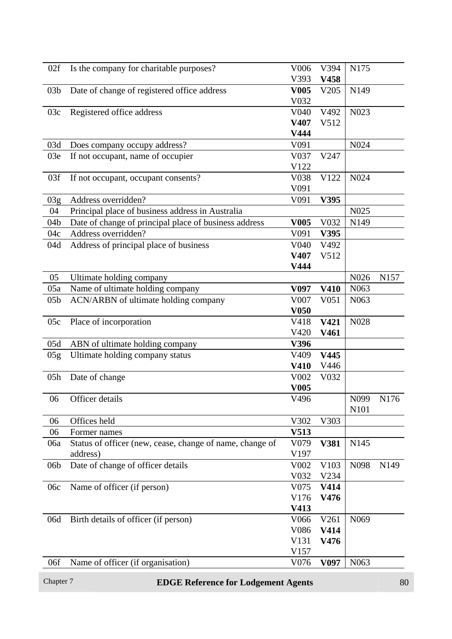| 02f             | Is the company for charitable purposes?                  | V006                | V394             | N175              |                  |
|-----------------|----------------------------------------------------------|---------------------|------------------|-------------------|------------------|
|                 |                                                          | V393                | V458             |                   |                  |
| 03 <sub>b</sub> | Date of change of registered office address              | <b>V005</b><br>V032 | V205             | N149              |                  |
| 03c             | Registered office address                                | V040                | V492             | N023              |                  |
|                 |                                                          | V407                | V512             |                   |                  |
|                 |                                                          | V444                |                  |                   |                  |
| 03d             | Does company occupy address?                             | V091                |                  | N <sub>0</sub> 24 |                  |
| 03e             | If not occupant, name of occupier                        | V037                | V247             |                   |                  |
|                 |                                                          | V122                |                  |                   |                  |
| 03f             | If not occupant, occupant consents?                      | V038                | V122             | N024              |                  |
|                 |                                                          | V091                |                  |                   |                  |
| 03g             | Address overridden?                                      | V091                | V395             |                   |                  |
| 04              | Principal place of business address in Australia         |                     |                  | N025              |                  |
| 04 <sub>b</sub> | Date of change of principal place of business address    | V005                | V032             | N <sub>149</sub>  |                  |
| 04c             | Address overridden?                                      | V091                | V395             |                   |                  |
| 04d             | Address of principal place of business                   | V040                | V492             |                   |                  |
|                 |                                                          | V407                | V512             |                   |                  |
|                 |                                                          | V444                |                  |                   |                  |
| 05              | Ultimate holding company                                 |                     |                  | N026              | N <sub>157</sub> |
| 05a             | Name of ultimate holding company                         | V <sub>097</sub>    | V410             | N <sub>063</sub>  |                  |
| 05 <sub>b</sub> | ACN/ARBN of ultimate holding company                     | V007                | V <sub>051</sub> | N <sub>063</sub>  |                  |
|                 |                                                          | V <sub>050</sub>    |                  |                   |                  |
| 05c             | Place of incorporation                                   | V418                | V421             | N028              |                  |
|                 |                                                          | V420                | V461             |                   |                  |
| 05d             | ABN of ultimate holding company                          | V396                |                  |                   |                  |
| 05g             | Ultimate holding company status                          | V409                | V445             |                   |                  |
|                 |                                                          | V410                | V446             |                   |                  |
| 05h             | Date of change                                           | V002                | V032             |                   |                  |
|                 |                                                          | <b>V005</b>         |                  |                   |                  |
| 06              | Officer details                                          | V496                |                  | N <sub>099</sub>  | N176             |
|                 |                                                          |                     |                  | N101              |                  |
| 06              | Offices held                                             | V302                | V303             |                   |                  |
| 06              | Former names                                             | V513                |                  |                   |                  |
| 06a             | Status of officer (new, cease, change of name, change of | V <sub>0</sub> 79   | V381             | N145              |                  |
|                 | address)                                                 | V197                |                  |                   |                  |
| 06 <sub>b</sub> | Date of change of officer details                        | V002                | V103             | N <sub>098</sub>  | N <sub>149</sub> |
|                 |                                                          | V032                | V234             |                   |                  |
| 06c             | Name of officer (if person)                              | V075                | V414             |                   |                  |
|                 |                                                          | V176                | V476             |                   |                  |
|                 |                                                          | V413                |                  |                   |                  |
| 06d             | Birth details of officer (if person)                     | V066                | V261             | N <sub>069</sub>  |                  |
|                 |                                                          | V086                | V414             |                   |                  |
|                 |                                                          |                     |                  |                   |                  |
|                 |                                                          |                     |                  |                   |                  |
|                 |                                                          | V131                | V476             |                   |                  |
| 06f             | Name of officer (if organisation)                        | V157<br>V076        | V <sub>097</sub> | N <sub>063</sub>  |                  |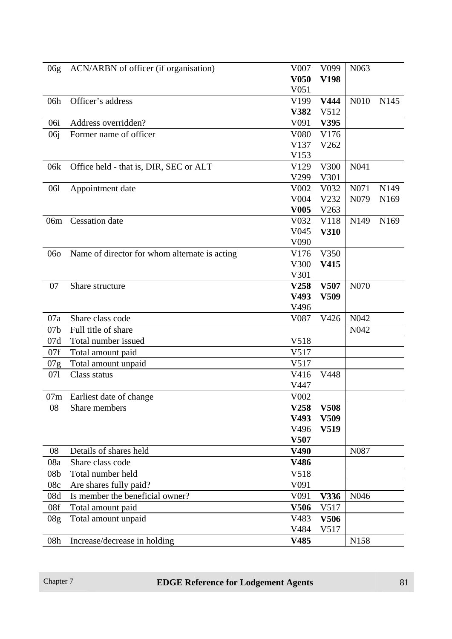| 06g             | ACN/ARBN of officer (if organisation)         | V007             | V <sub>099</sub>  | N <sub>063</sub> |                  |
|-----------------|-----------------------------------------------|------------------|-------------------|------------------|------------------|
|                 |                                               | V <sub>050</sub> | V198              |                  |                  |
|                 |                                               | V <sub>051</sub> |                   |                  |                  |
| 06h             | Officer's address                             | V199             | V444              | N010             | N <sub>145</sub> |
|                 |                                               | V382             | V512              |                  |                  |
| 06i             | Address overridden?                           | V091             | V395              |                  |                  |
| 06j             | Former name of officer                        | V080             | V176              |                  |                  |
|                 |                                               | V137             | V262              |                  |                  |
|                 |                                               | V153             |                   |                  |                  |
| 06k             | Office held - that is, DIR, SEC or ALT        | V129             | V300              | N041             |                  |
|                 |                                               | V299             | V301              |                  |                  |
| 061             | Appointment date                              | V002             | V <sub>0</sub> 32 | N071             | N <sub>149</sub> |
|                 |                                               | V004             | V232              | N <sub>079</sub> | N <sub>169</sub> |
|                 |                                               | <b>V005</b>      | V263              |                  |                  |
| 06m             | <b>Cessation</b> date                         | V032             | V118              | N149             | N <sub>169</sub> |
|                 |                                               | V045             | <b>V310</b>       |                  |                  |
|                 |                                               | V090             |                   |                  |                  |
| 060             | Name of director for whom alternate is acting | V176             | V350              |                  |                  |
|                 |                                               | V300             | V415              |                  |                  |
|                 |                                               | V301             |                   |                  |                  |
| 07              | Share structure                               | V258             | V507              | N070             |                  |
|                 |                                               | V493             | V509              |                  |                  |
|                 |                                               | V496             |                   |                  |                  |
| 07a             | Share class code                              | V087             | V426              | N042             |                  |
| 07 <sub>b</sub> | Full title of share                           |                  |                   | N <sub>042</sub> |                  |
| 07d             | Total number issued                           | V518             |                   |                  |                  |
| 07f             | Total amount paid                             | V517             |                   |                  |                  |
| 07g             | Total amount unpaid                           | V517             |                   |                  |                  |
| 071             | Class status                                  | V416             | V448              |                  |                  |
|                 |                                               | V447             |                   |                  |                  |
| 07m             | Earliest date of change                       | V002             |                   |                  |                  |
| 08              | Share members                                 | V258             | <b>V508</b>       |                  |                  |
|                 |                                               | V493             | V509              |                  |                  |
|                 |                                               | V496             | V519              |                  |                  |
|                 |                                               | V507             |                   |                  |                  |
| 08              | Details of shares held                        | V490             |                   | N087             |                  |
| 08a             | Share class code                              | V486             |                   |                  |                  |
| 08 <sub>b</sub> | Total number held                             | V518             |                   |                  |                  |
| 08c             | Are shares fully paid?                        | V091             |                   |                  |                  |
| 08d             | Is member the beneficial owner?               | V091             | V336              | N <sub>046</sub> |                  |
| 08f             | Total amount paid                             | V506             | V517              |                  |                  |
| 08 <sub>g</sub> | Total amount unpaid                           | V483             | V506              |                  |                  |
|                 |                                               | V484             | V517              |                  |                  |
| 08h             | Increase/decrease in holding                  | V485             |                   | N <sub>158</sub> |                  |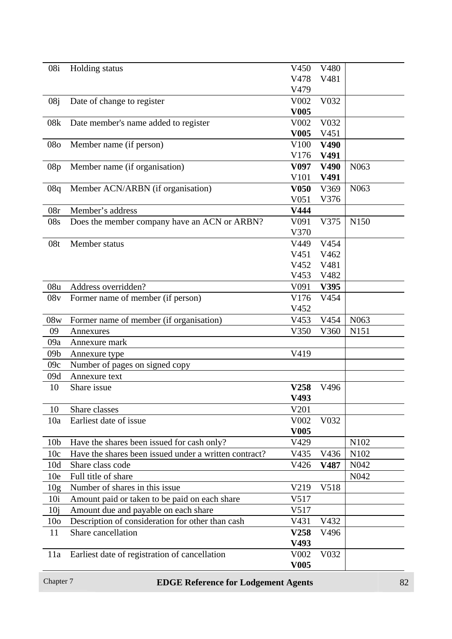| 08i             | Holding status                                        | V450             | V480 |                   |
|-----------------|-------------------------------------------------------|------------------|------|-------------------|
|                 |                                                       | V478             | V481 |                   |
|                 |                                                       | V479             |      |                   |
|                 |                                                       |                  |      |                   |
| 08j             | Date of change to register                            | V002             | V032 |                   |
|                 |                                                       | <b>V005</b>      |      |                   |
| 08k             | Date member's name added to register                  | V002             | V032 |                   |
|                 |                                                       | <b>V005</b>      | V451 |                   |
| 080             | Member name (if person)                               | V100             | V490 |                   |
|                 |                                                       | V176             | V491 |                   |
| 08p             | Member name (if organisation)                         | V097             | V490 | N <sub>063</sub>  |
|                 |                                                       | V101             | V491 |                   |
| 08q             | Member ACN/ARBN (if organisation)                     | <b>V050</b>      | V369 | N <sub>063</sub>  |
|                 |                                                       | V <sub>051</sub> | V376 |                   |
| 08r             | Member's address                                      | V444             |      |                   |
| 08s             | Does the member company have an ACN or ARBN?          | V091             | V375 | N150              |
|                 |                                                       | V370             |      |                   |
| 08t             | Member status                                         | V449             | V454 |                   |
|                 |                                                       | V451             | V462 |                   |
|                 |                                                       | V452             | V481 |                   |
|                 |                                                       | V453             | V482 |                   |
| 08u             | Address overridden?                                   | V091             | V395 |                   |
| 08v             | Former name of member (if person)                     | V176             | V454 |                   |
|                 |                                                       | V452             |      |                   |
| 08w             | Former name of member (if organisation)               | V453             | V454 | N <sub>063</sub>  |
| 09              | Annexures                                             | V350             | V360 | N151              |
| 09a             | Annexure mark                                         |                  |      |                   |
|                 |                                                       | V419             |      |                   |
| 09 <sub>b</sub> | Annexure type                                         |                  |      |                   |
| 09c             | Number of pages on signed copy                        |                  |      |                   |
| 09d             | Annexure text                                         |                  |      |                   |
| 10              | Share issue                                           | V258             | V496 |                   |
|                 |                                                       | V493             |      |                   |
| 10              | Share classes                                         | V201             |      |                   |
| 10a             | Earliest date of issue                                | V002             | V032 |                   |
|                 |                                                       | V <sub>005</sub> |      |                   |
| 10 <sub>b</sub> | Have the shares been issued for cash only?            | V429             |      | N102              |
| 10c             | Have the shares been issued under a written contract? | V435             | V436 | N <sub>1</sub> 02 |
| 10d             | Share class code                                      | V426             | V487 | N <sub>042</sub>  |
| 10 <sub>e</sub> | Full title of share                                   |                  |      | N <sub>042</sub>  |
| 10 <sub>g</sub> | Number of shares in this issue                        | V219             | V518 |                   |
| 10i             | Amount paid or taken to be paid on each share         | V517             |      |                   |
| 10j             | Amount due and payable on each share                  | V517             |      |                   |
| 10 <sub>o</sub> | Description of consideration for other than cash      | V431             | V432 |                   |
| 11              | Share cancellation                                    | V258             | V496 |                   |
|                 |                                                       | V493             |      |                   |
| 11a             | Earliest date of registration of cancellation         | V002             | V032 |                   |
|                 |                                                       | <b>V005</b>      |      |                   |
|                 |                                                       |                  |      |                   |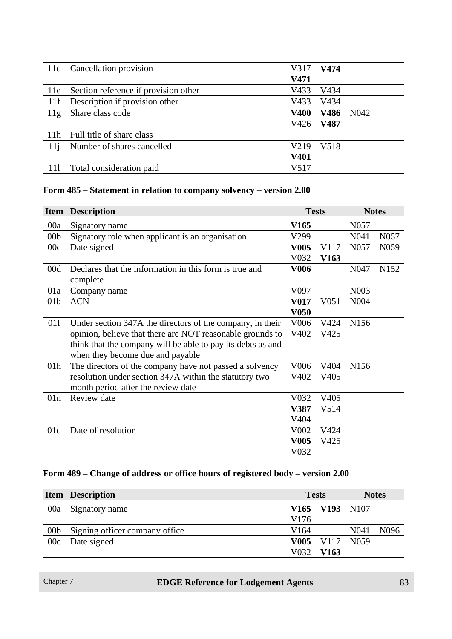| 11d | Cancellation provision               | V317        | V474 |                  |
|-----|--------------------------------------|-------------|------|------------------|
|     |                                      | V471        |      |                  |
| 11e | Section reference if provision other | V433        | V434 |                  |
| 11f | Description if provision other       | V433        | V434 |                  |
| 11g | Share class code                     | <b>V400</b> | V486 | N <sub>042</sub> |
|     |                                      | V426        | V487 |                  |
| 11h | Full title of share class            |             |      |                  |
| 11j | Number of shares cancelled           | V219        | V518 |                  |
|     |                                      | V401        |      |                  |
|     | Total consideration paid             | V517        |      |                  |

#### **Form 485 – Statement in relation to company solvency – version 2.00**

|                 | <b>Item Description</b>                                     | <b>Tests</b>      |                   | <b>Notes</b>      |                  |
|-----------------|-------------------------------------------------------------|-------------------|-------------------|-------------------|------------------|
| 00a             | Signatory name                                              | V <sub>165</sub>  |                   | N057              |                  |
| 00 <sub>b</sub> | Signatory role when applicant is an organisation            | V299              |                   | N <sub>041</sub>  | N <sub>057</sub> |
| 00c             | Date signed                                                 | <b>V005</b>       | V117              | N <sub>057</sub>  | N <sub>059</sub> |
|                 |                                                             | V032              | V <sub>163</sub>  |                   |                  |
| 00d             | Declares that the information in this form is true and      | <b>V006</b>       |                   | N <sub>047</sub>  | N152             |
|                 | complete                                                    |                   |                   |                   |                  |
| 01a             | Company name                                                | V097              |                   | N <sub>00</sub> 3 |                  |
| 01 <sub>b</sub> | <b>ACN</b>                                                  | V017              | V <sub>051</sub>  | N004              |                  |
|                 |                                                             | <b>V050</b>       |                   |                   |                  |
| 01f             | Under section 347A the directors of the company, in their   | V006              | V424              | N156              |                  |
|                 | opinion, believe that there are NOT reasonable grounds to   | V402              | V425              |                   |                  |
|                 | think that the company will be able to pay its debts as and |                   |                   |                   |                  |
|                 | when they become due and payable                            |                   |                   |                   |                  |
| 01 <sub>h</sub> | The directors of the company have not passed a solvency     | V006              | V404              | N156              |                  |
|                 | resolution under section 347A within the statutory two      | V402              | V <sub>405</sub>  |                   |                  |
|                 | month period after the review date                          |                   |                   |                   |                  |
| 01n             | Review date                                                 | V032              | V <sub>4</sub> 05 |                   |                  |
|                 |                                                             | V387              | V514              |                   |                  |
|                 |                                                             | V404              |                   |                   |                  |
| 01q             | Date of resolution                                          | V <sub>0</sub> 02 | V424              |                   |                  |
|                 |                                                             | <b>V005</b>       | V425              |                   |                  |
|                 |                                                             | V032              |                   |                   |                  |

#### **Form 489 – Change of address or office hours of registered body – version 2.00**

|                 | <b>Item Description</b>        | <b>Tests</b>     |                  | <b>Notes</b>     |                  |
|-----------------|--------------------------------|------------------|------------------|------------------|------------------|
| 00a             | Signatory name                 |                  | V165 V193   N107 |                  |                  |
|                 |                                | V <sub>176</sub> |                  |                  |                  |
| 00 <sub>b</sub> | Signing officer company office | V164             |                  | N <sub>041</sub> | N <sub>096</sub> |
| 00c             | Date signed                    |                  | $V005$ V117      | N <sub>059</sub> |                  |
|                 |                                | V032             | V163             |                  |                  |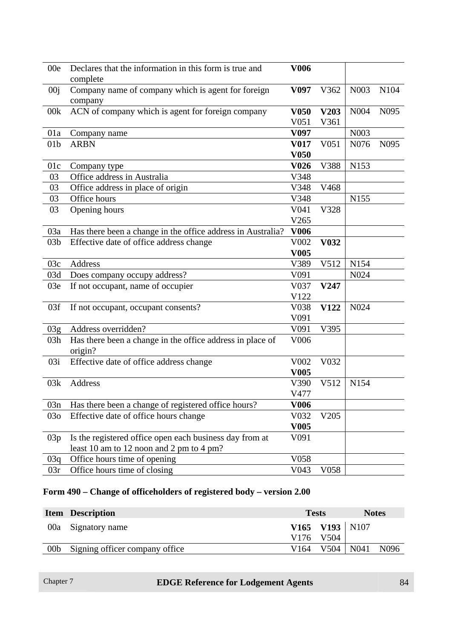| 00e             | Declares that the information in this form is true and<br>complete   | <b>V006</b>         |                  |                  |                  |
|-----------------|----------------------------------------------------------------------|---------------------|------------------|------------------|------------------|
| 00j             | Company name of company which is agent for foreign<br>company        | V097                | V362             | N003             | N104             |
| 00k             | ACN of company which is agent for foreign company                    | <b>V050</b><br>V051 | V203<br>V361     | N004             | N <sub>095</sub> |
| 01a             | Company name                                                         | V <sub>097</sub>    |                  | N003             |                  |
| 01 <sub>b</sub> | <b>ARBN</b>                                                          | <b>V017</b>         | V <sub>051</sub> | N076             | N <sub>095</sub> |
|                 |                                                                      | <b>V050</b>         |                  |                  |                  |
| 01c             | Company type                                                         | V <sub>026</sub>    | V388             | N153             |                  |
| 03              | Office address in Australia                                          | V348                |                  |                  |                  |
| 03              | Office address in place of origin                                    | V348                | V468             |                  |                  |
| 03              | Office hours                                                         | V348                |                  | N <sub>155</sub> |                  |
| 03              | Opening hours                                                        | V041                | V328             |                  |                  |
|                 |                                                                      | V265                |                  |                  |                  |
| 03a             | Has there been a change in the office address in Australia?          | <b>V006</b>         |                  |                  |                  |
| 03 <sub>b</sub> | Effective date of office address change                              | V002                | <b>V032</b>      |                  |                  |
|                 |                                                                      | <b>V005</b>         |                  |                  |                  |
| 03c             | <b>Address</b>                                                       | V389                | V512             | N154             |                  |
| 03d             | Does company occupy address?                                         | V091                |                  | N024             |                  |
| 03e             | If not occupant, name of occupier                                    | V037                | V247             |                  |                  |
|                 |                                                                      | V122                |                  |                  |                  |
| 03f             | If not occupant, occupant consents?                                  | V038                | V122             | N024             |                  |
|                 |                                                                      | V091                |                  |                  |                  |
| 03g             | Address overridden?                                                  | V091                | V395             |                  |                  |
| 03h             | Has there been a change in the office address in place of<br>origin? | V006                |                  |                  |                  |
| 03i             | Effective date of office address change                              | V002                | V032             |                  |                  |
|                 |                                                                      | V <sub>005</sub>    |                  |                  |                  |
| 03k             | Address                                                              | V390                | V512             | N154             |                  |
|                 |                                                                      | V477                |                  |                  |                  |
| 03n             | Has there been a change of registered office hours?                  | <b>V006</b>         |                  |                  |                  |
| 03 <sub>o</sub> | Effective date of office hours change                                | V032                | V205             |                  |                  |
|                 |                                                                      | <b>V005</b>         |                  |                  |                  |
| 03p             | Is the registered office open each business day from at              | V091                |                  |                  |                  |
|                 | least 10 am to 12 noon and 2 pm to 4 pm?                             |                     |                  |                  |                  |
| 03q             | Office hours time of opening                                         | V058                |                  |                  |                  |
| 03r             | Office hours time of closing                                         | V043                | V058             |                  |                  |

## **Form 490 – Change of officeholders of registered body – version 2.00**

|                 | <b>Item</b> Description        | <b>Tests</b> |                      | <b>Notes</b> |                  |
|-----------------|--------------------------------|--------------|----------------------|--------------|------------------|
|                 | 00a Signatory name             |              | V165 V193 N107       |              |                  |
|                 |                                |              | V176 V504            |              |                  |
| 00 <sub>b</sub> | Signing officer company office |              | $V164$ $V504$ $N041$ |              | N <sub>096</sub> |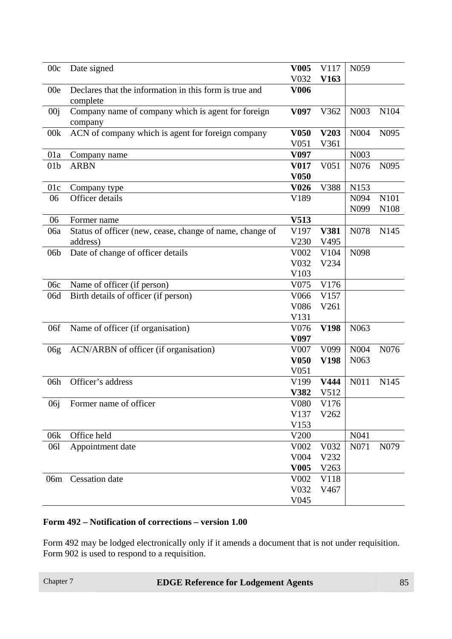| 00c             | Date signed                                                        | V <sub>005</sub>         | V117             | N059              |                  |
|-----------------|--------------------------------------------------------------------|--------------------------|------------------|-------------------|------------------|
|                 |                                                                    | V032                     | V163             |                   |                  |
| 00e             | Declares that the information in this form is true and<br>complete | <b>V006</b>              |                  |                   |                  |
| 00 <sub>j</sub> | Company name of company which is agent for foreign<br>company      | V <sub>097</sub>         | V362             | N003              | N104             |
| 00k             | ACN of company which is agent for foreign company                  | V <sub>050</sub>         | V203             | N004              | N <sub>095</sub> |
|                 |                                                                    | V <sub>051</sub>         | V361             |                   |                  |
| 01a             | Company name                                                       | V097                     |                  | N003              |                  |
| 01 <sub>b</sub> | <b>ARBN</b>                                                        | V017<br>V <sub>050</sub> | V051             | N076              | N095             |
| 01c             |                                                                    | V <sub>026</sub>         | V388             | N153              |                  |
| 06              | Company type<br>Officer details                                    | V189                     |                  | N094              | N101             |
|                 |                                                                    |                          |                  | N099              | N <sub>108</sub> |
| 06              | Former name                                                        | V513                     |                  |                   |                  |
| 06a             | Status of officer (new, cease, change of name, change of           | V197                     | V381             | N078              | N <sub>145</sub> |
|                 | address)                                                           | V230                     | V495             |                   |                  |
| 06 <sub>b</sub> | Date of change of officer details                                  | V002                     | V104             | N098              |                  |
|                 |                                                                    | V032                     | V234             |                   |                  |
|                 |                                                                    | V103                     |                  |                   |                  |
| 06c             | Name of officer (if person)                                        | V075                     | V176             |                   |                  |
| 06d             | Birth details of officer (if person)                               | V066                     | V157             |                   |                  |
|                 |                                                                    | V086                     | V261             |                   |                  |
|                 |                                                                    | V131                     |                  |                   |                  |
| 06f             | Name of officer (if organisation)                                  | V076                     | V198             | N <sub>063</sub>  |                  |
|                 |                                                                    | V <sub>097</sub>         |                  |                   |                  |
| 06g             | ACN/ARBN of officer (if organisation)                              | V007                     | V <sub>099</sub> | N004              | N076             |
|                 |                                                                    | V <sub>050</sub>         | <b>V198</b>      | N <sub>063</sub>  |                  |
|                 |                                                                    | V051                     |                  |                   |                  |
| 06h             | Officer's address                                                  | V199                     | V444             | N011              | N <sub>145</sub> |
|                 |                                                                    | V382                     | V512             |                   |                  |
| 06j             | Former name of officer                                             | V080                     | V176             |                   |                  |
|                 |                                                                    | V137                     | V262             |                   |                  |
|                 |                                                                    | V153                     |                  |                   |                  |
| 06k             | Office held                                                        | V200                     |                  | N <sub>041</sub>  |                  |
| 061             | Appointment date                                                   | V002                     | V032             | N <sub>0</sub> 71 | N079             |
|                 |                                                                    | V004<br><b>V005</b>      | V232<br>V263     |                   |                  |
| 06m             | Cessation date                                                     | V002                     | V118             |                   |                  |
|                 |                                                                    | V032                     | V467             |                   |                  |
|                 |                                                                    | V045                     |                  |                   |                  |
|                 |                                                                    |                          |                  |                   |                  |

#### **Form 492 – Notification of corrections – version 1.00**

Form 492 may be lodged electronically only if it amends a document that is not under requisition. Form 902 is used to respond to a requisition.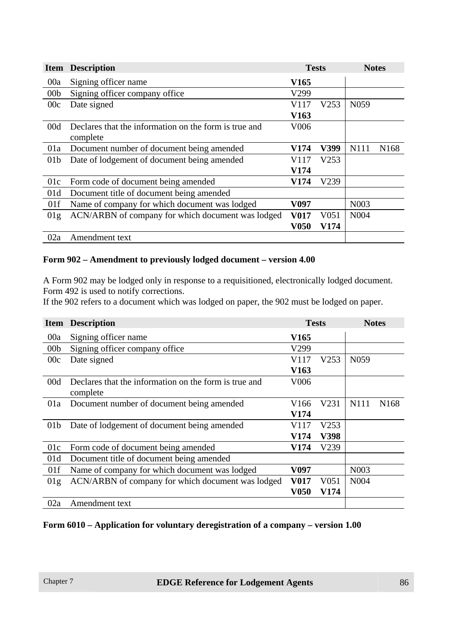| <b>Item</b>     | <b>Description</b>                                    | <b>Tests</b>     |      | <b>Notes</b>      |                  |
|-----------------|-------------------------------------------------------|------------------|------|-------------------|------------------|
| 00a             | Signing officer name                                  | V165             |      |                   |                  |
| 00 <sub>b</sub> | Signing officer company office                        | V299             |      |                   |                  |
| 00c             | Date signed                                           | V117             | V253 | N <sub>059</sub>  |                  |
|                 |                                                       | V <sub>163</sub> |      |                   |                  |
| 00d             | Declares that the information on the form is true and | V <sub>006</sub> |      |                   |                  |
|                 | complete                                              |                  |      |                   |                  |
| 01a             | Document number of document being amended             | V174             | V399 | N111              | N <sub>168</sub> |
| 01 <sub>b</sub> | Date of lodgement of document being amended           | V117             | V253 |                   |                  |
|                 |                                                       | V174             |      |                   |                  |
| 01c             | Form code of document being amended                   | <b>V174</b>      | V239 |                   |                  |
| 01d             | Document title of document being amended              |                  |      |                   |                  |
| 01f             | Name of company for which document was lodged         | V097             |      | N <sub>00</sub> 3 |                  |
| 01g             | ACN/ARBN of company for which document was lodged     | <b>V017</b>      | V051 | N <sub>004</sub>  |                  |
|                 |                                                       | <b>V050</b>      | V174 |                   |                  |
| 02a             | Amendment text                                        |                  |      |                   |                  |

#### **Form 902 – Amendment to previously lodged document – version 4.00**

A Form 902 may be lodged only in response to a requisitioned, electronically lodged document. Form 492 is used to notify corrections.

If the 902 refers to a document which was lodged on paper, the 902 must be lodged on paper.

|                 | <b>Item Description</b>                               |                  | <b>Tests</b><br><b>Notes</b> |                   |                  |
|-----------------|-------------------------------------------------------|------------------|------------------------------|-------------------|------------------|
| 00a             | Signing officer name                                  | V165             |                              |                   |                  |
| 00 <sub>b</sub> | Signing officer company office                        | V299             |                              |                   |                  |
| 00c             | Date signed                                           | V117             | V253                         | N <sub>059</sub>  |                  |
|                 |                                                       | V <sub>163</sub> |                              |                   |                  |
| 00d             | Declares that the information on the form is true and | V006             |                              |                   |                  |
|                 | complete                                              |                  |                              |                   |                  |
| 01a             | Document number of document being amended             | V166             | V231                         | N111              | N <sub>168</sub> |
|                 |                                                       | V174             |                              |                   |                  |
| 01 <sub>b</sub> | Date of lodgement of document being amended           | V117             | V253                         |                   |                  |
|                 |                                                       | V174             | V398                         |                   |                  |
| 01c             | Form code of document being amended                   | V174             | V239                         |                   |                  |
| 01d             | Document title of document being amended              |                  |                              |                   |                  |
| 01f             | Name of company for which document was lodged         | V097             |                              | N <sub>0</sub> 03 |                  |
| 01g             | ACN/ARBN of company for which document was lodged     | <b>V017</b>      | V <sub>051</sub>             | N <sub>004</sub>  |                  |
|                 |                                                       | <b>V050</b>      | V174                         |                   |                  |
| 02a             | Amendment text                                        |                  |                              |                   |                  |

#### **Form 6010 – Application for voluntary deregistration of a company – version 1.00**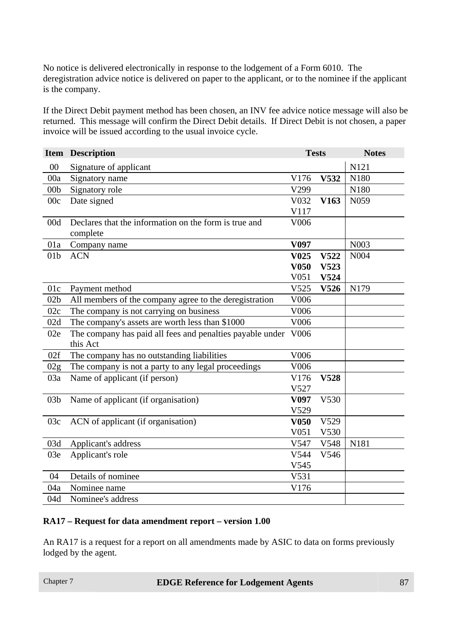No notice is delivered electronically in response to the lodgement of a Form 6010. The deregistration advice notice is delivered on paper to the applicant, or to the nominee if the applicant is the company.

If the Direct Debit payment method has been chosen, an INV fee advice notice message will also be returned. This message will confirm the Direct Debit details. If Direct Debit is not chosen, a paper invoice will be issued according to the usual invoice cycle.

|                 | <b>Item Description</b>                                               | <b>Tests</b>      |             | <b>Notes</b>      |
|-----------------|-----------------------------------------------------------------------|-------------------|-------------|-------------------|
| 00              | Signature of applicant                                                |                   |             | N121              |
| 00a             | Signatory name                                                        | V176              | V532        | N180              |
| 00 <sub>b</sub> | Signatory role                                                        | V299              |             | N180              |
| 00c             | Date signed                                                           | V032              | V163        | N <sub>059</sub>  |
|                 |                                                                       | V117              |             |                   |
| 00d             | Declares that the information on the form is true and<br>complete     | V006              |             |                   |
| 01a             | Company name                                                          | V097              |             | N <sub>00</sub> 3 |
| 01 <sub>b</sub> | <b>ACN</b>                                                            | V <sub>0</sub> 25 | V522        | N004              |
|                 |                                                                       | <b>V050</b>       | V523        |                   |
|                 |                                                                       | V051              | V524        |                   |
| 01c             | Payment method                                                        | V525              | V526        | N179              |
| 02 <sub>b</sub> | All members of the company agree to the deregistration                | V006              |             |                   |
| 02c             | The company is not carrying on business                               | V006              |             |                   |
| 02d             | The company's assets are worth less than \$1000                       | V006              |             |                   |
| 02e             | The company has paid all fees and penalties payable under<br>this Act | V006              |             |                   |
| 02f             | The company has no outstanding liabilities                            | V006              |             |                   |
| 02g             | The company is not a party to any legal proceedings                   | V006              |             |                   |
| 03a             | Name of applicant (if person)                                         | V176              | <b>V528</b> |                   |
|                 |                                                                       | V527              |             |                   |
| 03 <sub>b</sub> | Name of applicant (if organisation)                                   | V097              | V530        |                   |
|                 |                                                                       | V529              |             |                   |
| 03c             | ACN of applicant (if organisation)                                    | <b>V050</b>       | V529        |                   |
|                 |                                                                       | V051              | V530        |                   |
| 03d             | Applicant's address                                                   | V547              | V548        | N181              |
| 03e             | Applicant's role                                                      | V544              | V546        |                   |
|                 |                                                                       | V545              |             |                   |
| 04              | Details of nominee                                                    | V531              |             |                   |
| 04a             | Nominee name                                                          | V176              |             |                   |
| 04d             | Nominee's address                                                     |                   |             |                   |

#### **RA17 – Request for data amendment report – version 1.00**

An RA17 is a request for a report on all amendments made by ASIC to data on forms previously lodged by the agent.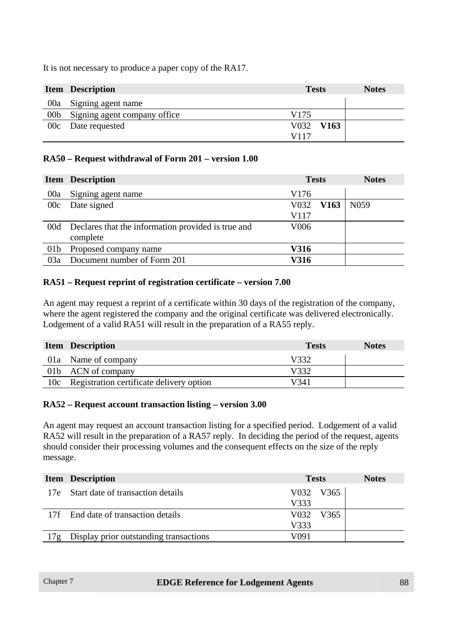It is not necessary to produce a paper copy of the RA17.

|                 | <b>Item</b> Description      | <b>Tests</b> | <b>Notes</b> |
|-----------------|------------------------------|--------------|--------------|
| 00a             | Signing agent name           |              |              |
| 00 <sub>b</sub> | Signing agent company office | V175         |              |
|                 | 00c Date requested           | V032 V163    |              |
|                 |                              | V117         |              |

#### **RA50 – Request withdrawal of Form 201 – version 1.00**

|                 | <b>Item Description</b>                            | <b>Tests</b>     |                  | <b>Notes</b>     |
|-----------------|----------------------------------------------------|------------------|------------------|------------------|
| 00a             | Signing agent name                                 | V <sub>176</sub> |                  |                  |
| 00c             | Date signed                                        | V032             | V <sub>163</sub> | N <sub>059</sub> |
|                 |                                                    | V117             |                  |                  |
| 00d             | Declares that the information provided is true and | V <sub>006</sub> |                  |                  |
|                 | complete                                           |                  |                  |                  |
| 01 <sub>b</sub> | Proposed company name                              | <b>V316</b>      |                  |                  |
| 03a             | Document number of Form 201                        | <b>V316</b>      |                  |                  |

#### **RA51 – Request reprint of registration certificate – version 7.00**

An agent may request a reprint of a certificate within 30 days of the registration of the company, where the agent registered the company and the original certificate was delivered electronically. Lodgement of a valid RA51 will result in the preparation of a RA55 reply.

| <b>Item</b> Description                      | <b>Tests</b> | <b>Notes</b> |
|----------------------------------------------|--------------|--------------|
| 01a Name of company                          | V332         |              |
| 01b ACN of company                           | V332         |              |
| 10c Registration certificate delivery option | V341         |              |

#### **RA52 – Request account transaction listing – version 3.00**

An agent may request an account transaction listing for a specified period. Lodgement of a valid RA52 will result in the preparation of a RA57 reply. In deciding the period of the request, agents should consider their processing volumes and the consequent effects on the size of the reply message.

|     | <b>Item Description</b>                | <b>Tests</b> |           | <b>Notes</b> |
|-----|----------------------------------------|--------------|-----------|--------------|
|     | 17e Start date of transaction details  |              | V032 V365 |              |
|     |                                        | V333         |           |              |
|     | 17f End date of transaction details    |              | V032 V365 |              |
|     |                                        | V333         |           |              |
| 17g | Display prior outstanding transactions | V091         |           |              |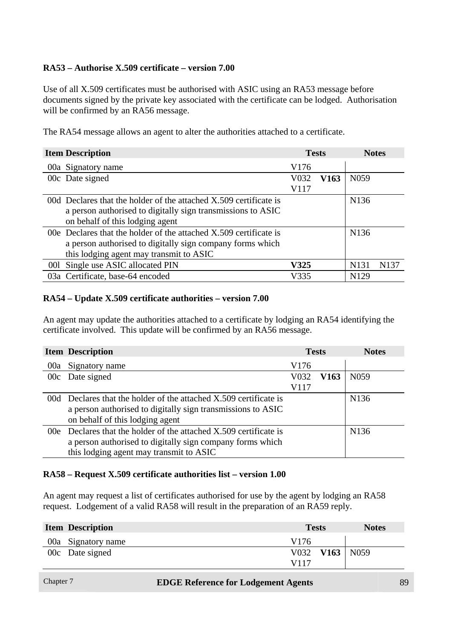#### **RA53 – Authorise X.509 certificate – version 7.00**

Use of all X.509 certificates must be authorised with ASIC using an RA53 message before documents signed by the private key associated with the certificate can be lodged. Authorisation will be confirmed by an RA56 message.

The RA54 message allows an agent to alter the authorities attached to a certificate.

| <b>Item Description</b>                                             |                  | <b>Tests</b> | <b>Notes</b>      |                  |
|---------------------------------------------------------------------|------------------|--------------|-------------------|------------------|
| 00a Signatory name                                                  | V <sub>176</sub> |              |                   |                  |
| 00c Date signed                                                     | V032             | V163         | N <sub>059</sub>  |                  |
|                                                                     | V117             |              |                   |                  |
| 00d Declares that the holder of the attached X.509 certificate is   |                  |              | N <sub>1</sub> 36 |                  |
| a person authorised to digitally sign transmissions to ASIC         |                  |              |                   |                  |
| on behalf of this lodging agent                                     |                  |              |                   |                  |
| 00e Declares that the holder of the attached $X.509$ certificate is |                  |              | N <sub>136</sub>  |                  |
| a person authorised to digitally sign company forms which           |                  |              |                   |                  |
| this lodging agent may transmit to ASIC                             |                  |              |                   |                  |
| 001 Single use ASIC allocated PIN                                   | V325             |              | N <sub>1</sub> 31 | N <sub>137</sub> |
| 03a Certificate, base-64 encoded                                    | V335             |              | N <sub>129</sub>  |                  |

#### **RA54 – Update X.509 certificate authorities – version 7.00**

An agent may update the authorities attached to a certificate by lodging an RA54 identifying the certificate involved. This update will be confirmed by an RA56 message.

|     | <b>Item Description</b>                                       |                  | <b>Tests</b>     | <b>Notes</b>      |
|-----|---------------------------------------------------------------|------------------|------------------|-------------------|
| 00a | Signatory name                                                | V <sub>176</sub> |                  |                   |
|     | 00c Date signed                                               | V032             | V <sub>163</sub> | N <sub>059</sub>  |
|     |                                                               | V117             |                  |                   |
| 00d | Declares that the holder of the attached X.509 certificate is |                  |                  | N <sub>1</sub> 36 |
|     | a person authorised to digitally sign transmissions to ASIC   |                  |                  |                   |
|     | on behalf of this lodging agent                               |                  |                  |                   |
| 00e | Declares that the holder of the attached X.509 certificate is |                  |                  | N <sub>136</sub>  |
|     | a person authorised to digitally sign company forms which     |                  |                  |                   |
|     | this lodging agent may transmit to ASIC                       |                  |                  |                   |

#### **RA58 – Request X.509 certificate authorities list – version 1.00**

An agent may request a list of certificates authorised for use by the agent by lodging an RA58 request. Lodgement of a valid RA58 will result in the preparation of an RA59 reply.

| <b>Item Description</b> | <b>Tests</b> |                      | <b>Notes</b> |
|-------------------------|--------------|----------------------|--------------|
| 00a Signatory name      | V176         |                      |              |
| 00c Date signed         |              | $V032$ $V163$ $N059$ |              |
|                         | V117         |                      |              |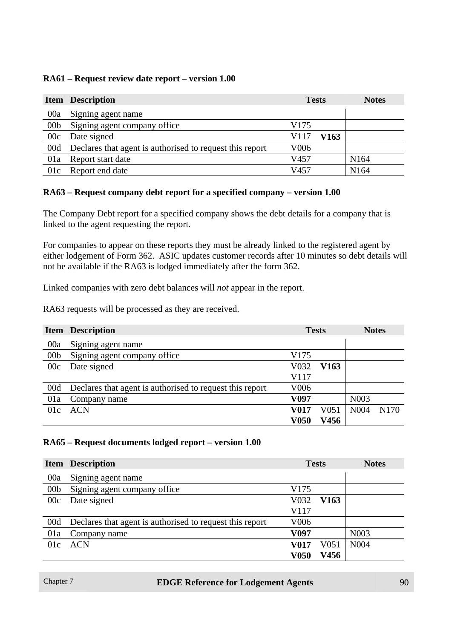#### **RA61 – Request review date report – version 1.00**

|                 | <b>Item Description</b>                                      | <b>Tests</b>     | <b>Notes</b>     |
|-----------------|--------------------------------------------------------------|------------------|------------------|
| 00a             | Signing agent name                                           |                  |                  |
| 00 <sub>b</sub> | Signing agent company office                                 | V <sub>175</sub> |                  |
| 00c             | Date signed                                                  | V163<br>V117     |                  |
|                 | 00d Declares that agent is authorised to request this report | V <sub>006</sub> |                  |
| 01a             | Report start date                                            | V457             | N <sub>164</sub> |
| 01c             | Report end date                                              | V457             | N <sub>164</sub> |

#### **RA63 – Request company debt report for a specified company – version 1.00**

The Company Debt report for a specified company shows the debt details for a company that is linked to the agent requesting the report.

For companies to appear on these reports they must be already linked to the registered agent by either lodgement of Form 362. ASIC updates customer records after 10 minutes so debt details will not be available if the RA63 is lodged immediately after the form 362.

Linked companies with zero debt balances will *not* appear in the report.

RA63 requests will be processed as they are received.

|                 | <b>Item</b> Description                                  | <b>Tests</b>     |                  |                   | <b>Notes</b>     |
|-----------------|----------------------------------------------------------|------------------|------------------|-------------------|------------------|
| 00a             | Signing agent name                                       |                  |                  |                   |                  |
| 00 <sub>b</sub> | Signing agent company office                             | V175             |                  |                   |                  |
| 00c             | Date signed                                              | V032             | V <sub>163</sub> |                   |                  |
|                 |                                                          | V117             |                  |                   |                  |
| 00d             | Declares that agent is authorised to request this report | V <sub>006</sub> |                  |                   |                  |
| 01a             | Company name                                             | V097             |                  | N <sub>00</sub> 3 |                  |
| 01c             | <b>ACN</b>                                               | V017             | V051             | N <sub>0</sub> 04 | N <sub>170</sub> |
|                 |                                                          | V050             | V456             |                   |                  |

#### **RA65 – Request documents lodged report – version 1.00**

|                 | <b>Item Description</b>                                  |                  | <b>Tests</b>     | <b>Notes</b>      |
|-----------------|----------------------------------------------------------|------------------|------------------|-------------------|
| 00a             | Signing agent name                                       |                  |                  |                   |
| 00 <sub>b</sub> | Signing agent company office                             | V175             |                  |                   |
| 00c             | Date signed                                              | V032             | V <sub>163</sub> |                   |
|                 |                                                          | V117             |                  |                   |
| 00d             | Declares that agent is authorised to request this report | V <sub>006</sub> |                  |                   |
| 01a             | Company name                                             | V <sub>097</sub> |                  | N <sub>00</sub> 3 |
| 01c             | ACN                                                      | V017             | V <sub>051</sub> | N <sub>004</sub>  |
|                 |                                                          | <b>V050</b>      | V456             |                   |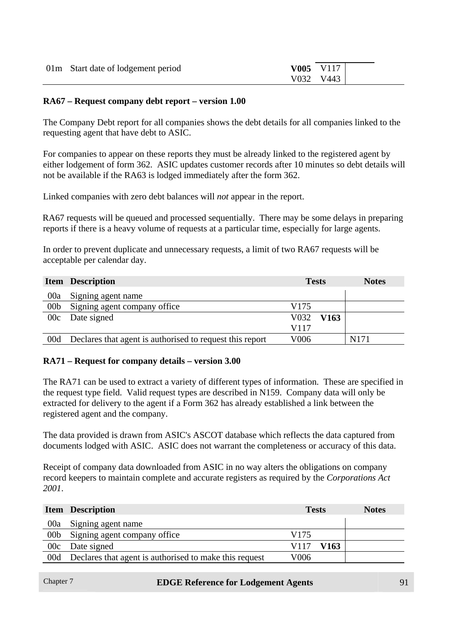| 01m Start date of lodgement period | $V005$ $V117$ |
|------------------------------------|---------------|
|                                    | V032 V443     |

#### **RA67 – Request company debt report – version 1.00**

The Company Debt report for all companies shows the debt details for all companies linked to the requesting agent that have debt to ASIC.

For companies to appear on these reports they must be already linked to the registered agent by either lodgement of form 362. ASIC updates customer records after 10 minutes so debt details will not be available if the RA63 is lodged immediately after the form 362.

Linked companies with zero debt balances will *not* appear in the report.

RA67 requests will be queued and processed sequentially. There may be some delays in preparing reports if there is a heavy volume of requests at a particular time, especially for large agents.

In order to prevent duplicate and unnecessary requests, a limit of two RA67 requests will be acceptable per calendar day.

|                 | <b>Item Description</b>                                  | <b>Tests</b>             | <b>Notes</b> |
|-----------------|----------------------------------------------------------|--------------------------|--------------|
| 00a             | Signing agent name                                       |                          |              |
| 00 <sub>b</sub> | Signing agent company office                             | V <sub>175</sub>         |              |
| 00c             | Date signed                                              | V032<br>V <sub>163</sub> |              |
|                 |                                                          | V117                     |              |
| 00d             | Declares that agent is authorised to request this report | V006                     | N171         |

#### **RA71 – Request for company details – version 3.00**

The RA71 can be used to extract a variety of different types of information. These are specified in the request type field. Valid request types are described in N159. Company data will only be extracted for delivery to the agent if a Form 362 has already established a link between the registered agent and the company.

The data provided is drawn from ASIC's ASCOT database which reflects the data captured from documents lodged with ASIC. ASIC does not warrant the completeness or accuracy of this data.

Receipt of company data downloaded from ASIC in no way alters the obligations on company record keepers to maintain complete and accurate registers as required by the *Corporations Act 2001*.

|                 | <b>Item Description</b>                                | <b>Tests</b> | <b>Notes</b> |
|-----------------|--------------------------------------------------------|--------------|--------------|
| 00a             | Signing agent name                                     |              |              |
| 00 <sub>b</sub> | Signing agent company office                           | V175         |              |
| 00c             | Date signed                                            | V117<br>V163 |              |
| 00d             | Declares that agent is authorised to make this request | V006         |              |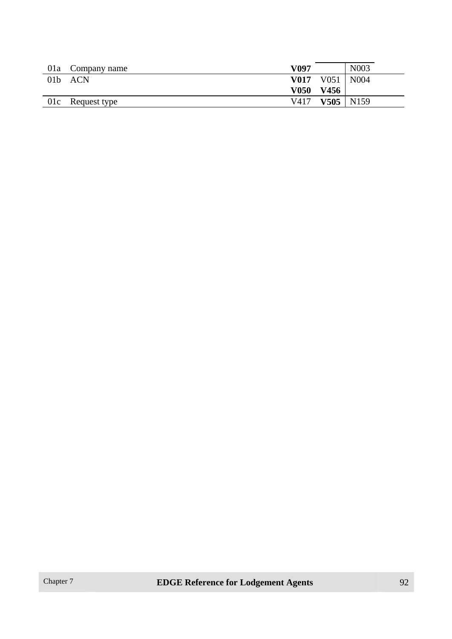|                 | 01a Company name | V097        |                         | N <sub>0</sub> 03 |
|-----------------|------------------|-------------|-------------------------|-------------------|
| 01 <sub>b</sub> | ACN              |             | <b>V017</b> V051   N004 |                   |
|                 |                  | <b>V050</b> | V456                    |                   |
|                 | 01c Request type | V417        |                         | $V505$   N159     |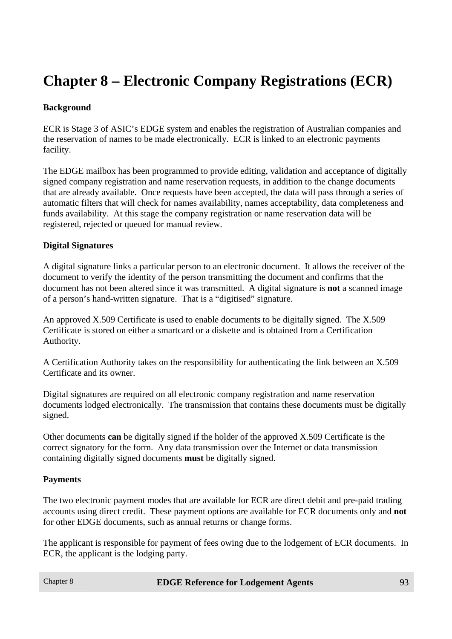# **Chapter 8 – Electronic Company Registrations (ECR)**

#### **Background**

ECR is Stage 3 of ASIC's EDGE system and enables the registration of Australian companies and the reservation of names to be made electronically. ECR is linked to an electronic payments facility.

The EDGE mailbox has been programmed to provide editing, validation and acceptance of digitally signed company registration and name reservation requests, in addition to the change documents that are already available. Once requests have been accepted, the data will pass through a series of automatic filters that will check for names availability, names acceptability, data completeness and funds availability. At this stage the company registration or name reservation data will be registered, rejected or queued for manual review.

#### **Digital Signatures**

A digital signature links a particular person to an electronic document. It allows the receiver of the document to verify the identity of the person transmitting the document and confirms that the document has not been altered since it was transmitted. A digital signature is **not** a scanned image of a person's hand-written signature. That is a "digitised" signature.

An approved X.509 Certificate is used to enable documents to be digitally signed. The X.509 Certificate is stored on either a smartcard or a diskette and is obtained from a Certification Authority.

A Certification Authority takes on the responsibility for authenticating the link between an X.509 Certificate and its owner.

Digital signatures are required on all electronic company registration and name reservation documents lodged electronically. The transmission that contains these documents must be digitally signed.

Other documents **can** be digitally signed if the holder of the approved X.509 Certificate is the correct signatory for the form. Any data transmission over the Internet or data transmission containing digitally signed documents **must** be digitally signed.

#### **Payments**

The two electronic payment modes that are available for ECR are direct debit and pre-paid trading accounts using direct credit. These payment options are available for ECR documents only and **not** for other EDGE documents, such as annual returns or change forms.

The applicant is responsible for payment of fees owing due to the lodgement of ECR documents. In ECR, the applicant is the lodging party.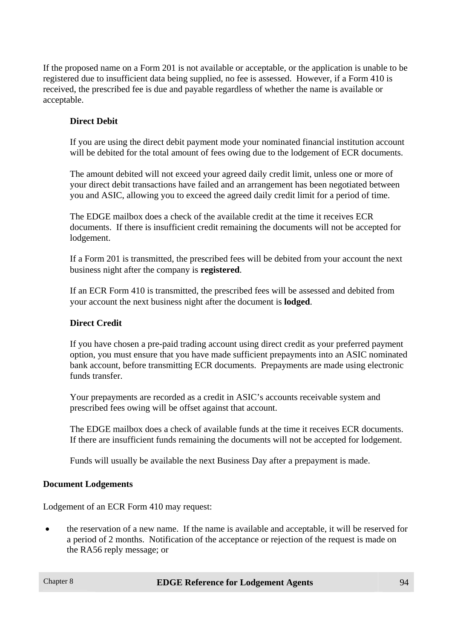If the proposed name on a Form 201 is not available or acceptable, or the application is unable to be registered due to insufficient data being supplied, no fee is assessed. However, if a Form 410 is received, the prescribed fee is due and payable regardless of whether the name is available or acceptable.

#### **Direct Debit**

If you are using the direct debit payment mode your nominated financial institution account will be debited for the total amount of fees owing due to the lodgement of ECR documents.

The amount debited will not exceed your agreed daily credit limit, unless one or more of your direct debit transactions have failed and an arrangement has been negotiated between you and ASIC, allowing you to exceed the agreed daily credit limit for a period of time.

The EDGE mailbox does a check of the available credit at the time it receives ECR documents. If there is insufficient credit remaining the documents will not be accepted for lodgement.

If a Form 201 is transmitted, the prescribed fees will be debited from your account the next business night after the company is **registered**.

If an ECR Form 410 is transmitted, the prescribed fees will be assessed and debited from your account the next business night after the document is **lodged**.

#### **Direct Credit**

If you have chosen a pre-paid trading account using direct credit as your preferred payment option, you must ensure that you have made sufficient prepayments into an ASIC nominated bank account, before transmitting ECR documents. Prepayments are made using electronic funds transfer.

Your prepayments are recorded as a credit in ASIC's accounts receivable system and prescribed fees owing will be offset against that account.

The EDGE mailbox does a check of available funds at the time it receives ECR documents. If there are insufficient funds remaining the documents will not be accepted for lodgement.

Funds will usually be available the next Business Day after a prepayment is made.

#### **Document Lodgements**

Lodgement of an ECR Form 410 may request:

• the reservation of a new name. If the name is available and acceptable, it will be reserved for a period of 2 months. Notification of the acceptance or rejection of the request is made on the RA56 reply message; or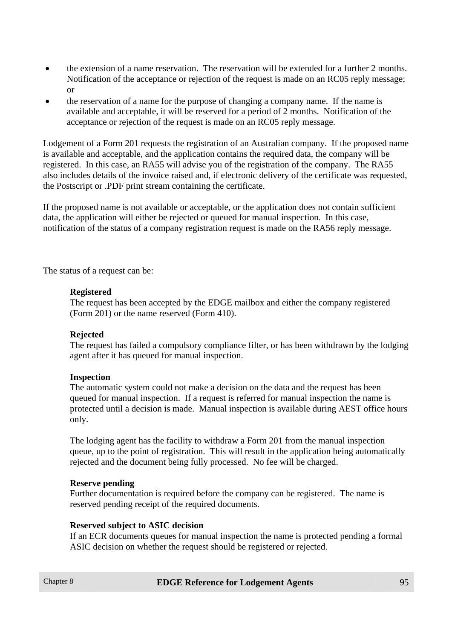- the extension of a name reservation. The reservation will be extended for a further 2 months. Notification of the acceptance or rejection of the request is made on an RC05 reply message; or
- the reservation of a name for the purpose of changing a company name. If the name is available and acceptable, it will be reserved for a period of 2 months. Notification of the acceptance or rejection of the request is made on an RC05 reply message.

Lodgement of a Form 201 requests the registration of an Australian company. If the proposed name is available and acceptable, and the application contains the required data, the company will be registered. In this case, an RA55 will advise you of the registration of the company. The RA55 also includes details of the invoice raised and, if electronic delivery of the certificate was requested, the Postscript or .PDF print stream containing the certificate.

If the proposed name is not available or acceptable, or the application does not contain sufficient data, the application will either be rejected or queued for manual inspection. In this case, notification of the status of a company registration request is made on the RA56 reply message.

The status of a request can be:

#### **Registered**

The request has been accepted by the EDGE mailbox and either the company registered (Form 201) or the name reserved (Form 410).

#### **Rejected**

The request has failed a compulsory compliance filter, or has been withdrawn by the lodging agent after it has queued for manual inspection.

#### **Inspection**

The automatic system could not make a decision on the data and the request has been queued for manual inspection. If a request is referred for manual inspection the name is protected until a decision is made. Manual inspection is available during AEST office hours only.

The lodging agent has the facility to withdraw a Form 201 from the manual inspection queue, up to the point of registration. This will result in the application being automatically rejected and the document being fully processed. No fee will be charged.

#### **Reserve pending**

Further documentation is required before the company can be registered. The name is reserved pending receipt of the required documents.

#### **Reserved subject to ASIC decision**

If an ECR documents queues for manual inspection the name is protected pending a formal ASIC decision on whether the request should be registered or rejected.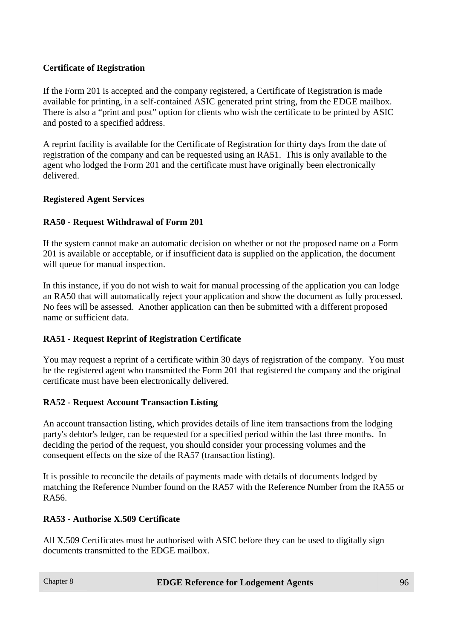#### **Certificate of Registration**

If the Form 201 is accepted and the company registered, a Certificate of Registration is made available for printing, in a self-contained ASIC generated print string, from the EDGE mailbox. There is also a "print and post" option for clients who wish the certificate to be printed by ASIC and posted to a specified address.

A reprint facility is available for the Certificate of Registration for thirty days from the date of registration of the company and can be requested using an RA51. This is only available to the agent who lodged the Form 201 and the certificate must have originally been electronically delivered.

#### **Registered Agent Services**

#### **RA50 - Request Withdrawal of Form 201**

If the system cannot make an automatic decision on whether or not the proposed name on a Form 201 is available or acceptable, or if insufficient data is supplied on the application, the document will queue for manual inspection.

In this instance, if you do not wish to wait for manual processing of the application you can lodge an RA50 that will automatically reject your application and show the document as fully processed. No fees will be assessed. Another application can then be submitted with a different proposed name or sufficient data.

#### **RA51 - Request Reprint of Registration Certificate**

You may request a reprint of a certificate within 30 days of registration of the company. You must be the registered agent who transmitted the Form 201 that registered the company and the original certificate must have been electronically delivered.

#### **RA52 - Request Account Transaction Listing**

An account transaction listing, which provides details of line item transactions from the lodging party's debtor's ledger, can be requested for a specified period within the last three months. In deciding the period of the request, you should consider your processing volumes and the consequent effects on the size of the RA57 (transaction listing).

It is possible to reconcile the details of payments made with details of documents lodged by matching the Reference Number found on the RA57 with the Reference Number from the RA55 or RA56.

#### **RA53 - Authorise X.509 Certificate**

All X.509 Certificates must be authorised with ASIC before they can be used to digitally sign documents transmitted to the EDGE mailbox.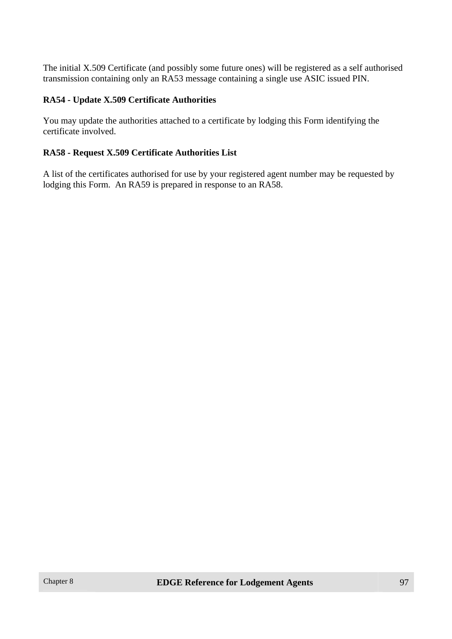The initial X.509 Certificate (and possibly some future ones) will be registered as a self authorised transmission containing only an RA53 message containing a single use ASIC issued PIN.

#### **RA54 - Update X.509 Certificate Authorities**

You may update the authorities attached to a certificate by lodging this Form identifying the certificate involved.

#### **RA58 - Request X.509 Certificate Authorities List**

A list of the certificates authorised for use by your registered agent number may be requested by lodging this Form. An RA59 is prepared in response to an RA58.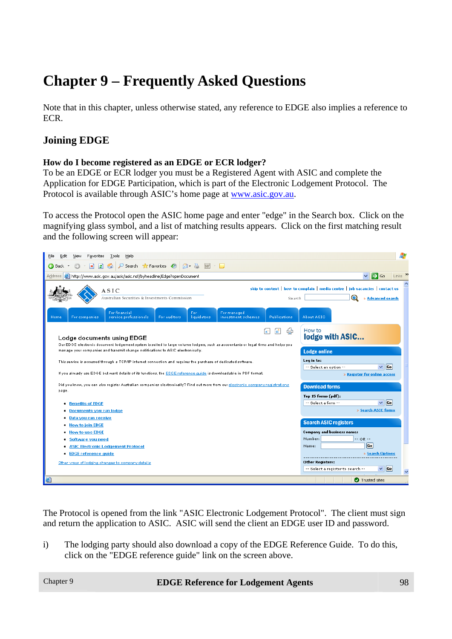# **Chapter 9 – Frequently Asked Questions**

Note that in this chapter, unless otherwise stated, any reference to EDGE also implies a reference to ECR.

## **Joining EDGE**

#### **How do I become registered as an EDGE or ECR lodger?**

To be an EDGE or ECR lodger you must be a Registered Agent with ASIC and complete the Application for EDGE Participation, which is part of the Electronic Lodgement Protocol. The Protocol is available through ASIC's home page at www.asic.gov.au.

To access the Protocol open the ASIC home page and enter "edge" in the Search box. Click on the magnifying glass symbol, and a list of matching results appears. Click on the first matching result and the following screen will appear:

| 45<br>File<br>Edit<br>Favorites<br>Tools<br>Help<br>View                                                                                                                                                                                                                                                                                                                                                                                                                                        |                                                                                                                                                                                                                |  |  |  |
|-------------------------------------------------------------------------------------------------------------------------------------------------------------------------------------------------------------------------------------------------------------------------------------------------------------------------------------------------------------------------------------------------------------------------------------------------------------------------------------------------|----------------------------------------------------------------------------------------------------------------------------------------------------------------------------------------------------------------|--|--|--|
| $\overline{P}$ Search $\sqrt{2}$ Favorites $\overline{Q}$ $\overline{Q}$ $\cdot$ $\overline{Q}$ $\overline{W}$ $\cdot$ $\overline{Q}$<br><b>Back</b>                                                                                                                                                                                                                                                                                                                                            |                                                                                                                                                                                                                |  |  |  |
| http://www.asic.gov.au/asic/asic.nsf/byheadline/Edge?openDocument<br>Address                                                                                                                                                                                                                                                                                                                                                                                                                    | Links $\rightarrow$<br>Ⅰ→<br>×<br>Go                                                                                                                                                                           |  |  |  |
| ASIC<br>Australian Securities & Investments Commission                                                                                                                                                                                                                                                                                                                                                                                                                                          | skip to content   how to complain   media centre   job vacancies   contact us<br>O<br>» Advanced search<br>Search                                                                                              |  |  |  |
| For financial<br>For managed<br>For<br>service professionals<br>liquidators<br>investment schemes<br><b>Publications</b><br>For companies<br>For auditors<br>Home                                                                                                                                                                                                                                                                                                                               | About ASIC                                                                                                                                                                                                     |  |  |  |
| How to<br>⇔<br>lodge with ASIC<br>Lodge documents using EDGE<br>Our EDGE electronic document lodgement system is suited to large volume lodgers, such as accountants or legal firms and helps you<br>manage your companies and transmit change notifications to ASIC electronically.<br><b>Lodge online</b><br>Log in to:<br>This service is accessed through a TCP/IP internet connection and requires the purchase of dedicated software.<br>  <sub>Co</sub>  <br>M<br>-- Select an option -- |                                                                                                                                                                                                                |  |  |  |
| If you already use EDGE but want details of its functions, the EDGE reference guide is downloadable in PDF format.<br>Did you know, you can also register Australian companies electronically? Find out more from our electronic company registrations<br>page.<br><b>Benefits of EDGE</b><br>٠<br><b>Documents you can lodge</b><br>٠                                                                                                                                                          | » Register for online access<br><b>Download forms</b><br>Top 15 forms (pdf):<br>$\vee$ Go<br>-- Select a form --<br>» Search ASIC forms                                                                        |  |  |  |
| Data you can receive<br>٠<br><b>How to join EDGE</b><br><b>How to use EDGE</b><br>Software you need<br>٠<br><b>ASIC Electronic Lodgement Protocol</b><br>٠<br><b>EDGE reference guide</b><br>٠<br>Other ways of lodging changes to company details                                                                                                                                                                                                                                              | <b>Search ASIC registers</b><br><b>Company and business names</b><br>Number:<br>$-0R -$<br>$ G_0 $<br>Name:<br>» Search Options<br>Other Registers:<br>Go<br>$\checkmark$<br>-- Select a register to search -- |  |  |  |
| 目                                                                                                                                                                                                                                                                                                                                                                                                                                                                                               | Trusted sites                                                                                                                                                                                                  |  |  |  |

The Protocol is opened from the link "ASIC Electronic Lodgement Protocol". The client must sign and return the application to ASIC. ASIC will send the client an EDGE user ID and password.

i) The lodging party should also download a copy of the EDGE Reference Guide. To do this, click on the "EDGE reference guide" link on the screen above.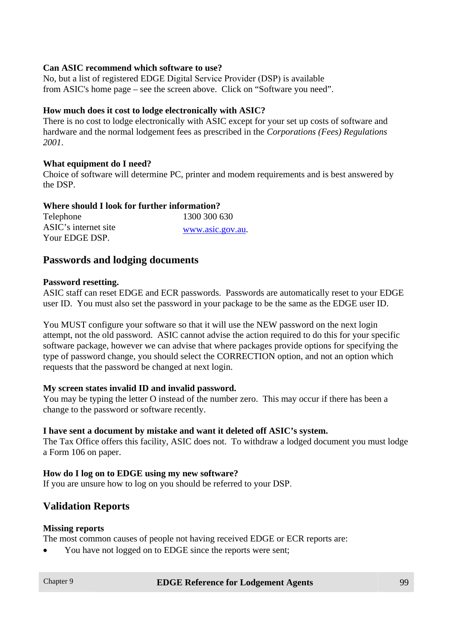#### **Can ASIC recommend which software to use?**

No, but a list of registered EDGE Digital Service Provider (DSP) is available from ASIC's home page – see the screen above. Click on "Software you need".

#### **How much does it cost to lodge electronically with ASIC?**

There is no cost to lodge electronically with ASIC except for your set up costs of software and hardware and the normal lodgement fees as prescribed in the *Corporations (Fees) Regulations 2001*.

#### **What equipment do I need?**

Choice of software will determine PC, printer and modem requirements and is best answered by the DSP.

#### **Where should I look for further information?**

| Telephone            | 1300 300 630     |
|----------------------|------------------|
| ASIC's internet site | www.asic.gov.au. |
| Your EDGE DSP.       |                  |

#### **Passwords and lodging documents**

#### **Password resetting.**

ASIC staff can reset EDGE and ECR passwords. Passwords are automatically reset to your EDGE user ID. You must also set the password in your package to be the same as the EDGE user ID.

You MUST configure your software so that it will use the NEW password on the next login attempt, not the old password. ASIC cannot advise the action required to do this for your specific software package, however we can advise that where packages provide options for specifying the type of password change, you should select the CORRECTION option, and not an option which requests that the password be changed at next login.

#### **My screen states invalid ID and invalid password.**

You may be typing the letter O instead of the number zero. This may occur if there has been a change to the password or software recently.

#### **I have sent a document by mistake and want it deleted off ASIC's system.**

The Tax Office offers this facility, ASIC does not. To withdraw a lodged document you must lodge a Form 106 on paper.

#### **How do I log on to EDGE using my new software?**

If you are unsure how to log on you should be referred to your DSP.

#### **Validation Reports**

#### **Missing reports**

The most common causes of people not having received EDGE or ECR reports are:

• You have not logged on to EDGE since the reports were sent;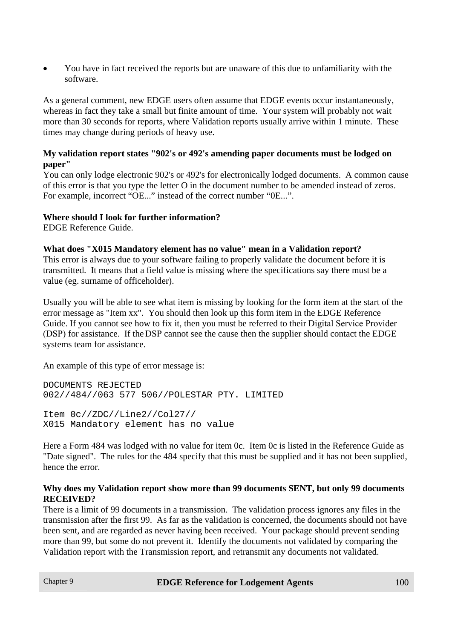• You have in fact received the reports but are unaware of this due to unfamiliarity with the software.

As a general comment, new EDGE users often assume that EDGE events occur instantaneously, whereas in fact they take a small but finite amount of time. Your system will probably not wait more than 30 seconds for reports, where Validation reports usually arrive within 1 minute. These times may change during periods of heavy use.

#### **My validation report states "902's or 492's amending paper documents must be lodged on paper"**

You can only lodge electronic 902's or 492's for electronically lodged documents. A common cause of this error is that you type the letter O in the document number to be amended instead of zeros. For example, incorrect "OE..." instead of the correct number "0E...".

#### **Where should I look for further information?**

EDGE Reference Guide.

#### **What does "X015 Mandatory element has no value" mean in a Validation report?**

This error is always due to your software failing to properly validate the document before it is transmitted. It means that a field value is missing where the specifications say there must be a value (eg. surname of officeholder).

Usually you will be able to see what item is missing by looking for the form item at the start of the error message as "Item xx". You should then look up this form item in the EDGE Reference Guide. If you cannot see how to fix it, then you must be referred to their Digital Service Provider (DSP) for assistance. If the DSP cannot see the cause then the supplier should contact the EDGE systems team for assistance.

An example of this type of error message is:

DOCUMENTS REJECTED 002//484//063 577 506//POLESTAR PTY. LIMITED

Item 0c//ZDC//Line2//Col27// X015 Mandatory element has no value

Here a Form 484 was lodged with no value for item 0c. Item 0c is listed in the Reference Guide as "Date signed". The rules for the 484 specify that this must be supplied and it has not been supplied, hence the error.

#### **Why does my Validation report show more than 99 documents SENT, but only 99 documents RECEIVED?**

There is a limit of 99 documents in a transmission. The validation process ignores any files in the transmission after the first 99. As far as the validation is concerned, the documents should not have been sent, and are regarded as never having been received. Your package should prevent sending more than 99, but some do not prevent it. Identify the documents not validated by comparing the Validation report with the Transmission report, and retransmit any documents not validated.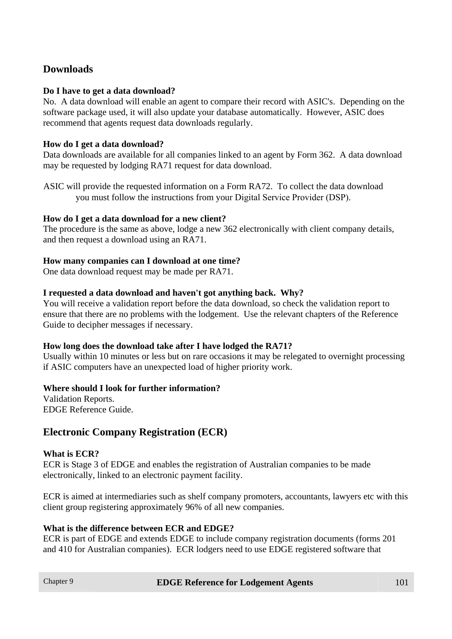## **Downloads**

#### **Do I have to get a data download?**

No. A data download will enable an agent to compare their record with ASIC's. Depending on the software package used, it will also update your database automatically. However, ASIC does recommend that agents request data downloads regularly.

#### **How do I get a data download?**

Data downloads are available for all companies linked to an agent by Form 362. A data download may be requested by lodging RA71 request for data download.

ASIC will provide the requested information on a Form RA72. To collect the data download you must follow the instructions from your Digital Service Provider (DSP).

#### **How do I get a data download for a new client?**

The procedure is the same as above, lodge a new 362 electronically with client company details, and then request a download using an RA71.

#### **How many companies can I download at one time?**

One data download request may be made per RA71.

#### **I requested a data download and haven't got anything back. Why?**

You will receive a validation report before the data download, so check the validation report to ensure that there are no problems with the lodgement. Use the relevant chapters of the Reference Guide to decipher messages if necessary.

#### **How long does the download take after I have lodged the RA71?**

Usually within 10 minutes or less but on rare occasions it may be relegated to overnight processing if ASIC computers have an unexpected load of higher priority work.

#### **Where should I look for further information?**

Validation Reports. EDGE Reference Guide.

### **Electronic Company Registration (ECR)**

#### **What is ECR?**

ECR is Stage 3 of EDGE and enables the registration of Australian companies to be made electronically, linked to an electronic payment facility.

ECR is aimed at intermediaries such as shelf company promoters, accountants, lawyers etc with this client group registering approximately 96% of all new companies.

#### **What is the difference between ECR and EDGE?**

ECR is part of EDGE and extends EDGE to include company registration documents (forms 201 and 410 for Australian companies). ECR lodgers need to use EDGE registered software that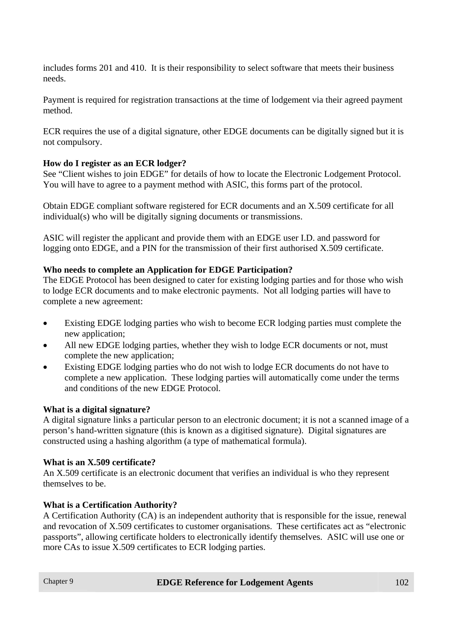includes forms 201 and 410. It is their responsibility to select software that meets their business needs.

Payment is required for registration transactions at the time of lodgement via their agreed payment method.

ECR requires the use of a digital signature, other EDGE documents can be digitally signed but it is not compulsory.

#### **How do I register as an ECR lodger?**

See "Client wishes to join EDGE" for details of how to locate the Electronic Lodgement Protocol. You will have to agree to a payment method with ASIC, this forms part of the protocol.

Obtain EDGE compliant software registered for ECR documents and an X.509 certificate for all individual(s) who will be digitally signing documents or transmissions.

ASIC will register the applicant and provide them with an EDGE user I.D. and password for logging onto EDGE, and a PIN for the transmission of their first authorised X.509 certificate.

#### **Who needs to complete an Application for EDGE Participation?**

The EDGE Protocol has been designed to cater for existing lodging parties and for those who wish to lodge ECR documents and to make electronic payments. Not all lodging parties will have to complete a new agreement:

- Existing EDGE lodging parties who wish to become ECR lodging parties must complete the new application;
- All new EDGE lodging parties, whether they wish to lodge ECR documents or not, must complete the new application;
- Existing EDGE lodging parties who do not wish to lodge ECR documents do not have to complete a new application. These lodging parties will automatically come under the terms and conditions of the new EDGE Protocol.

#### **What is a digital signature?**

A digital signature links a particular person to an electronic document; it is not a scanned image of a person's hand-written signature (this is known as a digitised signature). Digital signatures are constructed using a hashing algorithm (a type of mathematical formula).

#### **What is an X.509 certificate?**

An X.509 certificate is an electronic document that verifies an individual is who they represent themselves to be.

#### **What is a Certification Authority?**

A Certification Authority (CA) is an independent authority that is responsible for the issue, renewal and revocation of X.509 certificates to customer organisations. These certificates act as "electronic passports", allowing certificate holders to electronically identify themselves. ASIC will use one or more CAs to issue X.509 certificates to ECR lodging parties.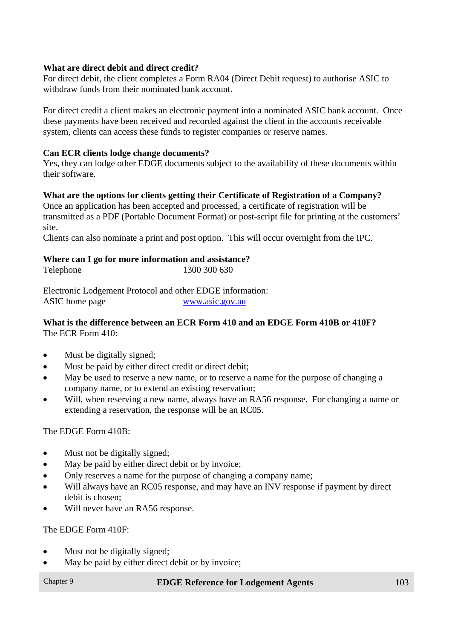#### **What are direct debit and direct credit?**

For direct debit, the client completes a Form RA04 (Direct Debit request) to authorise ASIC to withdraw funds from their nominated bank account.

For direct credit a client makes an electronic payment into a nominated ASIC bank account. Once these payments have been received and recorded against the client in the accounts receivable system, clients can access these funds to register companies or reserve names.

#### **Can ECR clients lodge change documents?**

Yes, they can lodge other EDGE documents subject to the availability of these documents within their software.

#### **What are the options for clients getting their Certificate of Registration of a Company?**

Once an application has been accepted and processed, a certificate of registration will be transmitted as a PDF (Portable Document Format) or post-script file for printing at the customers' site.

Clients can also nominate a print and post option. This will occur overnight from the IPC.

#### **Where can I go for more information and assistance?**

| Telephone | 1300 300 630 |
|-----------|--------------|

Electronic Lodgement Protocol and other EDGE information: ASIC home page www.asic.gov.au

#### **What is the difference between an ECR Form 410 and an EDGE Form 410B or 410F?**  The ECR Form 410:

- Must be digitally signed;
- Must be paid by either direct credit or direct debit;
- May be used to reserve a new name, or to reserve a name for the purpose of changing a company name, or to extend an existing reservation;
- Will, when reserving a new name, always have an RA56 response. For changing a name or extending a reservation, the response will be an RC05.

The EDGE Form 410B:

- Must not be digitally signed;
- May be paid by either direct debit or by invoice;
- Only reserves a name for the purpose of changing a company name;
- Will always have an RC05 response, and may have an INV response if payment by direct debit is chosen;
- Will never have an RA56 response.

The EDGE Form 410F:

- Must not be digitally signed;
- May be paid by either direct debit or by invoice;